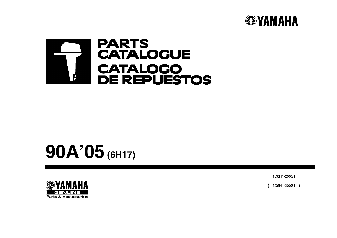



# **90A'05 (6H17)**



1D6H1-200S1

( ) 2D6H1-200S1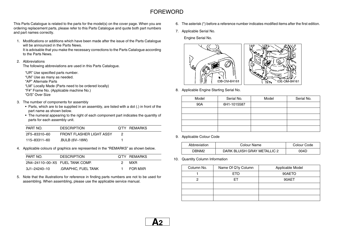## FOREWORD

This Parts Catalogue is related to the parts for the model(s) on the cover page. When you are ordering replacement parts, please refer to this Parts Catalogue and quote both part numbers and part names correctly.

1. Modifications or additions which have been made after the issue of the Parts Catalogue will be announced in the Parts News.

It is advisable that you make the necessary corrections to the Parts Catalogue according to the Parts News.

#### 2. Abbreviations

The following abbreviations are used in this Parts Catalogue.

"UR" Use specified parts number. "UN" Use as many as needed. "AP" Alternate Parts"LM" Locally Made (Parts need to be ordered locally) "F#" Frame No. (Applicable machine No.)

"O/S" Over Size

- 3. The number of components for assembly
	- Parts, which are to be supplied in an assembly, are listed with a dot (.) in front of the part name as shown below.
	- The numeral appearing to the right of each component part indicates the quantity of parts for each assembly unit.

| PART NO.     | <b>DESCRIPTION</b>       | Q'TY REMARKS |
|--------------|--------------------------|--------------|
| 2F5-83310-60 | FRONT FLASHER LIGHT ASSY |              |
| 115–83311–60 | .BULB (6V-18W)           |              |

4. Applicable colours of graphics are represented in the "REMARKS" as shown below.

| PART NO.                        | <b>DESCRIPTION</b> |    | Q'TY REMARKS |  |
|---------------------------------|--------------------|----|--------------|--|
| 2N4-24110-00-X5 FUEL TANK COMP. |                    | 2. | MXR.         |  |
| 3J1-24240-10                    | GRAPHIC, FUEL TANK |    | FOR MXR      |  |

5. Note that the illustrations for reference in finding parts numbers are not to be used for assembling. When assembling, please use the applicable service manual.

- 6. The asterisk (\*) before a reference number indicates modified items after the first edition.
- 7. Applicable Serial No.

Engine Serial No.



8. Applicable Engine Starting Serial No.

| Model | Serial No.  | Model | Serial No. |
|-------|-------------|-------|------------|
| 90A   | 6H1-1015587 |       |            |
|       |             |       |            |
|       |             |       |            |
|       |             |       |            |
|       |             |       |            |

9. Applicable Colour Code

| Abbreviation | Colour Name                 | Colour Code |
|--------------|-----------------------------|-------------|
| <b>DRNM2</b> | DARK BLUISH GRAY METALLIC 2 | 004D        |

10. Quantity Column Information

| Column No. | Name Of Q'ty Column | Applicable Model |
|------------|---------------------|------------------|
|            | <b>ETO</b>          | 90AETO           |
|            | FТ                  | 90AET            |
|            |                     |                  |
|            |                     |                  |
|            |                     |                  |

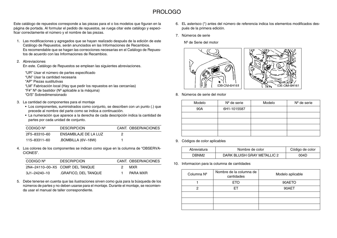### PROLOGO

Este catálogo de repuestos corresponde a las piezas para el o los modelos que figuran en la página de portada. Al formular el pedido de repuestos, se ruega citar este catálogo y especificar correctamente el número y el nombre de las piezas.

1. Las modificaciones y agregados que se hayan realizado después de la edición de este Catálogo de Repuestos, serán anunciados en las Informaciones de Recambios. Es recomendable que se hagan las correcciones necesarias en el Catálogo de Repuestos de acuerdo con las Informaciones de Recambios.

#### 2. Abreviaciones

En este. Catálogo de Repuestos se emplean las siguientes abreviaciones.

"UR" Usar el número de partes especificado

- "UN" Usar la cantidad necesaria
- "AP" Piezas sustitutivas
- "LM" Fabricación local (Hay que pedir los repuestos en las cercanías) "F#"  $N^{\circ}$  de bastidor ( $N^{\circ}$  aplicable a la máquina)

"O/S" Sobredimensionado

- 3. La cantidad de componentes para el montaje
	- Los componentes, suministrados como conjunto, se describen con un punto (.) que precede al nombre del parte como se indica a continuación.
	- La numeración que aparece a la derecha de cada descripción indica la cantidad de partes por cada unidad de conjunto.

| CODIGO Nº    | <b>DESCRIPCION</b>   | CANT. OBSERVACIONES |
|--------------|----------------------|---------------------|
| 2F5-83310-60 | ENSAMBLAJE DE LA LUZ |                     |
| 115-83311-60 | .BOMBILLA (6V-18W)   |                     |

4. Los colores de los componentes se indican como sigue en la columna de "OBSERVA-CIONES".

| CODIGO Nº    | <b>DESCRIPCION</b>               |    | CANT. OBSERVACIONES |
|--------------|----------------------------------|----|---------------------|
|              | 2N4-24110-00-X5 COMP. DEL TANQUE | 2. | MXR.                |
| 3J1-24240-10 | GRAFICO. DEL TANQUE.             |    | PARA MXR            |

5. Debe tenerse en cuenta que las ilustraciones sirven como guia para la búsqueda de los números de partes y no deben usarse para el montaje. Durante el montaje, se recomienda usar el manual de taller correspondiente.

- 6. EL asterisco (\*) antes del número de referencia indica los elementos modificados después de la primera edición.
- 7. Números de serie

Nº de Serie del motor



8. Números de serie del motor

| Modelo | $N°$ de serie | Modelo | $N°$ de serie |
|--------|---------------|--------|---------------|
| 90A    | 6H1-1015587   |        |               |
|        |               |        |               |
|        |               |        |               |
|        |               |        |               |
|        |               |        |               |

9. Códigos de color aplicables

| Abreviatura | Nombre de color             | Código de color |
|-------------|-----------------------------|-----------------|
| ^RNM?       | DARK BLUISH GRAY METALLIC 2 | 004D            |

10. Informacion para la columna de cantidades

| Columna Nº | Nombre de la columna de<br>cantidades | Modelo aplicable |  |
|------------|---------------------------------------|------------------|--|
|            | ETO                                   | 90AETO           |  |
| റ          | FТ                                    | 90AET            |  |
|            |                                       |                  |  |
|            |                                       |                  |  |
|            |                                       |                  |  |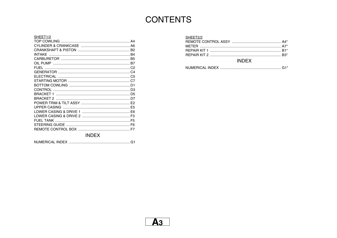# **CONTENTS**

#### SHEET1/2 **INDEX**

| SHEET2/2 |  |
|----------|--|
|          |  |
|          |  |
|          |  |
|          |  |
|          |  |

#### **INDEX**

|  |  | $\sim$ 1 $\star$ |  |
|--|--|------------------|--|
|--|--|------------------|--|

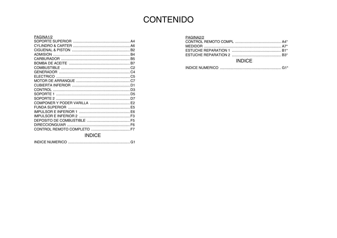## **CONTENIDO**

#### PAGINA1/2 **INDICF**

| PAGINA2/2 |  |
|-----------|--|
|           |  |
|           |  |
|           |  |
|           |  |
|           |  |

#### **INDICE**

|--|--|--|--|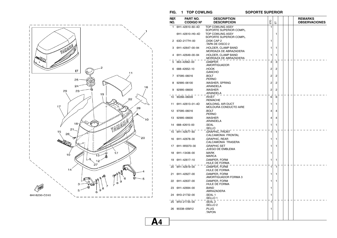

#### $FIG. 1 TOP COWLING$

#### **SOPORTE SUPERIOR**

| REF. | PART NO.         | <b>DESCRIPTION</b>                                 |                |                |  | <b>REMARKS</b>       |
|------|------------------|----------------------------------------------------|----------------|----------------|--|----------------------|
| NO.  | <b>CODIGO Nº</b> | <b>DESCRIPCION</b>                                 | ETO            | こ              |  | <b>OBSERVACIONES</b> |
| 1    | 6H1-42610-60-4D  | <b>TOP COWLING ASSY</b><br>SOPORTE SUPERIOR COMPL. | 1              |                |  |                      |
|      | 6H1-42610-H0-4D  | <b>TOP COWLING ASSY</b><br>SOPORTE SUPERIOR COMPL. |                | 1              |  |                      |
| 2    | 63D-2177H-00     | .DISK CAP 2<br>TAPA DE DISCO 2.                    | 1              |                |  |                      |
| 3    | 6H1-42647-00-94  | .HOLDER, CLAMP BAND<br>MORDAZA DE ABRAZADERA.      | 1              | 1              |  |                      |
| 4    | 6H1-42649-00-94  | .HOLDER, CLAMP BAND<br>MORDAZA DE ABRAZADERA.      | 1              | 1              |  |                      |
|      | 663-42662-00     | .DAMPER<br>.AMORTIGUADOR                           | 3              | 3              |  |                      |
| 6    | 688-42652-10     | .HOOK<br>.GANCHO                                   | 2              | 2              |  |                      |
| 7    | 97095-06016      | .BOLT<br>.PERNO                                    | 2              | 2              |  |                      |
| 8    | 92995-06100      | .WASHER, SPRING<br>.ARANDELA                       | $\overline{2}$ | 2              |  |                      |
| 9    | 92995-06600      | .WASHER<br>.ARANDELA                               | 2              | $\overline{2}$ |  |                      |
| 10   | 90266-06009      | .RIVET<br>.REMACHE                                 | 6              | 6              |  |                      |
| 11   | 6H1-42613-01-4D  | .MOLDING, AIR DUCT<br>MOLDURA CONDUCTO AIRE        | 1              | 1              |  |                      |
| 12   | 97095-06016      | .BOLT<br>.PERNO                                    | 4              | 4              |  |                      |
| 13   | 92995-06600      | .WASHER<br>.ARANDELA                               | 4              | 4              |  |                      |
| 14   | 688-42615-00     | .SEAL<br>.SELLO                                    | 1              | 1              |  |                      |
| 15   | 6H1-42677-60     | .GRAPHIC, FRONT<br>CALCAMONIA FRONTAL              | 1              | $\mathbf{1}$   |  |                      |
| 16   | 6H1-42678-30     | .GRAPHIC, REAR<br>.CALCAMONIA TRASERA              | 1              | 1              |  |                      |
| 17   | 6H1-W0070-30     | <b>GRAPHIC SET</b><br>JUEGO DE EMBLEMA             | 1              | 1              |  |                      |
| 18   | 6H1-13436-00     | .MARK<br>.MARCA                                    | 1              |                |  |                      |
| 19   | 6H1-42617-10     | .DAMPER, FORM<br>HULE DE FORMA.                    | 1              | 1              |  |                      |
| 20   | 6H1-42619-00     | .DAMPER, FORM<br>HULE DE FORMA.                    | 1              | 1              |  |                      |
| 21   | 6H1-42627-00     | .DAMPER. FORM<br>AMORTIGUADOR FORMA 3.             | 1              | 1              |  |                      |
|      | 22 6H1-42637-00  | .DAMPER, FORM<br>HULE DE FORMA.                    | 1              | 1              |  |                      |
|      | 23 6H1-42694-00  | .BAND<br>.ABRAZADERA                               | 1              |                |  |                      |
| 24   | 6H3-21732-00     | .SEAL 1<br>SELLO 1                                 | 1              |                |  |                      |
|      | 25 6H3-21735-00  | .SEAL 2<br>SELLO <sub>2</sub> .                    | 1              |                |  |                      |
| 26   | 90338-05M12      | .PLUG<br>TAPON.                                    | 1              |                |  |                      |
|      |                  |                                                    |                |                |  |                      |

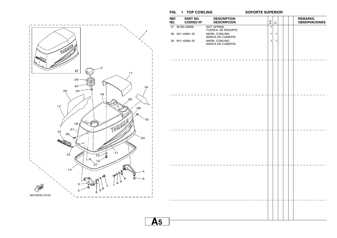

| REF.<br>NO. | PART NO.<br><b>CODIGO Nº</b> | <b>DESCRIPTION</b><br><b>DESCRIPCION</b> | ETO          | $\overleftarrow{\text{m}}$ |  | <b>REMARKS</b><br><b>OBSERVACIONES</b> |
|-------------|------------------------------|------------------------------------------|--------------|----------------------------|--|----------------------------------------|
| 27          | 90183-05M06                  | .NUT, SPRING<br>TUERCA DE RESORTE        | $\mathbf{1}$ |                            |  |                                        |
|             | 28 6H1-42681-30              | .MARK, COWLING<br>.MARCA DE CUBIERTA     | 1            | $\mathbf{1}$               |  |                                        |
|             | 29 6H1-42682-30              | .MARK, COWLING<br>.MARCA DE CUBIERTA     | $\mathbf{1}$ | 1                          |  |                                        |
|             |                              |                                          |              |                            |  |                                        |
|             |                              |                                          |              |                            |  |                                        |
|             |                              |                                          |              |                            |  |                                        |
|             |                              |                                          |              |                            |  |                                        |
|             |                              |                                          |              |                            |  |                                        |
|             |                              |                                          |              |                            |  |                                        |
|             |                              |                                          |              |                            |  |                                        |
|             |                              |                                          |              |                            |  |                                        |
|             |                              |                                          |              |                            |  |                                        |

 $FIG. 1 TOP COWLING$ 

**A5**

#### **SOPORTE SUPERIOR**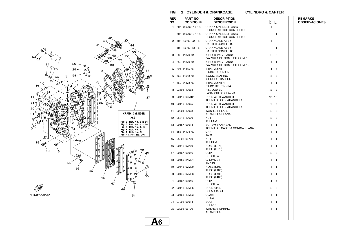

#### **FIG. 2 CYLINDER & CRANKCASE CYLINDRO & CARTER**

**CYLINDRO & CARTER** 

| REF.<br>NO. | PART NO.<br><b>CODIGO Nº</b> | <b>DESCRIPTION</b><br><b>DESCRIPCION</b>                   | EЮ           | こ            |  | <b>REMARKS</b><br><b>OBSERVACIONES</b> |
|-------------|------------------------------|------------------------------------------------------------|--------------|--------------|--|----------------------------------------|
| 1           | 6H1-W0090-44-1S              | <b>CRANK CYLINDER ASSY</b><br><b>BLOQUE MOTOR COMPLETO</b> | 1            |              |  |                                        |
|             | 6H1-W0090-07-1S              | <b>CRANK CYLINDER ASSY</b><br><b>BLOQUE MOTOR COMPLETO</b> |              | 1            |  |                                        |
| 2           | 6H1-15100-02-1S              | <b>CRANKCASE ASSY</b><br><b>CARTER COMPLETO</b>            | 1            |              |  |                                        |
|             | 6H1-15100-13-1S              | <b>CRANKCASE ASSY</b><br><b>CARTER COMPLETO</b>            |              | 1            |  |                                        |
| 3           | 688-11370-01                 | CHECK VALVE ASSY.<br>VALVULA DE CONTROL COMPL.             | 2            | 2            |  |                                        |
| 4           | 650-11370-01                 | CHECK VALVE ASSY.<br>VALVULA DE CONTROL COMPL.             | 1            | 1            |  |                                        |
| 5           | 624-14485-00                 | PIPE, JOINT<br>TUBO DE UNION                               | 4            | 4            |  |                                        |
|             | 663-11518-01                 | .LOCK, BEARING<br>SEGURO BALERO                            | 3            | 3            |  |                                        |
| 7           | 650-24378-00                 | PIPE, JOINT 4<br>TUBO DE UNION 4.                          | 1            | 1            |  |                                        |
| 8           | 93608-12063                  | PIN, DOWEL<br>PASADOR DE CLAVIJA                           | 2            | 2            |  |                                        |
| 9           | 90119-06M12                  | <b>BOLT, WITH WASHER</b><br>TORNILLO CON ARANDELA          | 12           | 12           |  |                                        |
| 10          | 90119-10005                  | <b>BOLT, WITH WASHER</b><br><b>TORNILLO CON ARANDELA</b>   | 6            | 6            |  |                                        |
| 11          | 90201-10008                  | <b>WASHER, PLATE</b><br>ARANDELA PLANA                     | 2            | 2            |  |                                        |
| 12          | 95313-10600                  | NUT<br><b>TUERCA</b>                                       | 2            | 2            |  |                                        |
| 13          | 90157-06014                  | <b>SCREW, PAN HEAD</b><br>TORNILLO CABEZA CONICA PLANA     | 1            | 1            |  |                                        |
| 14          | 688-44194-00                 | CAP<br><b>TAPA</b>                                         | $\mathbf{1}$ | $\mathbf{1}$ |  |                                        |
| 15          | 95303-06700                  | <b>NUT</b><br><b>TUERCA</b>                                | 1            | 1            |  |                                        |
| 16          | 90445-07260                  | <b>HOSE (L276)</b><br><b>TUBO (L276)</b>                   | 1            | 1            |  |                                        |
| 17          | 90467-06016                  | <b>CLIP</b><br><b>PRESILLA</b>                             | 2            | 2            |  |                                        |
| 18          | 90480-24M04                  | <b>GROMMET</b><br>TAPON                                    | 1            | 1            |  |                                        |
| 19          | 90445-07M00                  | <b>HOSE (L100)</b><br><b>TUBO (L100)</b>                   | 1            | 1            |  |                                        |
| 20          | 90445-07M23                  | <b>HOSE (L408)</b><br><b>TUBO (L408)</b>                   | 1            | 1            |  |                                        |
| 21          | 90467-06016                  | <b>CLIP</b><br>PRESILLA                                    | 4            | 4            |  |                                        |
| 22          | 90116-10M06                  | <b>BOLT, STUD</b><br><b>ESPARRAGO</b>                      | 2            | 2            |  |                                        |
| 23          | 90465-12M03                  | <b>CLAMP</b><br><b>BRIDA</b>                               | 1            | 1            |  |                                        |
| 24          | 97095-06014                  | <b>BOLT</b><br><b>PERNO</b>                                | 1            | 1            |  |                                        |
| 25          | 92995-06100                  | <b>WASHER, SPRING</b><br><b>ARANDELA</b>                   | 1            | 1            |  |                                        |

**A6**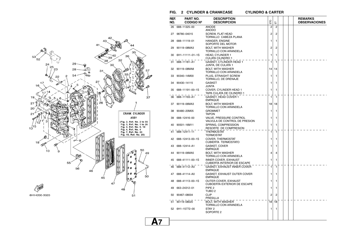

| REF.<br>NO. | PART NO.<br><b>CODIGO Nº</b> | <b>DESCRIPTION</b><br><b>DESCRIPCION</b>                          | EЮ             | 눕              |  | <b>REMARKS</b><br><b>OBSERVACIONES</b> |
|-------------|------------------------------|-------------------------------------------------------------------|----------------|----------------|--|----------------------------------------|
| 26          | 688-11325-00                 | <b>ANODE</b><br><b>ANODO</b>                                      | $\overline{2}$ | $\overline{2}$ |  |                                        |
| 27          | 98780-04015                  | <b>SCREW, FLAT HEAD</b><br>TORNILLO CABEZA PLANA                  | 2              | $\overline{c}$ |  |                                        |
| 28          | 688-11119-01                 | HANGER, ENGINE<br>SOPORTE DEL MOTOR                               | 1              | 1              |  |                                        |
| 29          | 90119-08MA3                  | <b>BOLT, WITH WASHER</b><br>TORNILLO CON ARANDELA                 | 2              | 2              |  |                                        |
| 30          | 6H1-11111-01-1S              | <b>HEAD, CYLINDER 1</b><br><b>CULATA CILINDRO 1</b>               | 1              | 1              |  |                                        |
| 31          | 688-11181-A1                 | GASKET, CYLINDER HEAD 1<br>JUNTA, DE CULATA 1                     | $\mathbf{1}$   | $\mathbf{1}$   |  |                                        |
| 32          | 90119-08MA8                  | <b>BOLT, WITH WASHER</b><br>TORNILLO CON ARANDELA                 | 14             | 14             |  |                                        |
| 33          | 90340-14M00                  | PLUG, STRAIGHT SCREW<br>TORNILLO, DE DRENAJE                      | 1              | 1              |  |                                        |
| 34          | 90430-14115                  | <b>GASKET</b><br>JUNTA                                            | 1              | 1              |  |                                        |
| 35          | 688-11191-00-1S              | COVER, CYLINDER HEAD 1<br>TAPA CULATA DE CILINDRO 1               | 1              | 1              |  |                                        |
| 36          | 688-11193-A1                 | GASKET, HEAD COVER 1<br><b>EMPAQUE</b>                            | 1              | 1              |  |                                        |
| 37          | 90119-06MA3                  | <b>BOLT, WITH WASHER</b><br>TORNILLO CON ARANDELA                 | 18             | 18             |  |                                        |
| 38          | 90480-20M05                  | <b>GROMMET</b><br><b>TAPON</b>                                    | 1              | 1              |  |                                        |
| 39          | 688-12416-00                 | VALVE, PRESSURE CONTROL<br>VALVULA DE CONTROL DE PRESION          | 1              | 1              |  |                                        |
| 40          | 90501-16M11                  | SPRING, COMPRESSION<br>RESORTE DE COMPRESION                      | 1              | 1              |  |                                        |
| 41          | 688-12411-11                 | <b>THERMOSTAT</b><br>TERMOSTAT                                    | 1              | 1              |  |                                        |
|             | 42 688-12413-00-1S           | COVER, THERMOSTAT<br><b>CUBIERTA TERMOSTATO</b>                   | 1              | 1              |  |                                        |
| 43          | 688-12414-A1                 | GASKET, COVER<br><b>EMPAQUE</b>                                   | 1              | 1              |  |                                        |
| 44          | 90119-06MA5                  | <b>BOLT, WITH WASHER</b><br>TORNILLO CON ARANDELA                 | 4              | 4              |  |                                        |
| 45          | 688-41111-00-1S              | <b>INNER COVER, EXHAUST</b><br><b>CUBIERTA INTERIOR DE ESCAPE</b> | 1              | 1              |  |                                        |
| 46          | 688-41112-A0                 | GASKET, EXHAUST INNER COVER<br><b>EMPAQUE</b>                     | 1              | 1              |  |                                        |
| 47          | 688-41114-A0                 | GASKET, EXHAUST OUTER COVER<br><b>EMPAQUE</b>                     | 1              | 1              |  |                                        |
| 48          | 688-41113-00-1S              | <b>OUTER COVER, EXHAUST</b><br><b>CUBOERTA EXTERIOR DE ESCAPE</b> | 1              | 1              |  |                                        |
| 49          | 663-24312-01                 | PIPE <sub>2</sub><br>TUBO <sub>2</sub>                            | 1              | 1              |  |                                        |
| 50          | 90467-08004                  | <b>CLIP</b><br><b>PRESILLA</b>                                    | 2              | $\overline{2}$ |  |                                        |
|             | 51 90119-08020               | <b>BOLT, WITH WASHER</b><br>TORNILLO CON ARANDELA                 | 18             | 18             |  |                                        |
|             | 52 6H1-15772-00              | STAY 2<br>SOPORTE <sub>2</sub>                                    | 1              | 1              |  |                                        |
|             |                              |                                                                   |                |                |  |                                        |

**A7**

#### **FIG. 2 CYLINDER & CRANKCASE CYLINDRO & CARTERCYLINDRO & CARTER**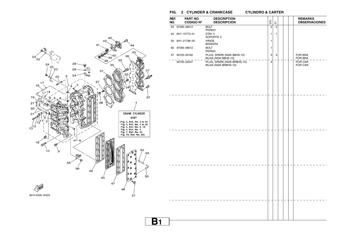**FIG. 2 CYLINDER & CRANKCASE CYLINDRO & CARTER**



| REF.<br>NO. | PART NO.<br><b>CODIGO Nº</b> | <b>DESCRIPTION</b><br><b>DESCRIPCION</b>           | EIO            | $\overleftarrow{\text{m}}$ |  | <b>REMARKS</b><br><b>OBSERVACIONES</b> |
|-------------|------------------------------|----------------------------------------------------|----------------|----------------------------|--|----------------------------------------|
|             | 53 97095-06012               | <b>BOLT</b><br>PERNO                               | $\overline{2}$ | $\overline{2}$             |  |                                        |
|             | 54 6H1-15773-01              | STAY 3<br>SOPORTE 3                                | $\mathbf{1}$   | 1                          |  |                                        |
|             | 55 6H1-21796-00              | <b>HINGE</b><br><b>BISAGRA</b>                     | $\mathbf{1}$   |                            |  |                                        |
|             | 56 97095-08012               | <b>BOLT</b><br>PERNO                               | $\mathbf{1}$   |                            |  |                                        |
|             | 57 94702-00160               | PLUG, SPARK (NGK B8HS-10)<br>BUJIA (NGK B8HS-10)   | $\mathbf{3}$   | 3                          |  | FOR BRA<br>FOR BRA                     |
|             | 94702-00247                  | PLUG, SPARK (NGK BR8HS-10)<br>BUJIA (NGK BR8HS-10) | $\sqrt{3}$     |                            |  | FOR CAR<br>FOR CAR                     |
|             |                              |                                                    |                |                            |  |                                        |
|             |                              |                                                    |                |                            |  |                                        |
|             |                              |                                                    |                |                            |  |                                        |
|             |                              |                                                    |                |                            |  |                                        |
|             |                              |                                                    |                |                            |  |                                        |
|             |                              |                                                    |                |                            |  |                                        |
|             |                              |                                                    |                |                            |  |                                        |
|             |                              |                                                    |                |                            |  |                                        |
|             |                              |                                                    |                |                            |  |                                        |
|             |                              |                                                    |                |                            |  |                                        |
|             |                              |                                                    |                |                            |  |                                        |
|             |                              |                                                    |                |                            |  |                                        |
|             |                              |                                                    |                |                            |  |                                        |
|             |                              |                                                    |                |                            |  |                                        |
|             |                              |                                                    |                |                            |  |                                        |
|             |                              |                                                    |                |                            |  |                                        |
|             |                              |                                                    |                |                            |  |                                        |
|             |                              |                                                    |                |                            |  |                                        |
|             |                              |                                                    |                |                            |  |                                        |
|             |                              |                                                    |                |                            |  |                                        |
|             |                              |                                                    |                |                            |  |                                        |
|             |                              |                                                    |                |                            |  |                                        |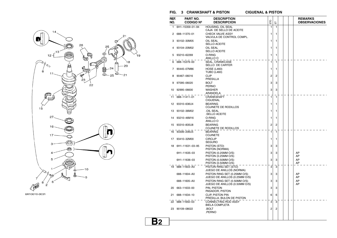

#### **FIG. 3 CRANKSHAFT & PISTON CIGUENAL & PISTON**

**CIGUENAL & PISTON** 

| REF.<br>NO. | PART NO.<br><b>CODIGO Nº</b> | <b>DESCRIPTION</b><br><b>DESCRIPCION</b>                      | ETO          | こ |  | <b>REMARKS</b><br><b>OBSERVACIONES</b> |
|-------------|------------------------------|---------------------------------------------------------------|--------------|---|--|----------------------------------------|
| 1           | 6H1-15359-01-94              | HOUSING, OIL SEAL<br>CAJA DE SELLO DE ACEITE                  | 1            | 1 |  |                                        |
| 2           | 688-11370-01                 | CHECK VALVE ASSY<br>VALVULA DE CONTROL COMPL.                 | 1            | 1 |  |                                        |
| з           | 93102-30M05                  | OIL SEAL<br><b>SELLO ACEITE</b>                               | 1            | 1 |  |                                        |
|             | 93104-20M02                  | <b>OIL SEAL</b><br>SELLO ACEITE                               | 1            | 1 |  |                                        |
| 5           | 93210-62269                  | O-RING<br>ANILLO O                                            | 1            | 1 |  |                                        |
| 6           | 688-15379-00                 | SEAL, CRANKCASE<br><b>SELLO DE CARTER</b>                     | $\mathbf{1}$ | 1 |  |                                        |
| 7           | 90445-07M86                  | <b>HOSE (L460)</b><br><b>TUBO (L460)</b>                      | 1            | 1 |  |                                        |
| 8           | 90467-06016                  | <b>CLIP</b><br>PRESILLA                                       | 2            | 2 |  |                                        |
| 9           | 97095-06020                  | <b>BOLT</b><br><b>PERNO</b>                                   | 3            | 3 |  |                                        |
| 10          | 92995-06600                  | <b>WASHER</b><br>ARANDELA                                     | 3            | 3 |  |                                        |
| 11          | 688-11411-01                 | <b>CRANKSHAFT</b><br><b>CIGUENAL</b>                          | 1            | 1 |  |                                        |
| 12          | 93310-636U4                  | <b>BEARING</b><br><b>COJINETE DE RODILLOS</b>                 | 1            | 1 |  |                                        |
| 13          | 93102-36M02                  | OIL SEAL<br>SELLO ACEITE                                      | 1            | 1 |  |                                        |
| 14          | 93210-46M16                  | O-RING<br>ANILLO O                                            | 1            | 1 |  |                                        |
| 15          | 93310-835U8                  | <b>BEARING</b><br>COJINETE DE RODILLOS                        | 2            | 2 |  |                                        |
| 16          | 93306-206U5                  | <b>BEARING</b><br><b>COJINETE</b>                             | 1            | 1 |  |                                        |
| 17          | 93410-32M00                  | <b>CIRCLIP</b><br><b>SEGURO</b>                               | 1            | 1 |  |                                        |
| 18          | 6H1-11631-03-95              | PISTON (STD)<br>PISTON (NORMA)                                | 3            | 3 |  |                                        |
|             | 6H1-11635-03                 | PISTON (0.25MM O/S)<br>PISTON (0.25MM O/S)                    | 3            | 3 |  | AP<br>AP                               |
|             | 6H1-11636-03                 | PISTON (0.50MM O/S)<br>PISTON (0.50MM O/S)                    | 3            | 3 |  | AP<br>AP                               |
| 19          | 688-11603-A0                 | PISTON RING SET (STD)<br>JUEGO DE ANILLOS (NORMA)             | 3            | 3 |  |                                        |
|             | 688-11604-A0                 | PISTON RING SET (0.25MM O/S)<br>JUEGO DE ANILLOS (0.25MM O/S) | 3            | 3 |  | AP<br>AP                               |
|             | 688-11605-A0                 | PISTON RING SET (0.50MM O/S)<br>JUEGO DE ANILLOS (0.50MM O/S) | 3            | 3 |  | AP<br>AP                               |
| 20          | 663-11633-00                 | PIN, PISTON<br>PASADOR, PISTON                                | 3            | 3 |  |                                        |
| 21          | 688-11634-10                 | CLIP, PISTON PIN<br>PRESILLA, BULON DE PISTON                 | 6            | 6 |  |                                        |
| 22          | 688-11650-03                 | CONNECTING ROD ASSY<br><b>BIELA COMPLETA</b>                  | 3            | 3 |  |                                        |
| 23          | 90109-08022                  | .BOLT<br>.PERNO                                               | 2            | 2 |  |                                        |
|             |                              |                                                               |              |   |  |                                        |

**B2**

١¢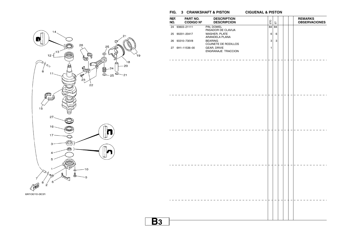

**B3**

| REF.<br>NO. | PART NO.<br><b>CODIGO Nº</b> | <b>DESCRIPTION</b><br><b>DESCRIPCION</b> | ETO | こ  |  | <b>REMARKS</b><br><b>OBSERVACIONES</b> |
|-------------|------------------------------|------------------------------------------|-----|----|--|----------------------------------------|
|             | 24 93603-21111               | PIN, DOWEL                               | 84  | 84 |  |                                        |
|             |                              | PASADOR DE CLAVIJA                       |     |    |  |                                        |
|             | 25 90201-20417               | WASHER, PLATE<br>ARANDELA PLANA          | 6   | 6  |  |                                        |
|             | 26 93310-730V8               | <b>BEARING</b>                           | 3   | 3  |  |                                        |
|             |                              | COJINETE DE RODILLOS                     |     |    |  |                                        |
|             | 27 6H1-11536-00              | GEAR, DRIVE                              | 1   |    |  |                                        |
|             |                              | ENGRANAJE TRACCION                       |     |    |  |                                        |
|             |                              |                                          |     |    |  |                                        |
|             |                              |                                          |     |    |  |                                        |
|             |                              |                                          |     |    |  |                                        |
|             |                              |                                          |     |    |  |                                        |
|             |                              |                                          |     |    |  |                                        |
|             |                              |                                          |     |    |  |                                        |
|             |                              |                                          |     |    |  |                                        |
|             |                              |                                          |     |    |  |                                        |
|             |                              |                                          |     |    |  |                                        |
|             |                              |                                          |     |    |  |                                        |
|             |                              |                                          |     |    |  |                                        |
|             |                              |                                          |     |    |  |                                        |
|             |                              |                                          |     |    |  |                                        |
|             |                              |                                          |     |    |  |                                        |
|             |                              |                                          |     |    |  |                                        |
|             |                              |                                          |     |    |  |                                        |
|             |                              |                                          |     |    |  |                                        |
|             |                              |                                          |     |    |  |                                        |
|             |                              |                                          |     |    |  |                                        |
|             |                              |                                          |     |    |  |                                        |
|             |                              |                                          |     |    |  |                                        |
|             |                              |                                          |     |    |  |                                        |
|             |                              |                                          |     |    |  |                                        |
|             |                              |                                          |     |    |  |                                        |
|             |                              |                                          |     |    |  |                                        |
|             |                              |                                          |     |    |  |                                        |
|             |                              |                                          |     |    |  |                                        |
|             |                              |                                          |     |    |  |                                        |
|             |                              |                                          |     |    |  |                                        |
|             |                              |                                          |     |    |  |                                        |
|             |                              |                                          |     |    |  |                                        |
|             |                              |                                          |     |    |  |                                        |
|             |                              |                                          |     |    |  |                                        |
|             |                              |                                          |     |    |  |                                        |
|             |                              |                                          |     |    |  |                                        |
|             |                              |                                          |     |    |  |                                        |
|             |                              |                                          |     |    |  |                                        |
|             |                              |                                          |     |    |  |                                        |

**CIGUENAL & PISTON** 

**FIG. 3 CRANKSHAFT & PISTON CIGUENAL & PISTON**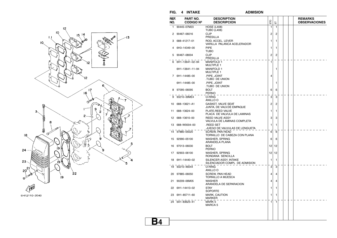

6H12110-2040

**FIG. 4 INTAKE ADMISION**

**ADMISION** 

| REF.<br>NO. | PART NO.<br><b>CODIGO Nº</b> | <b>DESCRIPTION</b><br><b>DESCRIPCION</b>               | ETO            | こ              |  | <b>REMARKS</b><br><b>OBSERVACIONES</b> |
|-------------|------------------------------|--------------------------------------------------------|----------------|----------------|--|----------------------------------------|
| 1.          | 90445-07M23                  | <b>HOSE (L408)</b><br><b>TUBO (L408)</b>               | 1              | 1              |  |                                        |
| 2           | 90467-06016                  | <b>CLIP</b><br><b>PRESILLA</b>                         | 2              | 2              |  |                                        |
| з           | 688-41217-01                 | ROD. ACCEL. LEVER<br>VARILLA PALANCA ACELERADOR        | 1              | 1              |  |                                        |
| 4           | 6H3-14349-00                 | PIPE<br>TUBO                                           | 1              | 1              |  |                                        |
| 5           | 90467-08004                  | <b>CLIP</b><br><b>PRESILLA</b>                         | $\overline{2}$ | $\overline{2}$ |  |                                        |
|             | 6 6H1-13641-02-94            | <b>MANIFOLD 1</b><br><b>MULTIPLE 1</b>                 | 1              |                |  |                                        |
|             | 6H1-13641-11-94              | <b>MANIFOLD 1</b><br><b>MULTIPLE 1</b>                 |                | 1              |  |                                        |
|             | 7 6H1-14485-00               | PIPE, JOINT<br>TUBO DE UNION.                          | 4              |                |  |                                        |
|             | 6H1-14485-00                 | PIPE, JOINT<br>TUBO DE UNION                           |                | 1              |  |                                        |
|             | 8 97095-06095                | <b>BOLT</b><br><b>PERNO</b>                            | 6              | 6              |  |                                        |
| 9           | 93210–39ME4                  | O-RING<br>ANILLO O                                     | 3              | 3              |  |                                        |
| 10          | 688-13621-A1                 | <b>GASKET, VALVE SEAT</b><br>JUNTA, DE VALV.DE EMPAQUE | 2              | 2              |  |                                        |
| 11          | 688-13624-00                 | PLATE, REED VALVE<br>PLACA DE VALVULA DE LAMINAS       | 1              | 1              |  |                                        |
| 12          | 688-13610-00                 | <b>REED VALVE ASSY</b><br>VALVULA DE LAMINAS COMPLETA  | 3              | 3              |  |                                        |
|             | 13 688-W0004-00              | <b>.REED SET</b><br>JUEGO DE VALVULAS DE LENGUETA      | 1              | 1              |  |                                        |
|             | 14 97880-05020               | <b>SCREW. PAN HEAD</b><br>TORNILLO DE CABEZA CON PLANA | 6              | 6              |  |                                        |
|             | 15 92990-05100               | WASHER, SPRING<br>ARANDELA PLANA                       | 6              | 6              |  |                                        |
| 16          | 97013-06030                  | <b>BOLT</b><br><b>PERNO</b>                            | 12             | 12             |  |                                        |
| 17          | 92903-06100                  | <b>WASHER, SPRING</b><br>RONDANA SENCILLA              | 12             | 12             |  |                                        |
|             | 18 6H1-14440-02              | SILENCER ASSY, INTAKE<br>SILENCIADOR COMPL DE ADMISION | 1              | 1              |  |                                        |
|             | 19 93210-46044               | O-RING<br>ANILLO O                                     | 3              | 3              |  |                                        |
| 20          | 97885-06050                  | <b>SCREW, PAN HEAD</b><br>TORNILLO A MUESCA            | 4              | 4              |  |                                        |
| 21          | 90209-06M05                  | <b>WASHER</b><br>ARANDELA DE SEPARACION                | 4              | 4              |  |                                        |
| 22          | 6H1-14413-02                 | <b>STAY</b><br><b>SOPORTE</b>                          | 1              | 1              |  |                                        |
|             | 23 6H1-85711-60              | MARK, CAUTION<br>MARKER                                | 1              | 1              |  |                                        |
|             | 24 6A1-83625-41              | MARK <sub>5</sub><br>MARCA <sub>5</sub>                | 1              | 1              |  |                                        |
|             |                              |                                                        |                |                |  |                                        |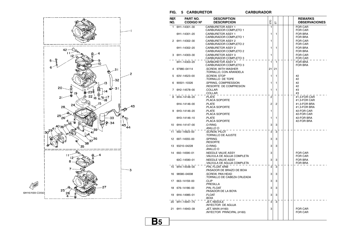

#### $FIG. 5 CARBURETOR$

#### **CARBURADOR**

| REF.<br>NO. | <b>PART NO.</b>  | <b>DESCRIPTION</b>                                | ETO            |                |  | <b>REMARKS</b>                   |
|-------------|------------------|---------------------------------------------------|----------------|----------------|--|----------------------------------|
|             | <b>CODIGO Nº</b> | <b>DESCRIPCION</b>                                |                | 듮              |  | <b>OBSERVACIONES</b>             |
| 1           | 6H1-14301-30     | <b>CARBURETOR ASSY 1</b><br>CARBURADOR COMPLETO 1 | 1              |                |  | <b>FOR CAR</b><br>FOR CAR        |
|             | 6H1-14301-20     | <b>CARBURETOR ASSY 1</b><br>CARBURADOR COMPLETO 1 | 1              | 1              |  | <b>FOR BRA</b><br><b>FOR BRA</b> |
| 2           | 6H1-14302-30     | <b>CARBURETOR ASSY 2</b><br>CARBURADOR COMPLETO 2 | 1              |                |  | <b>FOR CAR</b><br><b>FOR CAR</b> |
|             | 6H1-14302-20     | <b>CARBURETOR ASSY 2</b><br>CARBURADOR COMPLETO 2 | 1              | 1              |  | <b>FOR BRA</b><br>FOR BRA        |
|             | 6H1-14303-30     | <b>CARBURETOR ASSY 3</b><br>CARBURADOR COMPLETO 3 | 1              |                |  | <b>FOR CAR</b><br>FOR CAR        |
|             | 6H1-14303-20     | <b>CARBURETOR ASSY 3</b><br>CARBURADOR COMPLETO 3 | 1              | $\overline{1}$ |  | <b>FOR BRA</b><br><b>FOR BRA</b> |
|             | 97980-04114      | .SCREW, WITH WASHER<br>.TORNILLO, CON ARANDELA    | 21             | 21             |  |                                  |
| 5           | 63V-14523-00     | .SCREW. STOP<br>TORNILLO DE TOPE                  | 1              | 1              |  | #2<br>#2                         |
| 6           | 90501-10326      | .SPRING, COMPRESSION<br>.RESORTE DE COMPRESION    | 1              | 1              |  | #2<br>#2                         |
|             | 6H2-14578-00     | .COLLAR<br>.COLLAR                                | 1              | 1              |  | #3<br>#3                         |
| 8           | 6H4-14146-20     | .PLATE<br>PLACA SOPORTE.                          | $\overline{2}$ |                |  | #1.3-FOR CAR<br>#1,3-FOR CAR     |
|             | 6H4-14146-00     | .PLATE<br>PLACA SOPORTE                           | 2              | 2              |  | #1,3-FOR BRA<br>#1,3-FOR BRA     |
| 9           | 6H3-14146-20     | .PLATE<br>.PLACA SOPORTE                          | 1              |                |  | #2-FOR CAR<br>#2-FOR CAR         |
|             | 6H3-14146-10     | .PLATE<br>PLACA SOPORTE.                          | 1              | 1              |  | #2-FOR BRA<br>#2-FOR BRA         |
|             | 10 6H4-14147-00  | .O-RING<br>.ANILLO O                              | 3              | 3              |  |                                  |
| 11          | 692-14923-00     | .SCREW, PILOT<br>TORNILLO DE AJUSTE               | 3              | 3              |  |                                  |
| 12          | 697-14555-00     | .SPRING<br>.RESORTE                               | 3              | 3              |  |                                  |
| 13          | 93210-04228      | .O-RING<br>.ANILLO O                              | 3              | 3              |  |                                  |
| 14          | 692–14590–01     | .NEEDLE VALVE ASSY<br>VALVULA DE AGUJA COMPLETA   | 3              |                |  | <b>FOR CAR</b><br><b>FOR CAR</b> |
|             | 60C-14590-01     | .NEEDLE VALVE ASSY<br>VALVULA DE AGUJA COMPLETA   | 3              | 3              |  | <b>FOR BRA</b><br><b>FOR BRA</b> |
| 15          | 6H4-14548-00     | PIN. FLOAT ARM<br>PASADOR DE BRAZO DE BOIA        | 3              | 3              |  |                                  |
| 16          | 98580-04008      | .SCREW, PAN HEAD<br>TORNILLO DE CABEZA CRUZADA    | 3              | 3              |  |                                  |
| 17          | 663-14159-00     | .CLIP<br>.PRESILLA                                | 3              | 3              |  |                                  |
| 18          | 676-14186-00     | PIN, FLOAT<br>PASADOR DE LA BOYA                  | 3              | 3              |  |                                  |
| 19          | 6H4-14985-01     | .FLOAT<br><b>BOIA</b>                             | 3              | 3              |  |                                  |
| 20          | 6H1-14947-75     | .JET, NEEDLE<br>INYECTOR DE AGUJA                 | 3              | 3              |  |                                  |
| 21          | 6H1-14943-39     | .JET, MAIN (#160)<br>.INYECTOR PRINCIPAL (#160)   | 3              |                |  | <b>FOR CAR</b><br><b>FOR CAR</b> |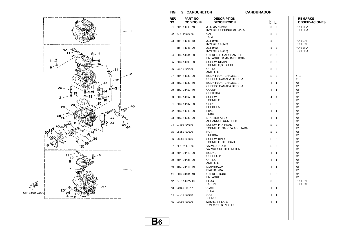

#### $FIG. 5 CARBURETOR$

#### **CARBURADOR**

| REF.<br>NO. | PART NO.<br><b>CODIGO Nº</b> | <b>DESCRIPTION</b><br><b>DESCRIPCION</b>             | ETO            | こ              |  | <b>REMARKS</b><br><b>OBSERVACIONES</b> |
|-------------|------------------------------|------------------------------------------------------|----------------|----------------|--|----------------------------------------|
| 21          | 6H1-14943-40                 | .JET, MAIN (#165)<br>.INYECTOR PRINCIPAL (#165)      | 3              | 3              |  | <b>FOR BRA</b><br><b>FOR BRA</b>       |
| 22          | 676-14966-00                 | .CAP<br>.TAPA                                        | 3              | 3              |  |                                        |
| 23          | 6H1-14948-18                 | .JET (#78)<br>.INYECTOR (#78)                        | 3              |                |  | <b>FOR CAR</b><br><b>FOR CAR</b>       |
|             | 6H1-14948-20                 | .JET (#82)<br>.INYECTOR (#82)                        | 3              | 3              |  | <b>FOR BRA</b><br><b>FOR BRA</b>       |
|             | 24 6H4-14984-00              | .GASKET, FLOAT CHAMBER<br>EMPAQUE CAMARA DE BOIA     | 3              | 3              |  |                                        |
| 25          | 6H3-14992-00                 | .SCREW. DRAIN<br>.TORNILLO, SEGURO                   | 3              | 3              |  |                                        |
| 26          | 93210-04230                  | .O-RING<br>.ANILLO O                                 | 3              | 3              |  |                                        |
| 27          | 6H4-14980-00                 | <b>.BODY, FLOAT CHAMBER</b><br>CUERPO CAMARA DE BOIA | 2              | 2              |  | #1,3<br>#1,3                           |
| 28          | 6H3-14980-10                 | <b>.BODY, FLOAT CHAMBER</b><br>CUERPO CAMARA DE BOIA | 1              | 1              |  | #2<br>#2                               |
| 29          | 6H3-24452-10                 | .COVER<br>.CUBIERTA                                  | 1              | 1              |  | #2<br>#2                               |
| 30          | 6H4-14567-00                 | .SCREW<br>.TORNILLO                                  | 4              | 4              |  | #2<br>#2                               |
| 31          | 6H3-14137-00                 | .CLIP<br>.PRESILLA                                   | 2              | 2              |  | #2<br>#2                               |
| 32          | 6H3-14349-00                 | .PIPE<br>TUBO.                                       | 1              | 1              |  | #2<br>#2                               |
| 33          | 6H3-14380-00                 | <b>STARTER ASSY</b><br>ARRANQUE COMPLETO             | 1              | 1              |  | #2<br>#2                               |
| 34          | 97803-04010                  | .SCREW. PAN HEAD<br>TORNILLO CABEZA ABULTADA         | $\overline{2}$ | $\overline{2}$ |  | #2<br>#2                               |
| 35          | 95380-03600                  | .NUT<br>.TUERCA                                      | $\overline{2}$ | $\overline{2}$ |  | #2<br>#2                               |
| 36          | 98980-03006                  | .SCREW, BIND<br>TORNILLO DE LIGAR                    | 2              | $\overline{2}$ |  | #2<br>#2                               |
| 37          | 6L5-24421-00                 | .VALVE, CHECK<br>VALVULA DE RETENCION                | $\overline{2}$ | $\overline{2}$ |  | #2<br>#2                               |
| 38          | 6H4-24413-00                 | BODY 2<br>CUERPO <sub>2</sub>                        | 1              | 1              |  | #2<br>#2                               |
| 39          | 6H4-24486-00                 | .O-RING<br>.ANILLO O                                 | 1              | 1              |  | #2<br>#2                               |
| 40          | 6H3-24411-10                 | .DIAPHRAGM<br>.DIAFRAGMA                             | 1              | 1              |  | #2<br>#2                               |
| 41          | 6H3-24434-10                 | .GASKET, BODY<br>.EMPAQUE                            | 2              | 2              |  | #2<br>#2                               |
| 42          | 67C-1432A-00                 | .PLUG<br>.TAPON                                      | 3              |                |  | <b>FOR CAR</b><br><b>FOR CAR</b>       |
| 43          | 90465-18147                  | <b>CLAMP</b><br><b>BRIDA</b>                         | 1              | 1              |  |                                        |
| 44          | 97013-06012                  | <b>BOLT</b><br><b>PERNO</b>                          | 1              | 1              |  |                                        |
|             | 45 92903-06600               | <b>WASHER, PLATE</b><br>RONDANA SENCILLA             | 1              | $\mathbf{1}$   |  |                                        |
|             |                              |                                                      |                |                |  |                                        |
|             |                              |                                                      |                |                |  |                                        |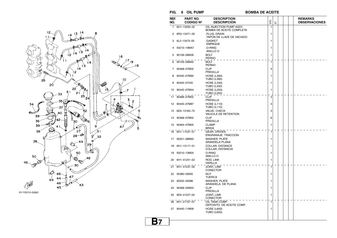

6H10010-0060

#### $FIG. 6 OIL PUMP$

**BOMBA DE ACEITE** 

| REF.<br>NO. | PART NO.<br><b>CODIGO Nº</b> | <b>DESCRIPTION</b><br><b>DESCRIPCION</b>            | ETO | 늡 |  | <b>REMARKS</b><br><b>OBSERVACIONES</b> |
|-------------|------------------------------|-----------------------------------------------------|-----|---|--|----------------------------------------|
| 1.          | 6H1-13200-02                 | OIL INJECTION PUMP ASSY<br>BOMBA DE ACEITE COMPLETA | 1   |   |  |                                        |
| 2           | 6R3-13471-00                 | .PLUG, DRAIN<br>TAPON DE LLAVE DE VACIADO           | 1   |   |  |                                        |
| 3           | 6L2-13475-00                 | .GASKET<br>.EMPAQUE                                 | 1   |   |  |                                        |
| 4           | 93210-19MA7                  | .O-RING<br>ANILLO O.                                | 1   |   |  |                                        |
| 5           | 90109-06M39                  | <b>BOLT</b><br><b>PERNO</b>                         | 1   |   |  |                                        |
| 6           | 90109-06M40                  | <b>BOLT</b><br><b>PERNO</b>                         | 1   |   |  |                                        |
| 7           | 90468-07M02                  | <b>CLIP</b><br><b>PRESILLA</b>                      | 3   |   |  |                                        |
| 8           | 90445-07M90                  | <b>HOSE (L390)</b><br><b>TUBO (L390)</b>            | 1   |   |  |                                        |
| 9           | 90445-07240                  | <b>HOSE (L330)</b><br><b>TUBO (L330)</b>            | 1   |   |  |                                        |
| 10          | 90445–07M44                  | <b>HOSE (L250)</b><br><b>TUBO (L250)</b>            | 1   |   |  |                                        |
| 11          | 90468-07M02                  | <b>CLIP</b><br><b>PRESILLA</b>                      | 3   |   |  |                                        |
|             | 12 90445-07M87               | <b>HOSE (L110)</b><br><b>TUBO (L110)</b>            | 3   |   |  |                                        |
| 13          | 6E9-13183-70                 | VALVE, CHECK<br>VALVULA DE RETENTION                | 3   |   |  |                                        |
|             | 14 90468-07M02               | <b>CLIP</b><br><b>PRESILLA</b>                      | 6   |   |  |                                        |
| 15          | 90464-07M05                  | <b>CLAMP</b><br>BRIDA                               | 1   |   |  |                                        |
|             | 16 6H1-11537-01              | GEAR, DRIVEN<br>ENGRANAJE TRACCION                  | 1   |   |  |                                        |
|             | 17 90201-08M93               | <b>WASHER, PLATE</b><br>ARANDELA PLANA              | 1   |   |  |                                        |
|             | 18 6H1-13117-01              | COLLAR, DISTANCE<br>COLLAR, DISTANCIA               | 1   |   |  |                                        |
| 19          | 93210-13M04                  | O-RING<br>ANILLO O                                  | 1   |   |  |                                        |
| 20          | 6H1-41241-02                 | ROD, LINK<br>VARILLA                                | 1   |   |  |                                        |
|             | 21 6H1-41237-00              | <b>JOINT, LINK</b><br><b>CONECTOR</b>               | 1   |   |  |                                        |
| 22          | 95380-05600                  | NUT<br><b>TUERCA</b>                                | 1   |   |  |                                        |
| 23          | 90202-05088                  | <b>WASHER, PLATE</b><br>ARANDELA DE PLANA           | 1   |   |  |                                        |
| 24          | 90468-05M03                  | <b>CLIP</b><br>PRESILLA                             | 1   |   |  |                                        |
|             | 25 6E9-41237-00              | JOINT, LINK<br>CONECTOR                             | 1   |   |  |                                        |
|             | 26 6H1-21707-07              | OIL TANK COMP.<br>DEPOSITO DE ACEITE COMP.          | 1   |   |  |                                        |
|             | 27 90445-11M09               | <b>HOSE (L600)</b><br><b>TUBO (L600)</b>            | 1   |   |  |                                        |
|             |                              |                                                     |     |   |  |                                        |
|             |                              |                                                     |     |   |  |                                        |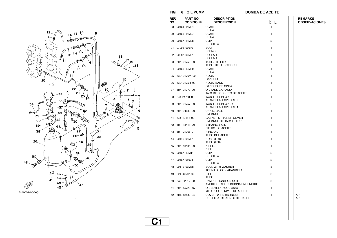

6H10010-0060

 $FIG. 6 OIL PUMP$ 

**BOMBA DE ACEITE** 

| REF.<br>NO. | PART NO.<br><b>CODIGO Nº</b> | <b>DESCRIPTION</b><br><b>DESCRIPCION</b>                 | EЮ             | こ |  | <b>REMARKS</b><br><b>OBSERVACIONES</b> |
|-------------|------------------------------|----------------------------------------------------------|----------------|---|--|----------------------------------------|
| 28          | 90464-11M24                  | <b>CLAMP</b><br><b>BRIDA</b>                             | 1              |   |  |                                        |
| 29          | 90465-11M27                  | <b>CLAMP</b><br><b>BRIDA</b>                             | 1              |   |  |                                        |
| 30          | 90467-11M08                  | <b>CLIP</b><br>PRESILLA                                  | $\overline{c}$ |   |  |                                        |
| 31          | 97095-06016                  | <b>BOLT</b><br><b>PERNO</b>                              | 1              |   |  |                                        |
|             | 32 90387-06M31               | COLLAR<br>COLLAR                                         | 1              |   |  |                                        |
| 33          | 6H1-21752-00                 | TUBE, FILLER 1<br>TUBO DE LLENADOR 1                     | 1              |   |  |                                        |
| 34          | 90465-13M30                  | <b>CLAMP</b><br><b>BRIDA</b>                             | 1              |   |  |                                        |
| 35          | 63D-2176M-00                 | <b>HOOK</b><br><b>GANCHO</b>                             | 1              |   |  |                                        |
| 36          | 63D-2175R-00                 | HOOK, BAND<br><b>GANCHO DE CINTA</b>                     | 1              |   |  |                                        |
| 37          | 6H4-21770-00                 | OIL TANK CAP ASSY<br>TAPA DE DEPOSITO DE ACEITE          | 1              |   |  |                                        |
| 38          | 6J8-21758-00                 | WASHER, SPECIAL 2<br>ARANDELA ESPECIAL 2                 | 1              |   |  |                                        |
| 39          | 6H1-21757-00                 | WASHER, SPECIAL 1<br>ARANDELA ESPECIAL 1                 | 2              |   |  |                                        |
| 40          | 6H1-24633-00                 | CHAIN. BALL<br><b>EMPAQUE</b>                            | 1              |   |  |                                        |
| 41          | 6J8-13414-00                 | <b>GASKET, STRAINER COVER</b><br>EMPAQUE DE TAPA FILTRO  | 1              |   |  |                                        |
|             | 42 6H1-13411-00              | STRAINER, OIL<br>FILTRO DE ACEITE                        | 1              |   |  |                                        |
|             | 43 6H1-21766-01              | PIPE, OIL<br>TUBO DEL ACEITE                             | 1              |   |  |                                        |
| 44          | 90445-08M01                  | HOSE (L30)<br><b>TUBO (L30)</b>                          | 1              |   |  |                                        |
| 45          | 6H1-13435-00                 | <b>NIPPLE</b><br><b>NIPLE</b>                            | 1              |   |  |                                        |
| 46          | 90467-12M11                  | <b>CLIP</b><br><b>PRESILLA</b>                           | $\overline{2}$ |   |  |                                        |
| 47          | 90467-08004                  | <b>CLIP</b><br>PRESILLA                                  | $\overline{2}$ |   |  |                                        |
| 48          | 90119-06M88                  | <b>BOLT. WITH WASHER</b><br>TORNILLO CON ARANDELA        | 3              |   |  |                                        |
| 49          | 624-42542-00                 | <b>PIPE</b><br><b>TUBO</b>                               | 3              |   |  |                                        |
| 50          | 6A0-82317-00                 | DAMPER, IGNITION COIL<br>AMORTIGUADOR BOBINA ENCENDIDO   | 3              |   |  |                                        |
| 51          | 6H1-85720-15                 | OIL LEVEL GAUGE ASSY<br>MEDIDOR DE NIVEL DE ACEITE       | 1              |   |  |                                        |
|             | 52 6R5-82582-B0              | <b>COVER, WIRE HARNESS</b><br>CUBIERTA DE ARNES DE CABLE | 1              |   |  | AP<br>AP                               |
|             |                              |                                                          |                |   |  |                                        |
|             |                              |                                                          |                |   |  |                                        |
|             |                              |                                                          |                |   |  |                                        |

**C1**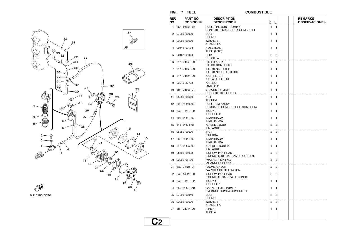

6H16100-C070

|    | REF.<br>NO. | PART NO.<br><b>CODIGO Nº</b> | <b>DESCRIPTION</b><br><b>DESCRIPCION</b>                      | ETO            | こ              |  | <b>REMARKS</b><br><b>OBSERVACIONES</b> |
|----|-------------|------------------------------|---------------------------------------------------------------|----------------|----------------|--|----------------------------------------|
|    | 1.          | 6G1-24304-02                 | FUEL PIPE JOINT COMP. 1<br><b>CONECTOR MANGUERA COMBUST.1</b> | $\mathbf{1}$   | $\mathbf{1}$   |  |                                        |
|    |             | 2 97095-06020                | <b>BOLT</b><br><b>PERNO</b>                                   | 1              | 1              |  |                                        |
|    | 3           | 92995-06600                  | <b>WASHER</b><br>ARANDELA                                     | 1              | 1              |  |                                        |
|    | 4           | 90445-09104                  | <b>HOSE (L300)</b><br><b>TUBO (L300)</b>                      | 1              | 1              |  |                                        |
|    |             | 5 90467-08004                | <b>CLIP</b><br>PRESILLA                                       | 2              | $\overline{2}$ |  |                                        |
|    |             | 6 61N-24560-00               | <b>FILTER ASSY</b><br><b>FILTRO COMPLETO</b>                  | 1              | 1              |  |                                        |
|    |             | 7 61N-24563-00               | <b>.ELEMENT, FILTER</b><br>ELEMENTO DEL FILTRO                | 1              | 1              |  |                                        |
|    | 8           | 61N-24521-00                 | .CUP, FILTER<br>COPA DE FILTRO                                | 1              | 1              |  |                                        |
|    | 9           | 93210-32738                  | .O-RING<br>.ANILLO O                                          | 1              | 1              |  |                                        |
|    |             | 10 6H1-24566-01              | <b>BRACKET, FILTER</b><br>SOPORTE DEL FILTRO                  | 1              | 1              |  |                                        |
|    | 11          | 95380-08600                  | NUT<br><b>TUERCA</b>                                          | 1              | -1             |  |                                        |
|    |             | 12 692-24410-00              | <b>FUEL PUMP ASSY</b><br>BOMBA DE COMBUSTIBLE COMPLETA        | 1.             | 1              |  |                                        |
|    |             | 13 6A0-24413-00              | BODY 2.<br>.CUERPO 2                                          | 1              | 1              |  |                                        |
|    |             | 14 692-24411-00              | .DIAPHRAGM<br>.DIAFRAGMA                                      | 1              | 1              |  |                                        |
|    |             | 15 648-24434-01              | .GASKET, BODY<br>.EMPAQUE                                     | 2              | $\overline{2}$ |  |                                        |
|    |             | 16 95380-03600               | .NUT<br>.TUERCA                                               | 2              | 2              |  |                                        |
| 15 |             | 17 663-24411-00              | .DIAPHRAGM<br>.DIAFRAGMA                                      | 1              | 1              |  |                                        |
|    |             | 18 648-24435-02              | .GASKET, BODY 2<br>EMPAQUE.                                   | 1              | 1              |  |                                        |
|    | 19          | 98503-05028                  | SCREW, PAN HEAD<br>TORNILLO DE CABEZA DE CONO AC              | 3              | 3              |  |                                        |
|    | 20          | 92990-05100                  | .WASHER, SPRING<br>ARANDELA PLANA.                            | 3              | 3              |  |                                        |
|    |             | 21 6A0-24421-01              | .VALVE, CHECK<br>VALVULA DE RETENCION.                        | 2              | $\overline{2}$ |  |                                        |
|    | 22          | 6A0-14325-00                 | SCREW, PAN HEAD<br>TORNILLO CABEZA REDONDA                    | 2              | 2              |  |                                        |
|    | 23          | 6A0-24412-02                 | BODY 1.<br>CUERPO 1.                                          | 1              | 1              |  |                                        |
|    | 24          | 650-24431-A0                 | GASKET, FUEL PUMP 1<br>EMPAQUE BOMBA COMBUST 1                | 1.             | 1              |  |                                        |
|    |             | 25 97095-06040               | BOLT<br>PERNO                                                 | 2              | 2              |  |                                        |
|    |             | 26 92995-06600               | <b>WASHER</b><br>ARANDELA                                     | $\overline{c}$ | 2              |  |                                        |
|    |             | 27 6H1-24314-00              | PIPE 4<br>TUBO 4                                              | 1              | 1.             |  |                                        |
|    |             |                              |                                                               |                |                |  |                                        |
|    |             |                              |                                                               |                |                |  |                                        |

**FIG. 7 FUEL COMBUSTIBLE**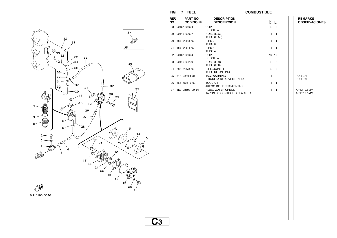

**FIG. 7 FUEL COMBUSTIBLEREF.NO. PART NO.CODIGO Nº DESCRIPTIONDESCRIPCION** ETO  $\overline{\mathbb{E}}$ **REMARKS OBSERVACIONES** 28 90467–08004 CLIP PRESILLA 2 229 90445–09097 HOSE (L250) TUBO (L250)  $1$  1 30 688–24313–00 PIPE 3 TUBO 3 1 131 688–24314–00 PIPE 4 TUBO 4  $1$  1 32 90467–08004 CLIP PRESILLA $\frac{1}{0}$  – – – – – HOSE (L30) 10 10 33 90445–09220TUBO (L30) 2 2 34 688–24378–00 PIPE, JOINT 4 TUBO DE UNION 4 2 235 61H–2819R–31 TAG, WARNING ETIQUETA DE ADVERTENCIA1 | FOR CAR FOR CAR36 656–W2810–02 TOOL KIT JUEGO DE HERRAMIENTAS  $1$  1 37 6E0–28193–00–94 PLUG, WATER CHECK TAPON DE CONTROL DE LA AGUA 1 1 | | | | AP D:12.5MM AP D:12.5MM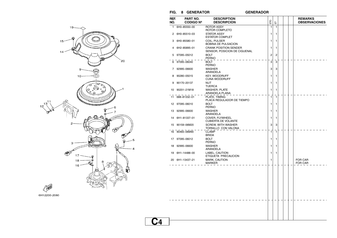

#### $FIG. 8$  **GENERATOR**

#### **GENERADOR**

| REF.<br>NO. | PART NO.<br><b>CODIGO Nº</b> | <b>DESCRIPTION</b><br><b>DESCRIPCION</b>                     | ETO          | こ            | <b>REMARKS</b><br><b>OBSERVACIONES</b> |
|-------------|------------------------------|--------------------------------------------------------------|--------------|--------------|----------------------------------------|
| 1           | 6H0-85550-00                 | <b>ROTOR ASSY</b><br>ROTOR COMPLETO                          | $\mathbf{1}$ | $\mathbf{1}$ |                                        |
| 2           | 6H0-85510-03                 | <b>STATOR ASSY</b><br><b>ESTATOR COMPLET</b>                 | 1            | 1            |                                        |
| 3           | 6H0-85580-01                 | COIL, PULSER<br><b>BOBINA DE PULSACION</b>                   | 1            | 1            |                                        |
| 4           | 6H2-85895-01                 | <b>CRANK POSITION SENDER</b><br>SENSOR, POSICION DE CIGUENAL | 1            | 1            |                                        |
| 5           | 97095-05012                  | <b>BOLT</b><br><b>PERNO</b>                                  | 2            | 2            |                                        |
| 6           | 97095-06040                  | <b>BOLT</b><br><b>PERNO</b>                                  | 3            | 3            |                                        |
| 7           | 92995-06600                  | <b>WASHER</b><br>ARANDELA                                    | 3            | 3            |                                        |
| 8           | 90280-05015                  | <b>KEY, WOODRUFF</b><br><b>CUNA WOODRUFF</b>                 | 1            | 1            |                                        |
| 9           | 90170-20137                  | <b>NUT</b><br><b>TUERCA</b>                                  | 1            | 1            |                                        |
| 10          | 90201-21M18                  | WASHER, PLATE<br>ARANDELA PLANA                              | 1            | 1            |                                        |
|             | 11 688-81332-01              | PLATE, TIMING<br>PLACA REGULADOR DE TIEMPO                   | 1            | 1            |                                        |
|             | 12 97095-06010               | <b>BOLT</b><br><b>PERNO</b>                                  | 1            | 1            |                                        |
| 13          | 92995-06600                  | <b>WASHER</b><br>ARANDELA                                    | 1            | 1            |                                        |
| 14          | 6H1-81337-01                 | COVER, FLYWHEEL<br><b>CUBIERTA DE VOLANTE</b>                | 1            | 1            |                                        |
| 15          | 90159–06M20                  | <b>SCREW, WITH WASHER</b><br>TORNILLO CON VALONA             | 3            | 3            |                                        |
| 16          | 90465-06M90                  | <b>CLAMP</b><br><b>BRIDA</b>                                 | $\mathbf{1}$ | $\mathbf{1}$ |                                        |
|             | 17 97095-06012               | <b>BOLT</b><br><b>PERNO</b>                                  | 1            | 1            |                                        |
| 18          | 92995-06600                  | <b>WASHER</b><br>ARANDELA                                    | 1            | 1            |                                        |
| 19          | 6H1-14488-00                 | LABEL, CAUTION<br>ETIQUETA PRECAUCION                        | 1            | 1            |                                        |
|             | 20 6H1-13437-21              | MARK, CAUTION<br><b>MARKER</b>                               | 1            |              | <b>FOR CAR</b><br>FOR CAR              |
|             |                              |                                                              |              |              |                                        |
|             |                              |                                                              |              |              |                                        |
|             |                              |                                                              |              |              |                                        |
|             |                              |                                                              |              |              |                                        |
|             |                              |                                                              |              |              |                                        |
|             |                              |                                                              |              |              |                                        |
|             |                              |                                                              |              |              |                                        |
|             |                              |                                                              |              |              |                                        |

**C4**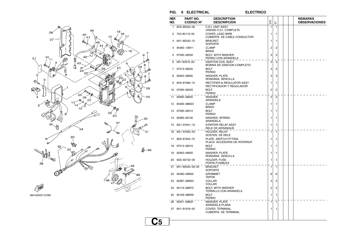

**ELECTRICO** 



6H16300-C090

|                      | REF.<br>NO. | PART NO.<br><b>CODIGO Nº</b> | <b>DESCRIPTION</b><br><b>DESCRIPCION</b>                          | ETO                     | こ              |  | <b>REMARKS</b><br><b>OBSERVACIONES</b> |
|----------------------|-------------|------------------------------|-------------------------------------------------------------------|-------------------------|----------------|--|----------------------------------------|
|                      | 1.          | 6H0-85540-06                 | <b>C.D.I. UNIT ASSY</b><br>UNIDAD C.D.I. COMPLETA                 | 1                       | $\mathbf{1}$   |  |                                        |
|                      |             | 2 703-82119-00               | COVER, LEAD WIRE<br><b>CUBIERTA DE CABLE CONDUCTOR</b>            | 1                       | 1              |  |                                        |
|                      | 3           | 6H1-85542-10                 | <b>BRACKET</b><br><b>SOPORTE</b>                                  | 1                       | 1              |  |                                        |
|                      | 4           | 90465-13M11                  | <b>CLAMP</b><br><b>BRIDA</b>                                      | 2                       | 2              |  |                                        |
| 7                    |             | 5 97595-06550                | <b>BOLT, WITH WASHER</b><br>PERNO CON ARANDELA                    | 3                       | 3              |  |                                        |
| Ø<br>7               | 6           | 697-85570-00                 | <b>IGNITION COIL ASSY</b><br><b>BOBINA DE IGNICION COMPLETO</b>   | 3                       | 3              |  |                                        |
| øØ<br>$\overline{7}$ | 7           | 97013-06020                  | <b>BOLT</b><br><b>PERNO</b>                                       | 3                       | 3              |  |                                        |
|                      | 8           | 92903-06600                  | <b>WASHER, PLATE</b><br>RONDANA SENCILLA                          | 3                       | 3              |  |                                        |
| <b>RODO</b>          | 9           | 6H0-81960-10                 | <b>RECTIFIER &amp; REGULATOR ASSY</b><br>RECTIFICADOR Y REGULADOR | 1                       | 1              |  |                                        |
| 29                   | 10          | 97095-06020                  | <b>BOLT</b><br><b>PERNO</b>                                       | 2                       | 2              |  |                                        |
| 29                   | 11          | 92995-06600                  | <b>WASHER</b><br>ARANDELA                                         | $\overline{\mathbf{c}}$ | 2              |  |                                        |
|                      | 12          | 90465-08M23                  | <b>CLAMP</b><br><b>BRIDA</b>                                      | 1                       | 1              |  |                                        |
|                      | 13          | 97095-06012                  | <b>BOLT</b><br><b>PERNO</b>                                       | 1                       | 1              |  |                                        |
| 0                    |             | 14 92995-06100               | <b>WASHER, SPRING</b><br>ARANDELA                                 | 1                       | 1              |  |                                        |
| D                    | 15          | 6G1–81941–10                 | STARTER RELAY ASSY<br>RELE DE ARRANQUE                            | 1                       | $\mathbf{1}$   |  |                                        |
| 31                   |             | 16 6G1-81952-00              | HOLDER, RELAY<br>SOSTEN DE RELE                                   | 1                       | $\mathbf{1}$   |  |                                        |
|                      | 17          | 6E9-81945-70                 | PLATE, SWITCH FITTING<br>PLACA ACCESORIA DE INTERRUP.             | 1                       | 1              |  |                                        |
| -50                  | 18          | 97013-06016                  | <b>BOLT</b><br><b>PERNO</b>                                       | 1                       | 1              |  |                                        |
|                      | 19          | 92903-06600                  | <b>WASHER, PLATE</b><br>RONDANA SENCILLA                          | 1                       | 1              |  |                                        |
|                      | 20          | 6G5-82152-00                 | HOLDER, FUSE<br>PORTA-FUSIBLES                                    | 1                       | 1              |  |                                        |
|                      |             | 21 6H1-85542-00-94           | <b>BRACKET</b><br><b>SOPORTE</b>                                  | 1                       | $\mathbf{1}$   |  |                                        |
|                      | 22          | 90480-09M25                  | <b>GROMMET</b><br><b>TAPON</b>                                    | 6                       | 6              |  |                                        |
|                      | 23          | 90387-06M03                  | <b>COLLAR</b><br><b>COLLAR</b>                                    | 3                       | 3              |  |                                        |
|                      |             | 24 90119-06M75               | <b>BOLT, WITH WASHER</b><br>TORNILLO CON ARANDELA                 | 2                       | 2              |  |                                        |
|                      | 25          | 90109-06M39                  | BOLT<br>PERNO                                                     | 1                       | 1              |  |                                        |
|                      |             | 26 90201-06M31               | <b>WASHER, PLATE</b><br>ARANDELA PLANA                            | 1                       | $\overline{1}$ |  |                                        |
|                      |             | 27 6H1-81916-00              | COVER, TERMINAL<br><b>CUBIERTA DE TERMINAL</b>                    | 1                       | 1              |  |                                        |
| U5                   |             |                              |                                                                   |                         |                |  |                                        |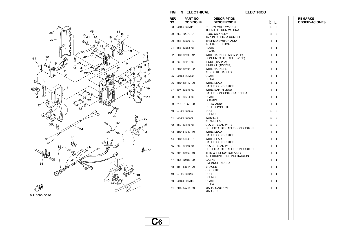

**FIG. 9 ELECTRICAL ELECTRICO**

**ELECTRICO** 

| REF.<br>NO. | PART NO.<br><b>CODIGO Nº</b> | <b>DESCRIPTION</b><br><b>DESCRIPCION</b>               | ETO            | こ              |  | <b>REMARKS</b><br><b>OBSERVACIONES</b> |
|-------------|------------------------------|--------------------------------------------------------|----------------|----------------|--|----------------------------------------|
| 28          | 90159-06M11                  | <b>SCREW. WITH WASHER</b><br>TORNILLO CON VALONA       | $\overline{2}$ | $\overline{2}$ |  |                                        |
| 29          | 6E3-82370-21                 | <b>PLUG CAP ASSY</b><br>TAPON DE BUJIA COMPLT          | 3              | 3              |  |                                        |
| 30          | 688-82560-10                 | THERMO SWITCH ASSY<br>INTER. DE TERMO                  | 1              | 1              |  |                                        |
| 31          | 688-82588-01                 | <b>PLATE</b><br><b>PLACA</b>                           | 1              | 1              |  |                                        |
| 32          | 6H0-82590-12                 | WIRE HARNESS ASSY (10P)<br>CONJUNTO DE CABLES (10P)    | 1              | 1              |  |                                        |
| 33          | 663-82151-00                 | .FUSE (12V-20A)<br><b>FUSIBLE (12V-20A)</b>            | 1              | $\mathbf{1}$   |  |                                        |
| 34          | 6H0-82105-02                 | <b>WIRE HARNESS</b><br>ARNES DE CABLES                 | 1              | 1              |  |                                        |
| 35          | 90464-23M22                  | <b>CLAMP</b><br><b>BRIDA</b>                           | 1              | 1              |  |                                        |
| 36          | 6H0-82117-00                 | WIRE, LEAD<br>CABLE CONDUCTOR                          | 1              | 1              |  |                                        |
| 37          | 697-82519-00                 | WIRE, EARTH LEAD<br>CABLE CONDUCTOR A TIERRA           | 1              | 1              |  |                                        |
| 38          | 688-82594-00                 | <b>CLAMP</b><br><b>GRAMPA</b>                          | 1              | 1              |  |                                        |
| 39          | 61A-81950-00                 | <b>RELAY ASSY</b><br>RELE COMPLETO                     | 1              | 1              |  |                                        |
| 40          | 97095-06025                  | BOLT<br><b>PERNO</b>                                   | 2              | 2              |  |                                        |
| 41          | 92995-06600                  | <b>WASHER</b><br>ARANDELA                              | 2              | 2              |  |                                        |
| 42          | 682-82119-01                 | COVER, LEAD WIRE<br>CUBIERTA DE CABLE CONDUCTOR        | $\overline{2}$ | 2              |  |                                        |
| 43          | 6H0-81949-10                 | WIRE, LEAD<br>CABLE CONDUCTOR                          | 1              | 1              |  |                                        |
| 44          | 6H0-81949-01                 | WIRE, LEAD<br>CABLE CONDUCTOR                          | 1              | 1              |  |                                        |
| 45          | 682-82119-01                 | COVER, LEAD WIRE<br><b>CUBIERTA DE CABLE CONDUCTOR</b> | 1              | 1              |  |                                        |
| 46          | 6H1-82563-10                 | TRIM & TILT SWITCH ASSY<br>INTERRUPTOR DE INCLINACION  | 1              | 1              |  |                                        |
| 47          | 6E5-82587-00                 | <b>GASKET</b><br><b>EMPAQUETADURA</b>                  | 1              | 1              |  |                                        |
| 48          | 6H1-83614-00                 | <b>BRACKET</b><br><b>SOPORTE</b>                       | 1              | 1              |  |                                        |
| 49          | 97095-06016                  | BOLT<br><b>PERNO</b>                                   | 1              | 1              |  |                                        |
| 50          | 90464-18M14                  | <b>CLAMP</b><br><b>BRIDA</b>                           | 1              | 1              |  |                                        |
| 51          | 6R5-85711-60                 | MARK, CAUTION<br><b>MARKER</b>                         | 1              | 1              |  |                                        |
|             |                              |                                                        |                |                |  |                                        |
|             |                              |                                                        |                |                |  |                                        |
|             |                              |                                                        |                |                |  |                                        |

**C6**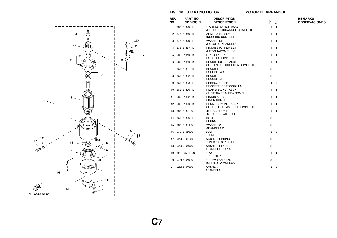

#### $FIG. 10$  **STARTING MOTOR**

**C7**

**MOTOR DE ARRANQUE** 

| REF.<br>NO. | PART NO.<br><b>CODIGO Nº</b> | <b>DESCRIPTION</b><br><b>DESCRIPCION</b>                  | ETO          | 듮            |  | <b>REMARKS</b><br><b>OBSERVACIONES</b> |
|-------------|------------------------------|-----------------------------------------------------------|--------------|--------------|--|----------------------------------------|
| 1           | 688-81800-12                 | STARTING MOTOR ASSY<br>MOTOR DE ARRANQUE COMPLETO         | 1            | 1            |  |                                        |
| 2           | 676-81850-11                 | .ARMATURE ASSY<br>INDUCIDO COMPLETO                       | 1            | 1            |  |                                        |
| 3           | 676-81809-10                 | .WASHER KIT<br>JUEGO DE ARANDELA                          | 1            | 1            |  |                                        |
| 4           | 676-81857-10                 | PINION STOPPER SET<br>JUEGO TAPON PINON                   | 1            | 1            |  |                                        |
| 5           | 688-81810-11                 | <b>STATOR ASSY</b><br>ESTATOR COMPLETO                    | 1            | 1            |  |                                        |
| 6           | 663-81840-11                 | BRUSH HOLDER ASSY<br>SOSTEN DE ESCOBILLA COMPLETO         | $\mathbf{1}$ | $\mathbf{1}$ |  |                                        |
|             | 7 663-81811-11               | <b>BRUSH1</b><br>.ESCOBILLA 1                             | 2            | 2            |  |                                        |
| 8           | 663-81812-11                 | BRUSH 2<br>.ESCOBILLA 2                                   | 2            | 2            |  |                                        |
| 9           | 663-81813-10                 | .SPRING, BRUSH<br>.RESORTE DE ESCOBILLA                   | 4            | 4            |  |                                        |
| 10          | 663-81820-12                 | <b>.REAR BRACKET ASSY</b><br>CUBIERTA TRASERA COMPL.      | 1            | 1            |  |                                        |
|             | 11 663-81832-11              | PINION ASSY<br>.PINON COMPL.                              | 1            | 1            |  |                                        |
|             | 12 688-81830-11              | <b>FRONT BRACKET ASSY</b> .<br>SOPORTE DELANTERO COMPLETO | 1            | 1            |  |                                        |
| 13          | 688-81831-00                 | METAL, FRONT<br>METAL, DELANTERO                          | 1            | 1            |  |                                        |
|             | 14 663-81826-10              | .BOLT<br>.PERNO                                           | 2            | 2            |  |                                        |
|             | 15 688-81824-00              | .WASHER 2<br>ARANDELA 2.                                  | 2            | 2            |  |                                        |
|             | 16 97013-08030               | <b>BOLT</b><br><b>PERNO</b>                               | 3            | 3            |  |                                        |
| 17          | 92903-08100                  | WASHER, SPRING<br>RONDANA SENCILLA                        | 3            | 3            |  |                                        |
| 18          | 92990-08600                  | <b>WASHER, PLATE</b><br>ARANDELA PLANA                    | 2            | 2            |  |                                        |
| 19          | 6H1-15771-00                 | STAY <sub>1</sub><br>SOPORTE 1                            | 1            | 1            |  |                                        |
| 20          | 97885-04010                  | <b>SCREW, PAN HEAD</b><br>TORNILLO A MUESCA               | 3            | 3            |  |                                        |
|             | 21 92995-04600               | <b>WASHER</b><br><b>ARANDELA</b>                          | 3            | 3            |  |                                        |
|             |                              |                                                           |              |              |  |                                        |
|             |                              |                                                           |              |              |  |                                        |
|             |                              |                                                           |              |              |  |                                        |
|             |                              |                                                           |              |              |  |                                        |
|             |                              |                                                           |              |              |  |                                        |
|             |                              |                                                           |              |              |  |                                        |
|             |                              |                                                           |              |              |  |                                        |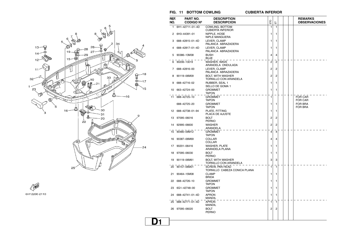

FWD 6H12200-2110

#### $FIG. 11$  **BOTTOM COWLING**

**D1**

**CUBIERTA INFERIOR** 

| REF.<br>NO. | PART NO.<br><b>CODIGO Nº</b> | <b>DESCRIPTION</b><br><b>DESCRIPCION</b>               | ETO            | 됴              | <b>REMARKS</b><br><b>OBSERVACIONES</b> |
|-------------|------------------------------|--------------------------------------------------------|----------------|----------------|----------------------------------------|
| 1           | 6H1-42711-01-4D              | COWLING, BOTTOM<br><b>CUBIERTA INFERIOR</b>            | 1              | $\mathbf{1}$   |                                        |
|             | 2 6H3-44391-01               | NIPPLE, HOSE<br>NIPLE MANGUERA                         | 1              | 1              |                                        |
| 3           | 688-42815-01-4D              | LEVER, CLAMP<br>PALANCA ABRAZADERA                     | 1              | 1              |                                        |
| 4           | 688-42817-01-4D              | LEVER, CLAMP<br>PALANCA ABRAZADERA                     | 1              | 1              |                                        |
| 5           | 90386-13M38                  | <b>BUSH</b><br><b>BUJE</b>                             | 4              | 4              |                                        |
| 6           | 90206-13019                  | WASHER, WAVE<br>ARANDELA ONDULADA                      | $\overline{2}$ | $\overline{2}$ |                                        |
| 7           | 688-42816-00                 | LEVER, CLAMP<br>PALANCA ABRAZADERA                     | 2              | 2              |                                        |
| 8           | 90119-06M09                  | <b>BOLT, WITH WASHER</b><br>TORNILLO CON ARANDELA      | 2              | 2              |                                        |
| 9           | 688-42716-02                 | RUBBER, SEAL 1<br>SELLO DE GOMA 1                      | 1              | 1              |                                        |
|             | 10 663-42724-00              | <b>GROMMET</b><br>TAPON                                | 1              | 1              |                                        |
| 11          | 688-42725-10                 | <b>GROMMET</b><br><b>TAPON</b>                         | 1              |                | <b>FOR CAR</b><br><b>FOR CAR</b>       |
|             | 688-42725-20                 | <b>GROMMET</b><br><b>TAPON</b>                         | 1              | 1              | <b>FOR BRA</b><br><b>FOR BRA</b>       |
|             | 12 688-42738-01-94           | PLATE, FITTING<br>PLACA DE AJUSTE                      | 1              | 1              |                                        |
|             | 13 97095-06016               | <b>BOLT</b><br><b>PERNO</b>                            | 2              | 2              |                                        |
| 14          | 92995-06600                  | <b>WASHER</b><br>ARANDELA                              | 2              | 2              |                                        |
| 15          | 90480-09M12                  | <b>GROMMET</b><br><b>TAPON</b>                         | 4              | $\overline{4}$ |                                        |
| 16          | 90387-06M69                  | COLLAR<br>COLLAR                                       | 4              | 4              |                                        |
| 17          | 90201-06416                  | WASHER, PLATE<br>ARANDELA PLANA                        | 1              | 1              |                                        |
| 18          | 97095-06030                  | BOLT<br><b>PERNO</b>                                   | 1              | 1              |                                        |
| 19          | 90119-06M61                  | <b>BOLT, WITH WASHER</b><br>TORNILLO CON ARANDELA      | 3              | 3              |                                        |
|             | 20 90157-06M01               | <b>SCREW, PAN HEAD</b><br>TORNILLO CABEZA CONICA PLANA | 1              | 1              |                                        |
| 21          | 90464-15M08                  | <b>CLAMP</b><br><b>BRIDA</b>                           | 1              | 1              |                                        |
| 22          | 688-42726-10                 | <b>GROMMET</b><br><b>TAPON</b>                         | 1              | 1              |                                        |
| 23          | 6G1-42748-00                 | <b>GROMMET</b><br>TAPON                                | 1              | 1              |                                        |
| 24          | 688-42741-01-4D              | <b>APRON</b><br>MANDIL                                 | 1              | 1              |                                        |
| 25          | 688-42771-01-4D              | <b>APRON</b><br>MANDIL                                 | 1              | 1              |                                        |
| 26          | 97095-06020                  | <b>BOLT</b><br><b>PERNO</b>                            | 2              | 2              |                                        |
|             |                              |                                                        |                |                |                                        |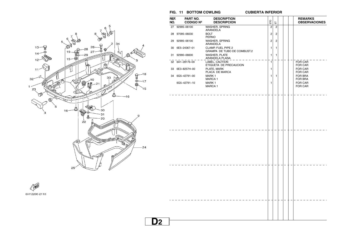

| REF. | PART NO.         | <b>DESCRIPTION</b>                                |                |                |  | <b>REMARKS</b>                   |
|------|------------------|---------------------------------------------------|----------------|----------------|--|----------------------------------|
| NO.  | <b>CODIGO Nº</b> | <b>DESCRIPCION</b>                                | ETO            | こ              |  | <b>OBSERVACIONES</b>             |
|      | 27 92995-06100   | WASHER, SPRING<br>ARANDELA                        | $\overline{2}$ | $\overline{2}$ |  |                                  |
|      | 28 97095-06030   | <b>BOLT</b><br><b>PERNO</b>                       | $\overline{2}$ | $\overline{c}$ |  |                                  |
|      | 29 92995-06100   | WASHER, SPRING<br>ARANDELA                        | $\overline{2}$ | $\overline{c}$ |  |                                  |
|      | 30 6E5-24367-01  | CLAMP, FUEL PIPE 2<br>GRAMPA DE TUBO DE COMBUST.2 | 1              | 1              |  |                                  |
|      | 31 92990-06600   | <b>WASHER, PLATE</b><br>ARANDELA PLANA            | 1              | $\mathbf{1}$   |  |                                  |
|      | 32 6A1-28176-00  | LABEL, CAUTION<br>ETIQUETA DE PRECAUCION          | 1              |                |  | FOR CAR<br><b>FOR CAR</b>        |
|      | 33 6E3-8257H-00  | PLATE, MARK<br>PLACA DE MARCA                     | 1              |                |  | FOR CAR<br>FOR CAR               |
|      | 34 6G5-42791-00  | MARK <sub>1</sub><br>MARCA 1                      | 1              | $\mathbf{1}$   |  | FOR BRA<br>FOR BRA               |
|      | 6G5-42791-10     | MARK 1<br><b>MARCA1</b>                           | 1              |                |  | <b>FOR CAR</b><br><b>FOR CAR</b> |
|      |                  |                                                   |                |                |  |                                  |
|      |                  |                                                   |                |                |  |                                  |
|      |                  |                                                   |                |                |  |                                  |
|      |                  |                                                   |                |                |  |                                  |
|      |                  |                                                   |                |                |  |                                  |
|      |                  |                                                   |                |                |  |                                  |
|      |                  |                                                   |                |                |  |                                  |
|      |                  |                                                   |                |                |  |                                  |
|      |                  |                                                   |                |                |  |                                  |
|      |                  |                                                   |                |                |  |                                  |
|      |                  |                                                   |                |                |  |                                  |
|      |                  |                                                   |                |                |  |                                  |
|      |                  |                                                   |                |                |  |                                  |
|      |                  |                                                   |                |                |  |                                  |
|      |                  |                                                   |                |                |  |                                  |
|      |                  |                                                   |                |                |  |                                  |
|      |                  |                                                   |                |                |  |                                  |

**CUBIERTA INFERIOR** 

┬ ┬ ┱

**FIG. 11 BOTTOM COWLING** 

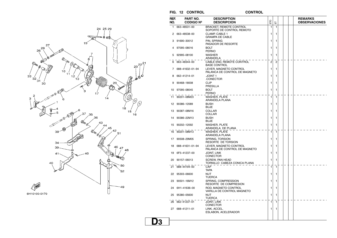

**D3**

**CONTROL** 



| REF.<br>NO. | PART NO.<br><b>CODIGO Nº</b> | <b>DESCRIPTION</b><br><b>DESCRIPCION</b>                    | ETO            | 풉              |  | <b>REMARKS</b><br><b>OBSERVACIONES</b> |
|-------------|------------------------------|-------------------------------------------------------------|----------------|----------------|--|----------------------------------------|
| 1           | 663-48531-00                 | <b>BRACKET, REMOTE CONTROL</b><br>SOPORTE DE CONTROL REMOTO | $\mathbf{1}$   | 1              |  |                                        |
| 2           | 663-48538-00                 | <b>CLAMP, CABLE 1</b><br><b>GRAMPA DE CABLE</b>             | 1              | 1              |  |                                        |
| 3           | 91690-30012                  | PIN. SPRING<br>PASADOR DE RESORTE                           | 1              | 1              |  |                                        |
| Δ           | 97095-08016                  | <b>BOLT</b><br><b>PERNO</b>                                 | 1              | 1              |  |                                        |
| 5           | 92995-08100                  | WASHER<br>ARANDELA                                          | 1              | 1              |  |                                        |
| 6           | 663-48344-00                 | CABLE END, REMOTE CONTROL<br><b>BASE CONTROL</b>            | $\overline{c}$ | $\overline{2}$ |  |                                        |
| 7           | 688-41632-01-94              | LEVER, MAGNETO CONTROL<br>PALANCA DE CONTROL DE MAGNETO     | 1              | 1              |  |                                        |
| 8           | 662-41214-01                 | <b>JOINT 1</b><br>.CONECTOR                                 | 1              | 1              |  |                                        |
| 9           | 90468-18008                  | CLIP<br>PRESILLA                                            | 1              | 1              |  |                                        |
| 10          | 97095-08045                  | <b>BOLT</b><br><b>PERNO</b>                                 | 1              | 1              |  |                                        |
| 11          | 90201-08M23                  | <b>WASHER, PLATE</b><br>ARANDELA PLANA                      | 1              | $\mathbf{1}$   |  |                                        |
| 12          | 90386-12089                  | <b>BUSH</b><br><b>BUJE</b>                                  | 1              | 1              |  |                                        |
| 13          | 90387-08M16                  | COLLAR<br>COLLAR                                            | 1              | 1              |  |                                        |
| 14          | 90386-22M13                  | BUSH<br><b>BUJE</b>                                         | 1              | 1              |  |                                        |
| 15          | 90202-12092                  | WASHER, PLATE<br>ARANDELA DE PLANA                          | 1              | 1              |  |                                        |
| 16          | 90201-08M13                  | <b>WASHER, PLATE</b><br>ARANDELA PLANA                      | 1              | 1              |  |                                        |
| 17          | 90508-29M05                  | <b>SPRING, TORSION</b><br>RESORTE DE TORSION                | 1              | 1              |  |                                        |
| 18          | 688-41631-01-94              | LEVER, MAGNETO CONTROL<br>PALANCA DE CONTROL DE MAGNETO     | 1              | 1              |  |                                        |
| 19          | 6F5-41237-00                 | JOINT, LINK<br><b>CONECTOR</b>                              | 1              | 1              |  |                                        |
| 20          | 90157-06013                  | <b>SCREW, PAN HEAD</b><br>TORNILLO CABEZA CONICA PLANA      | 1              | 1              |  |                                        |
| 21          | 688-44194-00                 | CAP<br><b>TAPA</b>                                          | 1              | 1              |  |                                        |
| 22          | 95303-06600                  | NUT<br>TUERCA                                               | 1              | 1              |  |                                        |
| 23          | 90501-16M12                  | SPRING, COMPRESSION<br>RESORTE DE COMPRESION                | 1              | 1              |  |                                        |
| 24          | 6H1-41636-00                 | ROD, MAGNETO CONTROL<br>VARILLA DE CONTROL MAGNETO          | 1              | 1              |  |                                        |
| 25          | 95380-05600                  | NUT<br>TUERCA                                               | 1              | 1              |  |                                        |
| 26          | 662-41237-01                 | <b>JOINT, LINK</b><br>CONECTOR                              | 1              | 1              |  |                                        |
| 27          | 688-41211-01                 | LINK, ACCEL.<br>ESLABON, ACELERADOR                         | 1              | 1              |  |                                        |
|             |                              |                                                             |                |                |  |                                        |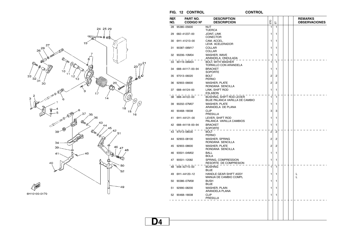

**CONTROL** 



| REF.<br>NO. | PART NO.<br><b>CODIGO Nº</b> | <b>DESCRIPTION</b><br><b>DESCRIPCION</b>                   | ETO                     | こ                       |  | <b>REMARKS</b><br><b>OBSERVACIONES</b> |
|-------------|------------------------------|------------------------------------------------------------|-------------------------|-------------------------|--|----------------------------------------|
|             | 28 95380-05600               | <b>NUT</b>                                                 | 1                       | 1                       |  |                                        |
|             | 29 682-41237-00              | <b>TUERCA</b><br><b>JOINT, LINK</b><br><b>CONECTOR</b>     | 1                       | 1                       |  |                                        |
|             | 30 6H1-41213-00              | CAM, ACCEL.<br>LEVA ACELERADOR                             | 1                       | 1                       |  |                                        |
|             | 31 90387-06M17               | COLLAR<br>COLLAR                                           | 1                       | 1                       |  |                                        |
|             | 32 90206-10M04               | WASHER, WAVE<br>ARANDELA ONDULADA                          | 1                       | 1                       |  |                                        |
|             | 33 90119-06M24               | <b>BOLT, WITH WASHER</b><br><b>TORNILLO CON ARANDELA</b>   | 1                       | $\mathbf{1}$            |  |                                        |
|             | 34 688-44117-00-94           | <b>BRACKET</b><br>SOPORTE                                  | 1                       | 1                       |  |                                        |
|             | 35 97013-06020               | <b>BOLT</b><br><b>PERNO</b>                                | 2                       | 2                       |  |                                        |
|             | 36 92903-06600               | <b>WASHER, PLATE</b><br>RONDANA SENCILLA                   | 2                       | 2                       |  |                                        |
|             | 37 688-44124-00              | LINK, SHIFT ROD<br><b>ESLABON</b>                          | $\mathbf{1}$            | 1                       |  |                                        |
|             | 38 688-44122-00              | BUSHING, SHIFT ROD LEVER<br>BUJE PALANCA VARILLA DE CAMBIO | 1                       | $\mathbf{1}$            |  |                                        |
|             | 39 90202-07M07               | <b>WASHER, PLATE</b><br>ARANDELA DE PLANA                  | 1                       | 1                       |  |                                        |
|             | 40 90468-18008               | <b>CLIP</b><br>PRESILLA                                    | 3                       | 3                       |  |                                        |
|             | 41 6H1-44121-00              | LEVER, SHIFT ROD<br>PALANCA VARILLA CAMBIOS                | 1                       | 1                       |  |                                        |
|             | 42 688-44118-00-94           | <b>BRACKET</b><br><b>SOPORTE</b>                           | 1                       | $\mathbf{1}$            |  |                                        |
|             | 43 97013-08030               | <b>BOLT</b><br><b>PERNO</b>                                | 2                       | $\overline{2}$          |  |                                        |
|             | 44 92903-08100               | WASHER, SPRING<br>RONDANA SENCILLA                         | 2                       | $\overline{\mathbf{c}}$ |  |                                        |
|             | 45 92903-08600               | <b>WASHER, PLATE</b><br>RONDANA SENCILLA                   | $\overline{\mathbf{c}}$ | $\overline{c}$          |  |                                        |
|             | 46 93501-04M02               | <b>BALL</b><br><b>BOLA</b>                                 | 1                       | 1                       |  |                                        |
|             | 47 90501-12082               | SPRING, COMPRESSION<br>RESORTE DE COMPRESION               | 1                       | 1                       |  |                                        |
|             | 48 648-42715-00              | <b>BUSHING</b><br><b>BUJE</b>                              | $\mathbf{1}$            | $\mathbf{1}$            |  |                                        |
|             | 49 6H1-44120-12              | HANDLE GEAR SHIFT ASSY<br>MANIJA DE CAMBIO COMPL           | 1                       | 1                       |  | L<br>L                                 |
|             | 50 90386-07M58               | <b>BUSH</b><br><b>BUJE</b>                                 | 1                       | 1                       |  |                                        |
|             | 51 92990-08200               | WASHER, PLAIN<br>ARANDELA PLANA                            | 1                       | 1                       |  |                                        |
|             | 52 90468-18008               | <b>CLIP</b><br>PRESILLA                                    | 1                       | 1                       |  |                                        |
|             |                              |                                                            |                         |                         |  |                                        |
|             |                              |                                                            |                         |                         |  |                                        |
|             |                              |                                                            |                         |                         |  |                                        |
| D4          |                              |                                                            |                         |                         |  |                                        |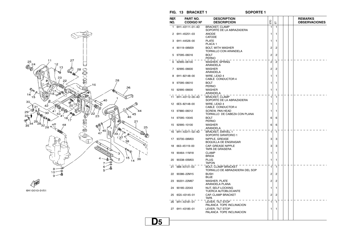



 $FIG. 13$  **BRACKET 1** 

**SOPORTE 1** 

| REF.<br>NO. | PART NO.<br><b>CODIGO Nº</b> | <b>DESCRIPTION</b><br><b>DESCRIPCION</b>                     | ELO            | こ | <b>REMARKS</b> | <b>OBSERVACIONES</b> |
|-------------|------------------------------|--------------------------------------------------------------|----------------|---|----------------|----------------------|
| 1           | 6H1-43111-01-4D              | <b>BRACKET, CLAMP</b><br>SOPORTE DE LA ABRAZADERA            | 1              | 1 |                |                      |
| 2           | 6H1-45251-03                 | <b>ANODE</b><br><b>CATODE</b>                                | 1              | 1 |                |                      |
| З           | 6H1-44526-00                 | <b>PLATE</b><br>PLACA 1                                      | 1              | 1 |                |                      |
| 4           | 90119-06M29                  | BOLT, WITH WASHER<br>TORNILLO CON ARANDELA                   | 2              | 2 |                |                      |
| 5           | 97095-06016                  | <b>BOLT</b><br><b>PERNO</b>                                  | 2              | 2 |                |                      |
| 6           | 92995-06100                  | WASHER, SPRING<br>ARANDELA                                   | $\overline{2}$ | 2 |                |                      |
|             | 7 92995-06600                | <b>WASHER</b><br>ARANDELA                                    | 2              | 2 |                |                      |
| 8           | 6H1-82148-00                 | WIRE, LEAD 4<br>CABLE CONDUCTOR 4                            | 1              | 1 |                |                      |
| 9           | 97095-06010                  | BOLT<br><b>PERNO</b>                                         | 1              | 1 |                |                      |
| 10          | 92995-06600                  | <b>WASHER</b><br>ARANDELA                                    | 1              | 1 |                |                      |
| 11          | 6H1-43112-00-4D              | <b>BRACKET, CLAMP</b><br>SOPORTE DE LA ABRAZADERA            | 1              | 1 |                |                      |
|             | 12 6E5-82148-00              | WIRE, LEAD 4<br>CABLE CONDUCTOR 4                            | 1              | 1 |                |                      |
| 13          | 97880-06012                  | <b>SCREW, PAN HEAD</b><br>TORNILLO DE CABEZA CON PLANA       | 1              | 1 |                |                      |
|             | 14 97095-10045               | <b>BOLT</b><br><b>PERNO</b>                                  | 6              | 6 |                |                      |
| 15          | 92995-10100                  | <b>WASHER</b><br>ARANDELA                                    | 6              | 6 |                |                      |
|             | 16 6H1-43311-02-4D           | <b>BRACKET, SWIVEL 1</b><br>SOPORTE GIRATORIO 1              | 1              | 1 |                |                      |
| 17          | 93700-06M03                  | NIPPLE, GREASE<br><b>BOQUILLA DE ENGRASAR</b>                | 3              | 3 |                |                      |
| 18          | 663-45119-00                 | CAP, GREASE NIPPLE<br>TAPA DE GRASERA                        | 3              | 3 |                |                      |
| 19          | 90464-11M18                  | <b>CLAMP</b><br><b>BRIDA</b>                                 | 1              | 1 |                |                      |
| 20          | 90338-05M03                  | <b>PLUG</b><br>TAPON                                         | 1              | 1 |                |                      |
| 21          | 688-43131-03                 | <b>BOLT, CLAMP BRACKET</b><br>TORNILLO DE ABRAZADERA DEL SOP | $\mathbf{1}$   | 1 |                |                      |
|             | 22 90386-22M15               | <b>BUSH</b><br><b>BUJE</b>                                   | 2              | 2 |                |                      |
| 23          | 90201-22M67                  | <b>WASHER, PLATE</b><br>ARANDELA PLANA                       | 2              | 2 |                |                      |
| 24          | 90185–22043                  | NUT, SELF-LOCKING<br>TUERCA AUTOBLOCANTE                     | 1              | 1 |                |                      |
| 25          | 6G5-43145-01                 | CAP, CLAMP BRACKET<br><b>TAPA</b>                            | 2              | 2 |                |                      |
|             | 26 6H1-43181-01              | LEVER, TILT STOP<br>PALANCA TOPE INCLINACION                 | 1              | 1 |                |                      |
|             | 27 6H1-43185-01              | LEVER, TILT STOP<br>PALANCA TOPE INCLINACION                 | 1              | 1 |                |                      |
|             |                              |                                                              |                |   |                |                      |

**D5**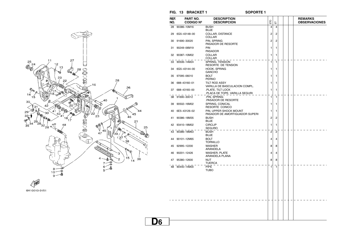

**CEWD** 6H10010-0151

 $FIG. 13$  **BRACKET 1** 

**SOPORTE 1** 

| REF.<br>NO. | PART NO.<br><b>CODIGO Nº</b> | <b>DESCRIPTION</b><br><b>DESCRIPCION</b>                 | ЕЮ             | 늡              |  | <b>REMARKS</b><br><b>OBSERVACIONES</b> |
|-------------|------------------------------|----------------------------------------------------------|----------------|----------------|--|----------------------------------------|
| 28          | 90386-10M16                  | <b>BUSH</b><br><b>BUJE</b>                               | $\overline{4}$ | $\overline{4}$ |  |                                        |
| 29          | 6G5-43148-00                 | COLLAR, DISTANCE<br><b>COLLAR</b>                        | 2              | 2              |  |                                        |
| 30          | 91690-30020                  | PIN, SPRING<br>PASADOR DE RESORTE                        | $\overline{2}$ | 2              |  |                                        |
| 31          | 90249-06M19                  | PIN<br><b>PASADOR</b>                                    | 1              | 1              |  |                                        |
|             | 32 90387-10M02               | <b>COLLAR</b><br>COLLAR                                  | 1              | 1              |  |                                        |
|             | 33 90506-14M24               | SPRING, TENSION<br>RESORTE DE TENSION                    | 1              | $\overline{1}$ |  |                                        |
| 34          | 6G5-43144-00                 | HOOK, SPRING<br><b>GANCHO</b>                            | 1              | 1              |  |                                        |
|             | 35 97095-06010               | <b>BOLT</b><br><b>PERNO</b>                              | 1              | 1              |  |                                        |
|             | 36 688-43160-01              | TILT ROD ASSY<br>VARILLA DE BASCULACION COMPL.           | 1              | 1              |  |                                        |
|             | 37 688-43165-00              | PLATE, TILT LOCK<br>PLACA DE TOPE, VARILLA SEGURI        | 1              | 1              |  |                                        |
|             | 38 91690-30012               | .PIN. SPRING<br>PASADOR DE RESORTE                       | 1              | 1              |  |                                        |
| 39          | 90502-16M02                  | SPRING, CONICAL<br>RESORTE CONICO                        | 1              | 1              |  |                                        |
|             | 40 6E5-43126-02              | PIN, UPPER SHOCK MOUNT<br>PASADOR DE AMORTIGUADOR SUPERI | 1              | 1              |  |                                        |
| 41          | 90386-18M35                  | <b>BUSH</b><br><b>BUJE</b>                               | 2              | 2              |  |                                        |
|             | 42 93410-18M02               | <b>CIRCLIP</b><br><b>SEGURO</b>                          | 1              | 1              |  |                                        |
|             | 43 90386-18M63               | <b>BUSH</b><br><b>BUJE</b>                               | $\overline{2}$ | $\overline{2}$ |  |                                        |
|             | 44 90101-12M65               | <b>BOLT</b><br><b>TORNILLO</b>                           | 4              | 4              |  |                                        |
| 45          | 92995-12200                  | <b>WASHER</b><br>ARANDELA                                | 8              | 8              |  |                                        |
| 46          | 90201-12426                  | <b>WASHER, PLATE</b><br>ARANDELA PLANA                   | 4              | 4              |  |                                        |
| 47          | 95380-12600                  | <b>NUT</b><br><b>TUERCA</b>                              | 8              | 8              |  |                                        |
|             | 48 90440-14M00               | <b>PIPE</b><br><b>TUBO</b>                               | $\mathbf{1}$   | $\mathbf{1}$   |  |                                        |
|             |                              |                                                          |                |                |  |                                        |
|             |                              |                                                          |                |                |  |                                        |
|             |                              |                                                          |                |                |  |                                        |
|             |                              |                                                          |                |                |  |                                        |
|             |                              |                                                          |                |                |  |                                        |
|             |                              |                                                          |                |                |  |                                        |
|             |                              |                                                          |                |                |  |                                        |

**D6**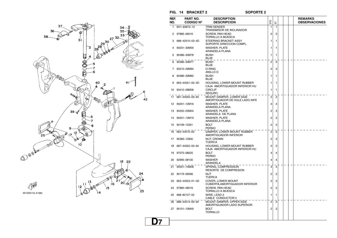

| REF. | PART NO.         | <b>DESCRIPTION</b>                                           |                |                |  | <b>REMARKS</b>       |
|------|------------------|--------------------------------------------------------------|----------------|----------------|--|----------------------|
| NO.  | <b>CODIGO Nº</b> | <b>DESCRIPCION</b>                                           | ETO            | 둡              |  | <b>OBSERVACIONES</b> |
| 1    | 6H1-83672-12     | <b>TRIM SENDER</b><br>TRANSMISOR DE INCLINADOR               | 1              | 1              |  |                      |
| 2    | 97885-06016      | <b>SCREW, PAN HEAD</b><br>TORNILLO A MUESCA                  | 2              | 2              |  |                      |
| з    | 688-42510-03-4D  | STEERING BRACKET ASSY<br>SOPORTE DIRECCION COMPL.            | 1              | 1              |  |                      |
| 4    | 90201-30M00      | <b>WASHER, PLATE</b><br>ARANDELA PLANA                       | 1              | 1              |  |                      |
| 5    | 90386-30M78      | <b>BUSH</b><br><b>BUJE</b>                                   | 1              | 1              |  |                      |
| 6    | 90386-30M77      | <b>BUSH</b><br><b>BUJE</b>                                   | 2              | $\overline{2}$ |  |                      |
| 7    | 93210-29M94      | O-RING<br>ANILLO O                                           | 2              | 2              |  |                      |
| 8    | 90386-30M60      | <b>BUSH</b><br><b>BUJE</b>                                   | 1              | 1              |  |                      |
| 9    | 663-44551-02-4D  | HOUSING, LOWER MOUNT RUBBER<br>CAJA AMORTIGUADOR INFERIOR HU | 1              | 1              |  |                      |
| 10   | 93410-28M06      | <b>CIRCLIP</b><br><b>SEGURO</b>                              | 1              | 1              |  |                      |
| 11   | 687-44555-00-94  | MOUNT DAMPER, LOWER SIDE<br>AMORTIGUADOR DE HULE LADO INFE   | 2              | $\overline{2}$ |  |                      |
| 12   | 90201-12M16      | <b>WASHER, PLATE</b><br>ARANDELA PLANA                       | 4              | 4              |  |                      |
| 13   | 90202-25M04      | <b>WASHER, PLATE</b><br>ARANDELA DE PLANA                    | 2              | 2              |  |                      |
| 14   | 90201-13M19      | <b>WASHER, PLATE</b><br>ARANDELA PLANA                       | 2              | 2              |  |                      |
| 15   | 90109-12261      | <b>BOLT</b><br><b>PERNO</b>                                  | 2              | 2              |  |                      |
| 16   | 663-44575-00     | DAMPER, LOWER MOUNT RUBBER<br>AMORTIGUADOR INFERIOR          | 2              | $\overline{2}$ |  |                      |
| 17   | 95380-12800      | <b>NUT, CROWN</b><br><b>TUERCA</b>                           | 2              | 2              |  |                      |
| 18   | 687-44552-02-94  | HOUSING, LOWER MOUNT RUBBER<br>CAJA AMORTIGUADOR INFERIOR HU | $\overline{2}$ | 2              |  |                      |
| 19   | 97075-08025      | <b>BOLT</b><br><b>PERNO</b>                                  | 4              | 4              |  |                      |
| 20   | 92995-08100      | <b>WASHER</b><br>ARANDELA                                    | 4              | 4              |  |                      |
| 21   | 90501-14M08      | SPRING, COMPRESSION<br>RESORTE DE COMPRESION                 | 4              | 4              |  |                      |
| 22   | 90179-06066      | <b>NUT</b><br><b>TUERCA</b>                                  | 2              | 2              |  |                      |
| 23   | 663-44553-01-4D  | COVER, LOWER MOUNT<br>CUBIERTA, AMORTIGUADOR INFERIOR        | 2              | $\overline{c}$ |  |                      |
| 24   | 97885-06016      | <b>SCREW, PAN HEAD</b><br>TORNILLO A MUESCA                  | 2              | 2              |  |                      |
| 25   | 688-82127-02     | WIRE, LEAD 2<br>CABLE CONDUCTOR 2                            | 1              | 1              |  |                      |
| 26   | 688-44514-00-94  | MOUNT DAMPER. UPPER SIDE<br>AMORTIGUADOR LADO SUPERIOR       | 2              | $\overline{2}$ |  |                      |
|      | 27 90101-10M49   | <b>BOLT</b><br><b>TORNILLO</b>                               | 2              | 2              |  |                      |
|      |                  |                                                              |                |                |  |                      |
|      |                  |                                                              |                |                |  |                      |

#### $FIG. 14$  **BRACKET 2**

**SOPORTE 2** 

**D7**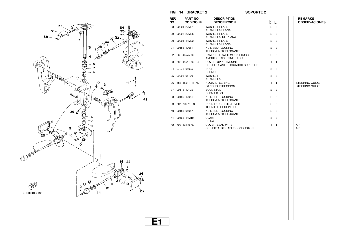

#### $FIG. 14$  **BRACKET 2**

#### **SOPORTE 2**

|    | REF.<br>NO. | PART NO.<br><b>CODIGO Nº</b> | <b>DESCRIPTION</b><br><b>DESCRIPCION</b>                 | ETO            | 툽                       | <b>REMARKS</b><br><b>OBSERVACIONES</b> |
|----|-------------|------------------------------|----------------------------------------------------------|----------------|-------------------------|----------------------------------------|
|    | 28          | 90201-20M21                  | <b>WASHER, PLATE</b><br>ARANDELA PLANA                   | $\overline{2}$ | $\overline{c}$          |                                        |
|    | 29          | 90202-20M06                  | <b>WASHER, PLATE</b><br>ARANDELA DE PLANA                | 2              | $\overline{c}$          |                                        |
|    | 30          | 90201-11M22                  | <b>WASHER, PLATE</b><br>ARANDELA PLANA                   | 2              | $\overline{c}$          |                                        |
|    | 31          | 90185-10051                  | NUT, SELF-LOCKING<br>TUERCA AUTOBLOCANTE                 | 2              | $\overline{\mathbf{c}}$ |                                        |
|    |             | 32 663-44575-00              | DAMPER, LOWER MOUNT RUBBER<br>AMORTIGUADOR INFERIOR      | 2              | $\overline{2}$          |                                        |
|    |             | 33 688-44511-00-94           | COVER, UPPER MOUNT<br>CUBIERTA AMORTIGUADOR SUPERIOR     | 1              | $\overline{1}$          |                                        |
|    | 34          | 97075-08035                  | <b>BOLT</b><br><b>PERNO</b>                              | 3              | 3                       |                                        |
|    | 35          | 92995-08100                  | <b>WASHER</b><br>ARANDELA                                | 3              | 3                       |                                        |
|    | 36          | 688-48511-11-4D              | HOOK, STEERING<br><b>GANCHO DIRECCION</b>                | 1              | 1                       | STEERING GUIDE<br>STEERING GUIDE       |
|    | 37          | 90116-10175                  | <b>BOLT, STUD</b><br><b>ESPARRAGO</b>                    | 2              | $\overline{c}$          |                                        |
| 12 |             | 38 90185-10051               | NUT, SELF-LOCKING<br>TUERCA AUTOBLOCANTE                 | $\overline{c}$ | $\overline{c}$          |                                        |
|    | 39          | 6H1-43376-00                 | <b>BOLT, THRUST RECEIVER</b><br><b>TORNILLO RECEPTOR</b> | 2              | 2                       |                                        |
|    | 40          | 90185-08057                  | NUT, SELF-LOCKING<br>TUERCA AUTOBLOCANTE                 | 2              | $\overline{\mathbf{c}}$ |                                        |
|    | 41          | 90465-11M10                  | <b>CLAMP</b><br><b>BRIDA</b>                             | 3              | 3                       |                                        |
|    |             | 42 703-82119-00              | COVER, LEAD WIRE<br>CUBIERTA DE CABLE CONDUCTOR          | 1              | $\mathbf{1}$            | AP<br>AP                               |
|    |             |                              |                                                          |                |                         |                                        |
| Ε1 |             |                              |                                                          |                |                         |                                        |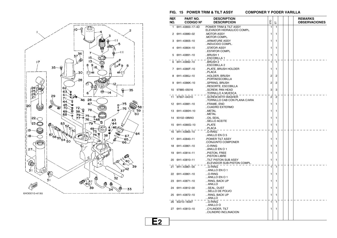

#### **FIG. 15 POWER TRIM & TILT ASSY**

**COMPONER Y PODER VARILLA** 

| REF.<br>NO. | PART NO.<br><b>CODIGO Nº</b> | <b>DESCRIPTION</b><br><b>DESCRIPCION</b>             | ETO            | こ              |  | <b>REMARKS</b><br><b>OBSERVACIONES</b> |
|-------------|------------------------------|------------------------------------------------------|----------------|----------------|--|----------------------------------------|
| 1           | 6H1-43800-17-4D              | POWER TRIM & TILT ASSY<br>ELEVADOR HIDRAULICO COMPL. | 1              | 1              |  |                                        |
|             | 2 6H1-43880-02               | MOTOR ASSY<br>MOTOR COMPL.                           | 1              | 1              |  |                                        |
| з           | 6H1-43805-10                 | ARMATURE ASSY<br>INDUCIDO COMPL.                     | 1              | 1              |  |                                        |
| 4           | 6H1-43804-10                 | STATOR ASSY<br>ESTATOR COMPL                         | 1              | 1              |  |                                        |
|             | 5 6H1-43891-10               | BRUSH 1.<br>LESCOBILLA 1                             | 1              | 1              |  |                                        |
|             | 6 6H1-43892-10               | .BRUSH 2<br>ESCOBILLA 2                              | $\mathbf{1}$   | $\mathbf{1}$   |  |                                        |
|             | 7 6H1-4380F-10               | PLATE, BRUSH HOLDER<br>PLACA                         | 1              | 1              |  |                                        |
| 8           | 6H1-4380J-10                 | HOLDER, BRUSH<br>PORTAESCOBILLA                      | 2              | 2              |  |                                        |
| 9           | 6H1-4386K-10                 | SPRING, BRUSH<br>RESORTE, ESCOBILLA                  | 2              | 2              |  |                                        |
|             | 10 97885-05016               | SCREW, PAN HEAD<br>TORNILLO A MUESCA                 | 3              | 3              |  |                                        |
| 11          | 97607-04310                  | SCREW.WITH WASHER<br>TORNILLO CAB CON PLANA C/ARA    | $\overline{2}$ | $\overline{c}$ |  |                                        |
|             | 12 6H1-43881-10              | FRAME, END<br>CUADRO EXTERMO                         | 1              | 1              |  |                                        |
|             | 13 6H1-4380H-10              | METAL<br>METAL                                       | 1              | 1              |  |                                        |
| 14          | 93102-08M43                  | OIL SEAL<br>SELLO ACEITE                             | 1              | 1              |  |                                        |
|             | 15 6H1-4380G-10              | PLATE<br>PLACA                                       | 1              | 1              |  |                                        |
|             | 16 6H1-43865-10              | O-RING<br>ANILLO EN O 5                              | $\mathbf{1}$   | 1              |  |                                        |
|             | 17 6H1-43840-11              | <b>POWER TILT ASSY</b><br>.CONJUNTO COMPONER         | 1              | 1              |  |                                        |
| 18          | 6H1-43861-10                 | O-RING<br>ANILLO EN O 1                              | 1              | 1              |  |                                        |
| 19          | 6H1-43814-11                 | PISTON, FREE<br>PISTON LIBRE                         | 1              | 1              |  |                                        |
|             | 20 6H1-43810-11              | TILT PISTON SUB ASSY<br>ELEVADOR SUB-PISTON COMPL.   | 1              | 1              |  |                                        |
| 21          | 6H1-43861-00                 | O-RING<br>ANILLO EN O 1                              | 1              | 1              |  |                                        |
|             | 22 6H1-43861-10              | O-RING<br>ANILLO EN O 1                              | 1              | 1              |  |                                        |
|             | 23 6H1-43871-10              | RING, BACK UP<br>ANILLO                              | 1              | 1              |  |                                        |
|             | 24 6H1-43812-00              | SEAL, DUST<br>SELLO DE POLVO                         | 1              | 1              |  |                                        |
|             | 25 6H1-43872-10              | RING, BACK UP<br>ANILLO                              | 1              | 1              |  |                                        |
|             | 26 93210-18397               | $$ O-RING<br>ANILLO O                                | 1              | 1              |  |                                        |
|             | 27 6H1-43813-10              | CYLINDER, TILT<br>CILINDRO INCLINACION               | 1              | 1              |  |                                        |
|             |                              |                                                      |                |                |  |                                        |

**E2**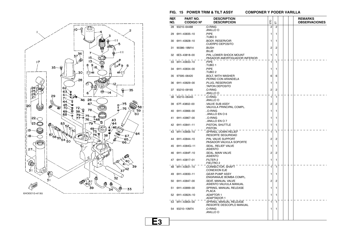

#### **FIG. 15 POWER TRIM & TILT ASSY**

**COMPONER Y PODER VARILLA** 

| REF.<br>NO. | PART NO.<br><b>CODIGO Nº</b> | <b>DESCRIPTION</b><br><b>DESCRIPCION</b>                  | ETO          | 풉            |  | <b>REMARKS</b><br><b>OBSERVACIONES</b> |
|-------------|------------------------------|-----------------------------------------------------------|--------------|--------------|--|----------------------------------------|
| 28          | 93210-64488                  | .O-RING<br>.ANILLO O                                      | 2            | 2            |  |                                        |
| 29          | 6H1-43835-10                 | PIPE.<br>TUBO <sub>3</sub>                                | 1            | 1            |  |                                        |
| 30          | 6H1-43828-10                 | BODY, RESERVOIR<br>CUERPO DEPOSITO                        | 1            | 1            |  |                                        |
| 31          | 90386-18M14                  | .BUSH<br>.BUJE                                            | 2            | 2            |  |                                        |
|             | 32 6E5-43818-00              | PIN, LOWER SHOCK MOUNT.<br>PASADOR AMORTIGUADOR INFERIOR. | 1            | 1            |  |                                        |
|             | 33 6H1-43833-10              | PIPE<br>TUBO 1.                                           | 1            | $\mathbf{1}$ |  |                                        |
|             | 34 6H1-43834-00              | PIPE<br>TUBO <sub>2</sub>                                 | 1            | 1            |  |                                        |
| 35          | 97595-06420                  | <b>BOLT, WITH WASHER</b><br>PERNO CON ARANDELA            | 6            | 6            |  |                                        |
| 36          | 6H1-43829-00                 | PLUG, RESERVOIR<br>TAPON DEPOSITO                         | 1            | 1            |  |                                        |
|             | 37 93210-09165               | .o-Ring<br>ANILLO O.                                      | 2            | 2            |  |                                        |
| 38          | 93210-064A5                  | .O-RING<br>.ANILLO O                                      | $\mathbf{1}$ | $\mathbf{1}$ |  |                                        |
| 39          | 67F-43802-00                 | VALVE SUB ASSY<br>.VALVULA PRINCIPAL COMPL.               | 2            | 2            |  |                                        |
|             | 40 6H1-43866-00              | O-RING<br>ANILLO EN O 6                                   | 1            | 1            |  |                                        |
| 41          | 6H1-43867-00                 | O-RING<br>ANILLO EN O 7                                   | 1            | 1            |  |                                        |
|             | 42 6H1-43841-11              | PISTON, SHUTTLE<br>PISTON.                                | 1            | 1            |  |                                        |
|             | 43 6H1-43856-10              | SPRING, DOWN RELIEF<br>RESORTE SEGURIDAD.                 | 1            | 1            |  |                                        |
| 44          | 6H1-43844-10                 | PIN, VALVE SUPPORT<br>PASADOR VALVULA SOPORTE             | 2            | 2            |  |                                        |
| 45          | 6H1-4384G-11                 | SEAL, RELIEF VALVE<br>.ASIENTO                            | 1            | 1            |  |                                        |
| 46          | 6H1-4384F-10                 | .SEAL, MAIN VALVE<br>.ASIENTO                             | 2            | 2            |  |                                        |
| 47          | 6H1-43817-01                 | FILTER 2.<br>FIELTRO 2.                                   | 1            | 1            |  |                                        |
| 48          | 6H1-43831-10                 | CONNECTOR, SHAFT<br>CONEXION EJE.                         | 1            | $\mathbf{1}$ |  |                                        |
| 49          | 6H1-43830-11                 | GEAR PUMP ASSY.<br>ENGRANAJE BOMBA COMPL.                 | 1            | 1            |  |                                        |
| 50          | 6H1-43847-00                 | SEAT, MANUAL VALVE<br>ASIENTO VALVULA MANUAL              | 2            | 2            |  |                                        |
| 51          | 6H1-43899-00                 | SPRING, MANUAL RELEASE<br>.PLACA                          | 1            | 1            |  |                                        |
|             | 52 6H1-4382A-10              | ADAPTOR 1<br>ADAPTADOR 1.                                 | 1            | 1            |  |                                        |
|             | 53 6H1-43854-00              | .SPRING, MANUAL RELEASE<br>RESORTE DESCOPLO MANUAL        | 1            | 1            |  |                                        |
|             | 54 93210-10M74               | .O-RING<br>.ANILLO O                                      | 1            | 1            |  |                                        |

**E3**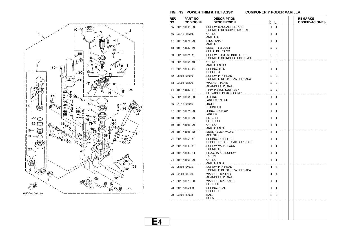

#### **FIG. 15 POWER TRIM & TILT ASSY**

**COMPONER Y PODER VARILLA** 

| REF.<br>NO. | PART NO.<br><b>CODIGO Nº</b> | <b>DESCRIPTION</b><br><b>DESCRIPCION</b>               | ETO            | こ              |  | <b>REMARKS</b><br><b>OBSERVACIONES</b> |
|-------------|------------------------------|--------------------------------------------------------|----------------|----------------|--|----------------------------------------|
| 55          | 6H1-43845-00                 | .SCREW, MANUAL RELEASE<br>.TORNILLO DESCOPLO MANUAL    | 1              | 1              |  |                                        |
|             | 56 93210-18M75               | .O-RING<br>.ANILLO O                                   | 1              | 1              |  |                                        |
| 57          | 6H1-43875-00                 | .RING, SNAP<br>.ANILLO                                 | 1              | 1              |  |                                        |
| 58          | 6H1-43822-10                 | .SEAL, TRIM DUST<br>SELLO DE POLVO                     | 2              | $\overline{c}$ |  |                                        |
|             | 59 6H1-43821-11              | SCREW, TRIM CYLINDER END<br>TORNILLO CILINDURO EXTREMO | $\overline{2}$ | 2              |  |                                        |
|             | 60 6H1-43861-10              | .O-RING<br>ANILLO EN O 1.                              | $\overline{2}$ | $\overline{2}$ |  |                                        |
| 61          | 6H1-4384E-20                 | .SPRING, TRIM<br>.RESORTO                              | 1              | 1              |  |                                        |
|             | 62 98501-05010               | .SCREW, PAN HEAD<br>TORNILLO DE CABEZA CRUZADA         | 2              | 2              |  |                                        |
|             | 63 92901-05200               | .WASHER, PLAIN<br>.ARANDELA PLANA                      | 2              | $\overline{c}$ |  |                                        |
|             | 64 6H1-43820-11              | TRIM PISTON SUB ASSY<br>ELEVADOR PISTON COMPL.         | $\overline{2}$ | $\overline{c}$ |  |                                        |
| 65          | 6H1-43864-00                 | O-RING<br>ANILLO EN O 4                                | 1              | $\mathbf{1}$   |  |                                        |
|             | 66 91318-08016               | BOLT<br>TORNILLO                                       | 1              | 1              |  |                                        |
|             | 67 6H1-43874-00              | RING, BACK UP<br>ANILLO                                | 1              | 1              |  |                                        |
| 68          | 6H1-43816-00                 | FILTER 1<br>FIELTRO 1                                  | 1              | 1              |  |                                        |
| 69          | 6H1-43896-00                 | .O-RING<br>.ANILLO EN O                                | 1              | 1              |  |                                        |
|             | 70 6H1-43895-12              | SEAT, RELIEF VALVE<br>.ASIENTO                         | 1              | $\mathbf{1}$   |  |                                        |
|             | 71 6H1-43855-11              | SPRING, UP RELIEF<br>RESORTE SEGURIDAD SUPERIOR        | 1              | 1              |  |                                        |
|             | 72 6H1-43843-11              | .SCREW, VALVE LOCK<br>.TORNILLO                        | 1              | 1              |  |                                        |
|             | 73 6H1-4388E-11              | PLUG, TAPER SCREW<br>TAPON.                            | 1              | 1              |  |                                        |
|             | 74 6H1-43868-00              | .o-Ring<br>ANILLO EN O 8.                              | 1              | 1              |  |                                        |
|             | 75 98501-04025               | .SCREW, PAN HEAD<br>TORNILLO DE CABEZA CRUZADA.        | $\overline{4}$ | $\overline{4}$ |  |                                        |
|             | 76 92901-04100               | .WASHER, SPRING<br>.ARANDELA PLANA                     | 4              | 4              |  |                                        |
| 77          | 6H1-4387J-00                 | .WASHER, SPECIAL 2<br>FIELTRO2                         | 1              | 1              |  |                                        |
|             | 78 6H1-4385H-00              | .SPRING, SEAL<br>.RESORTE                              | 1              | 1              |  |                                        |
|             | 79 93505-32038               | .BALL<br>.BOLA                                         | $\overline{2}$ | 2              |  |                                        |
|             |                              |                                                        |                |                |  |                                        |
|             |                              |                                                        |                |                |  |                                        |
|             |                              |                                                        |                |                |  |                                        |

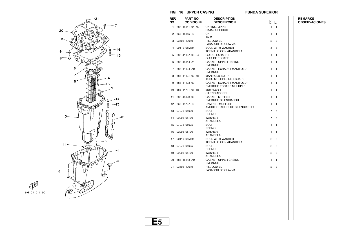

 $FIG. 16 UPPER CASING$ 

**E5**

**FUNDA SUPERIOR** 

| REF.<br>NO.      | <b>PART NO.</b><br><b>CODIGO Nº</b> | <b>DESCRIPTION</b><br><b>DESCRIPCION</b>                     | ETO            | 눕              |  | <b>REMARKS</b><br><b>OBSERVACIONES</b> |
|------------------|-------------------------------------|--------------------------------------------------------------|----------------|----------------|--|----------------------------------------|
| 1                | 688-45111-04-4D                     | CASING, UPPER<br><b>CAJA SUPERIOR</b>                        | 1              | 1              |  |                                        |
| 2                | 663-45155-10                        | CAP<br><b>TAPA</b>                                           | 1              | 1              |  |                                        |
| 3                | 93606-12019                         | PIN, DOWEL<br>PASADOR DE CLAVIJA                             | $\overline{c}$ | 2              |  |                                        |
| 4                | 90119-08M80                         | <b>BOLT, WITH WASHER</b><br>TORNILLO CON ARANDELA            | 8              | 8              |  |                                        |
| 5                | 688-41137-03-94                     | <b>GUIDE, EXHAUST</b><br><b>GUIA DE ESCAPE</b>               | 1              | 1              |  |                                        |
| 6                | 688-45114-A1                        | <b>GASKET, UPPER CASING</b><br><b>EMPAQUE</b>                | $\mathbf{1}$   | $\mathbf{1}$   |  |                                        |
| 7                | 688-41134-A0                        | GASKET, EXHAUST MANIFOLD<br><b>EMPAQUE</b>                   | 1              | 1              |  |                                        |
| 8                | 688-41131-00-5B                     | MANIFOLD, EXT. 1<br>TUBO MULTIPLE DE ESCAPE                  | 1              | 1              |  |                                        |
| 9                | 688-41133-00                        | GASKET, EXHAUST MANIFOLD 1<br><b>EMPAQUE ESCAPE MULTIPLE</b> | 1              | 1              |  |                                        |
| 10               | 688-14711-01-5B                     | <b>MUFFLER 1</b><br>SILENCIADOR 1                            | 1              | 1              |  |                                        |
| 11               | 688-45123-00                        | <b>GASKET, MUFFLER</b><br><b>EMPAQUE SILENCIADOR</b>         | 1              | 1              |  |                                        |
| 12 <sup>12</sup> | 663-14737-10                        | DAMPER, MUFFLER<br>AMORTIGUADOR DE SILENCIADOR               | 1              | 1              |  |                                        |
| 13               | 97075-08030                         | <b>BOLT</b><br><b>PERNO</b>                                  | $\overline{7}$ | 7              |  |                                        |
| 14               | 92995-08100                         | <b>WASHER</b><br>ARANDELA                                    | $\overline{7}$ | 7              |  |                                        |
|                  | 15 97075-08025                      | <b>BOLT</b><br><b>PERNO</b>                                  | 1              | 1              |  |                                        |
|                  | 16 92995-08100                      | <b>WASHER</b><br>ARANDELA                                    | $\mathbf{1}$   | $\mathbf{1}$   |  |                                        |
| 17               | 90119-08M79                         | <b>BOLT, WITH WASHER</b><br>TORNILLO CON ARANDELA            | $\overline{c}$ | 2              |  |                                        |
| 18               | 97075-08035                         | <b>BOLT</b><br><b>PERNO</b>                                  | $\overline{2}$ | 2              |  |                                        |
| 19               | 92995-08100                         | <b>WASHER</b><br>ARANDELA                                    | 2              | 2              |  |                                        |
| 20               | 688-45113-A0                        | <b>GASKET, UPPER CASING</b><br><b>EMPAQUE</b>                | 1              | 1              |  |                                        |
|                  | 21 93606-12019                      | PIN, DOWEL<br>PASADOR DE CLAVIJA                             | $\overline{2}$ | $\overline{c}$ |  |                                        |
|                  |                                     |                                                              |                |                |  |                                        |
|                  |                                     |                                                              |                |                |  |                                        |
|                  |                                     |                                                              |                |                |  |                                        |
|                  |                                     |                                                              |                |                |  |                                        |
|                  |                                     |                                                              |                |                |  |                                        |
|                  |                                     |                                                              |                |                |  |                                        |
|                  |                                     |                                                              |                |                |  |                                        |

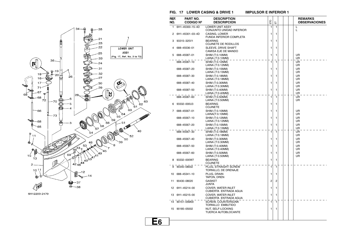

**E6**





| REF.<br>NO. | PART NO.<br><b>CODIGO Nº</b> | <b>DESCRIPTION</b><br><b>DESCRIPCION</b>           | EЮ | こ            |  | <b>REMARKS</b><br><b>OBSERVACIONES</b> |
|-------------|------------------------------|----------------------------------------------------|----|--------------|--|----------------------------------------|
| 1           | 6H1-45300-15-4D              | <b>LOWER UNIT ASSY</b><br>CONJUNTO UNIDAD INFERIOR | 1  | 1            |  | L<br>L                                 |
| 2           | 6H1-45301-03-4D              | CASING. LOWER<br>FUNDA INFERIOR COMPLETA           | 1  | 1            |  |                                        |
| 3           | 93315-325V1                  | <b>BEARING</b><br>COJINETE DE RODILLOS             | 1  | 1            |  |                                        |
| 4           | 688-45536-01                 | SLEEVE, DRIVE SHAFT<br>CAMISA EJE DE MANDO         | 1  | 1            |  |                                        |
| 5           | 688-45587-01                 | SHIM (T:0.10MM)<br>LAINA (T:0.10MM)                | 1  | 1            |  | UR<br>UR                               |
|             | 688-45587-10                 | SHIM (T:0.12MM)<br>LAINA (T:0.12MM)                | 1  | $\mathbf{1}$ |  | UR<br>UR                               |
|             | 688-45587-20                 | SHIM (T:0.15MM)<br>LAINA (T:0.15MM)                | 1  | 1            |  | UR<br>UR                               |
|             | 688-45587-30                 | SHIM (T:0.18MM)<br>LAINA (T:0.18MM)                | 1  | 1            |  | UR<br>UR                               |
|             | 688-45587-40                 | SHIM (T:0.30MM)<br>LAINA (T:0.30MM)                | 1  | 1            |  | UR<br>UR                               |
|             | 688-45587-50                 | SHIM (T:0.40MM)<br>LAINA (T:0.40MM)                | 1  | 1            |  | UR<br>UR                               |
|             | 688-45587-60                 | SHIM (T:0.50MM)<br>LAINA (T:0.50MM)                | 1  | 1            |  | UR<br>UR                               |
| 6           | 93332-000U3                  | <b>BEARING</b><br><b>COJINETE</b>                  | 1  | 1            |  |                                        |
| 7           | 688-45567-01                 | SHIM (T:0.10MM)<br>LAINA(T:0.10MM)                 | 1  | 1            |  | UR<br>UR                               |
|             | 688-45567-10                 | SHIM (T:0.12MM)<br>LAINA (T:0.12MM)                | 1  | 1            |  | UR<br>UR                               |
|             | 688-45567-20                 | SHIM (T:0.15MM)<br>LAINA (T:0.15MM)                | 1  | 1            |  | UR<br>UR                               |
|             | 688-45567-30                 | SHIM (T:0.18MM)<br>LAINA (T:0.18MM)                | 1  | 1            |  | UR<br>UR                               |
|             | 688-45567-40                 | SHIM (T:0.30MM)<br>LAINA (T:0.30MM)                | 1  | 1            |  | UR<br>UR                               |
|             | 688-45567-50                 | SHIM (T:0.40MM)<br>LAINA (T:0.40MM)                | 1  | 1            |  | UR<br>UR                               |
|             | 688-45567-60                 | SHIM (T:0.50MM)<br>LAINA (T:0.50MM)                | 1  | 1            |  | UR<br>UR                               |
| 8           | 93332-000W7                  | <b>BEARING</b><br><b>COJINETE</b>                  | 1  | 1            |  |                                        |
| 9           | 90340-08002                  | PLUG, STRAIGHT SCREW<br>TORNILLO, DE DRENAJE       | 1  | $\mathbf{1}$ |  |                                        |
| 10          | 688-45341-10                 | PLUG, DRAIN<br>TAPON, DREN                         | 1  | 1            |  |                                        |
| 11          | 90430-08020                  | <b>GASKET</b><br>JUNTA                             | 2  | 2            |  |                                        |
| 12          | 6H1-45214-00                 | COVER, WATER INLET<br>CUBIERTA ENTRADA AGUA        | 1  | 1            |  |                                        |
| 13          | 6H1-45215-00                 | COVER, WATER INLET<br>CUBIERTA ENTRADA AGUA        | 1  | 1            |  |                                        |
| 14          | 90151-05M00                  | <b>SCREW, COUNTERSUNK</b><br>TORNILLO EMBUTIDO     | 1  | 1            |  |                                        |
| 15          | 90185-05002                  | NUT, SELF-LOCKING<br>TUERCA AUTOBLOCANTE           | 1  | 1            |  |                                        |
|             |                              |                                                    |    |              |  |                                        |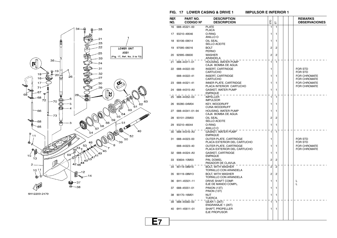



**FIG. 17** LOWER CASING & DRIVE 1

**E7**

| REF.<br>NO. | PART NO.<br><b>CODIGO Nº</b> | <b>DESCRIPTION</b><br><b>DESCRIPCION</b>              | ETO            | こ |  | <b>REMARKS</b><br><b>OBSERVACIONES</b>     |
|-------------|------------------------------|-------------------------------------------------------|----------------|---|--|--------------------------------------------|
| 16          | 688-45321-00                 | <b>PLATE</b>                                          | 1              | 1 |  |                                            |
| 17          | 93210-49046                  | <b>PLACA</b><br>0-RING                                | 1              | 1 |  |                                            |
|             |                              | ANILLO O                                              |                |   |  |                                            |
| 18          | 93106-09014                  | OIL SEAL<br>SELLO ACEITE                              | 1              | 1 |  |                                            |
| 19          | 97095-06016                  | <b>BOLT</b><br>PERNO                                  | 2              | 2 |  |                                            |
| 20          | 92995-06600                  | <b>WASHER</b><br>ARANDELA                             | $\overline{2}$ | 2 |  |                                            |
| 21          | 688-44311-01                 | HOUSING, WATER PUMP<br>CAJA BOMBA DE AGUA             | 1              | 1 |  |                                            |
| 22          | 688-44322-00                 | <b>INSERT, CARTRIDGE</b><br><b>CARTUCHO</b>           | 1              |   |  | <b>FOR STD</b><br><b>FOR STD</b>           |
|             | 688-44322-41                 | <b>INSERT, CARTRIDGE</b><br>CARTUCHO                  | 1              | 1 |  | <b>FOR CHROMATE</b><br><b>FOR CHROMATE</b> |
| 23          | 688-44321-41                 | INNER PLATE, CARTRIDGE<br>PLACA INTERIOR CARTUCHO     | 1              | 1 |  | <b>FOR CHROMATE</b><br><b>FOR CHROMATE</b> |
| 24          | 688-44315-A0                 | <b>GASKET, WATER PUMP</b><br>EMPAQUE                  | 1              | 1 |  |                                            |
| 25          | 688-44352-03                 | <b>IMPELLER</b><br><b>IMPULSOR</b>                    | 1              | 1 |  |                                            |
| 26          | 90280-04M04                  | <b>KEY, WOODRUFF</b><br><b>CUNA WOODRUFF</b>          | 1              | 1 |  |                                            |
| 27          | 688-44341-01-94              | HOUSING, WATER PUMP<br>CAJA BOMBA DE AGUA             | 1              | 1 |  |                                            |
| 28          | 93101-25M03                  | OIL SEAL<br>SELLO ACEITE                              | 2              | 2 |  |                                            |
| 29          | 93210-46044                  | O-RING<br>ANILLO O                                    | 1              | 1 |  |                                            |
| 30          | 688-44316-A0                 | GASKET, WATER PUMP<br><b>EMPAQUE</b>                  | 1              | 1 |  |                                            |
| 31          | 688-44323-00                 | OUTER PLATE, CARTRIDGE<br>PLACA EXTERIOR DEL CARTUCHO | 1              |   |  | FOR STD<br>FOR STD                         |
|             | 688-44323-40                 | OUTER PLATE, CARTRIDGE<br>PLACA EXTERIOR DEL CARTUCHO | 1              | 1 |  | <b>FOR CHROMATE</b><br><b>FOR CHROMATE</b> |
| 32          | 688-44324-A0                 | <b>GASKET, CARTRIDGE</b><br>EMPAQUE                   | 1              | 1 |  |                                            |
| 33          | 93604-10M03                  | PIN, DOWEL<br>PASADOR DE CLAVIJA                      | 2              | 2 |  |                                            |
| 34          | 90119-08M16                  | <b>BOLT, WITH WASHER</b><br>TORNILLO CON ARANDELA     | 2              | 2 |  |                                            |
| 35          | 90119-08M13                  | <b>BOLT, WITH WASHER</b><br>TORNILLO CON ARANDELA     | 2              | 2 |  |                                            |
| 36          | 6H1-45501-11                 | DRIVE SHAFT COMP.<br>EJE DE MANDO COMPL.              | 1              | 1 |  | L<br>L                                     |
| 37          | 688-45551-01                 | PINION (13T)<br>PINON (13T)                           | 1              | 1 |  |                                            |
| 38          | 90170-16M01                  | NUT<br>TUERCA                                         | 1              | 1 |  |                                            |
| 39          | 688-45560-00                 | GEAR 1 (26T)<br>ENGRANAJE 1 (26T)                     | 1              | 1 |  |                                            |
| 40          | 6H1-45611-01                 | SHAFT, PROPELLER<br>EJE PROPUSOR                      | 1              | 1 |  |                                            |
|             |                              |                                                       |                |   |  |                                            |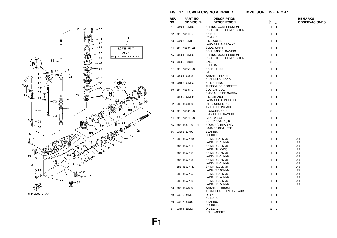



#### **FIG. 17** LOWER CASING & DRIVE 1

**F1**

| REF.<br>NO. | PART NO.<br><b>CODIGO Nº</b> | <b>DESCRIPTION</b><br><b>DESCRIPCION</b>          | EЮ             | こ            |  | <b>REMARKS</b><br><b>OBSERVACIONES</b> |
|-------------|------------------------------|---------------------------------------------------|----------------|--------------|--|----------------------------------------|
| 41          | 90501-12M48                  | SPRING, COMPRESSION<br>RESORTE DE COMPRESION      | 1              | 1            |  |                                        |
| 42          | 6H1-45641-01                 | SHIFTER<br>CAMBIO                                 | 1              | 1            |  |                                        |
| 43          | 93603-12M11                  | PIN, DOWEL<br>PASADOR DE CLAVIJA                  | 1              | 1            |  |                                        |
| 44          | 6H1-45634-02                 | SLIDE, SHIFT<br>DESLIZADOR, CAMBIO                | 1              | 1            |  |                                        |
| 45          | 90501-16M65                  | SPRING, COMPRESSION<br>RESORTE DE COMPRESION      | 1              | 1            |  |                                        |
| 46          | 93503-16003                  | <b>BALL</b><br>ESFERA                             | $\overline{2}$ | $^{-2}$      |  |                                        |
| 47          | 6H1-45668-00                 | SHAFT, FREE<br>EJE                                | 1              | 1            |  |                                        |
| 48          | 90201-03313                  | <b>WASHER, PLATE</b><br>ARANDELA PLANA            | 1              | 1            |  |                                        |
| 49          | 90183-02M03                  | NUT, SPRING<br>TUERCA DE RESORTE                  | 2              | 2            |  |                                        |
| 50          | 6H1-45631-01                 | CLUTCH, DOG<br>EMBRAGUE DE GARRA                  | 1              | 1            |  |                                        |
| 51          | 90250-07M02                  | PIN, STRAIGHT<br>PASADOR CILINDRICO               | 1              | $\mathbf{1}$ |  |                                        |
| 52          | 688-45633-00                 | RING, CROSS PIN<br>ANILLO DE PASADOR              | 1              | 1            |  |                                        |
| 53          | 6H1-45635-00                 | PLUNGER, SHIFT<br>EMBOLO DE CAMBIO                | 2              | 2            |  |                                        |
| 54          | 6H1-45571-00                 | GEAR 2 (26T)<br>ENGRANAJE 2 (26T)                 | 1              | 1            |  |                                        |
| 55          | 688-45331-00-94              | <b>HOUSING, BEARING</b><br>CAJA DE COJINETE       | 1              | 1            |  |                                        |
| 56          | 93306-207U0                  | <b>BEARING</b><br><b>COJINETE</b>                 | 1              | 1            |  |                                        |
| 57          | 688-45577-01                 | SHIM (T:0.10MM)<br>LAINA (T:0.10MM)               | 1              | 1            |  | UR<br>UR                               |
|             | 688-45577-10                 | SHIM (T:0.12MM)<br>LAINA (:0.12MM)                | 1              | 1            |  | UR<br>UR                               |
|             | 688-45577-20                 | SHIM (T:0.15MM)<br>LAINA (T:0.15MM)               | 1              | 1            |  | UR<br>UR                               |
|             | 688-45577-30                 | SHIM (T:0.18MM)<br>LAINA (T:0.18MM)               | 1              | 1            |  | UR<br>UR                               |
|             | 688-45577-40                 | SHIM (T:0.30MM)<br>LAINA (T:0.30MM)               | 1              | 1            |  | UR<br>UR                               |
|             | 688-45577-50                 | SHIM (T:0.40MM)<br>LAINA (T:0.40MM)               | 1              | 1            |  | UR<br>UR                               |
|             | 688-45577-60                 | SHIM (T:0.50MM)<br>LAINA (T:0.50MM)               | 1              | 1            |  | UR<br>UR                               |
| 58          | 688-45576-00                 | <b>WASHER, THRUST</b><br>ARANDELA DE EMPUJE AXIAL | 1              | 1            |  |                                        |
| 59          | 93210-85M97                  | O-RING<br>ANILLO O                                | 1              | 1            |  |                                        |
| 60          | 93317-325U0                  | <b>BEARING</b><br><b>COJINETE</b>                 | 1              | 1            |  |                                        |
| 61          | 93101-25M03                  | OIL SEAL<br><b>SELLO ACEITE</b>                   | 2              | 2            |  |                                        |
|             |                              |                                                   |                |              |  |                                        |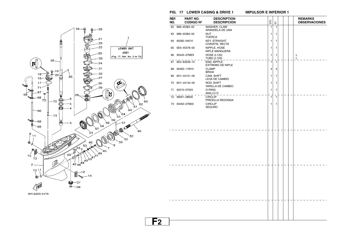



|         |             |                              | FIG. 17 LOWER CASING & DRIVE 1                      | <b>IMPULSOR E INFERIOR 1</b> |              |                |  |                                        |  |  |
|---------|-------------|------------------------------|-----------------------------------------------------|------------------------------|--------------|----------------|--|----------------------------------------|--|--|
|         | REF.<br>NO. | PART NO.<br><b>CODIGO Nº</b> | <b>DESCRIPTION</b><br><b>DESCRIPCION</b>            |                              | ETO          | 岀              |  | <b>REMARKS</b><br><b>OBSERVACIONES</b> |  |  |
|         |             | 62 688-45383-02              | WASHER, CLAW<br>ARANDELA DE UNA                     |                              | $\mathbf{1}$ | $\mathbf{1}$   |  |                                        |  |  |
|         | 63          | 688-45384-00                 | <b>NUT</b><br><b>TUERCA</b>                         |                              | 1            | 1              |  |                                        |  |  |
|         |             | 64 90282-04010               | <b>KEY, STRAIGHT</b><br>CHAVETA, RECTA              |                              | 1            | 1              |  |                                        |  |  |
|         | 65          | 6E5-45378-00                 | NIPPLE, HOSE<br>NIPLE MANGUERA                      |                              | 1            | 1              |  |                                        |  |  |
|         |             | 66 90445-07ME9               | <b>HOSE (L120)</b><br><b>TUBO (L120)</b>            |                              | 1            | 1              |  | L<br>L                                 |  |  |
|         |             | 67 6E5-83558-10              | END, NIPPLE<br>EXTREMO DE NIPLE                     |                              | 1            | $\overline{1}$ |  |                                        |  |  |
|         |             | 68 90465-11M10               | <b>CLAMP</b><br><b>BRIDA</b>                        |                              | 4            | 4              |  |                                        |  |  |
|         | 69          | 6H1-44151-00                 | CAM, SHIFT<br>LEVA DE CAMBIO                        |                              | 1            | 1              |  |                                        |  |  |
|         | 70          | 6H1-44144-00                 | ROD, SHIFT<br>VARILLA DE CAMBIO                     |                              | 1            | 1              |  |                                        |  |  |
|         | 71          | 93210-07003                  | O-RING                                              |                              | 1            | 1              |  |                                        |  |  |
|         |             | 72 99001-08600               | ANILLO O<br><b>CIRCLIP</b>                          |                              | 1            | $\overline{1}$ |  |                                        |  |  |
| 53      |             | 73 93450-07M00               | PRESILLA REDONDA<br><b>CIRCLIP</b><br><b>SEGURO</b> |                              | 1            | 1              |  |                                        |  |  |
| <i></i> |             |                              |                                                     |                              |              |                |  |                                        |  |  |
|         |             |                              |                                                     |                              |              |                |  |                                        |  |  |
|         |             |                              |                                                     |                              |              |                |  |                                        |  |  |
|         |             |                              |                                                     |                              |              |                |  |                                        |  |  |
|         |             |                              |                                                     |                              |              |                |  |                                        |  |  |
|         |             |                              |                                                     |                              |              |                |  |                                        |  |  |
|         |             |                              |                                                     |                              |              |                |  |                                        |  |  |
|         |             |                              |                                                     |                              |              |                |  |                                        |  |  |
|         |             |                              |                                                     |                              |              |                |  |                                        |  |  |
|         |             |                              |                                                     |                              |              |                |  |                                        |  |  |
|         |             |                              |                                                     |                              |              |                |  |                                        |  |  |
|         |             |                              |                                                     |                              |              |                |  |                                        |  |  |
|         |             |                              |                                                     |                              |              |                |  |                                        |  |  |
|         |             |                              |                                                     |                              |              |                |  |                                        |  |  |
|         |             |                              |                                                     |                              |              |                |  |                                        |  |  |
| ${F_2}$ |             |                              |                                                     |                              |              |                |  |                                        |  |  |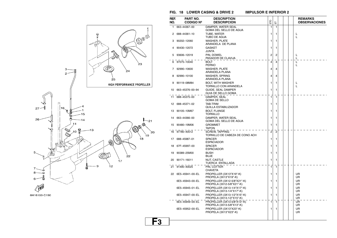**FIG. 18 LOWER CASING & DRIVE 2** 

**IMPULSOR E INFERIOR 2** 



| REF.            | PART NO.         | <b>DESCRIPTION</b>                                       |    |                |  | <b>REMARKS</b>       |
|-----------------|------------------|----------------------------------------------------------|----|----------------|--|----------------------|
| NO.             | <b>CODIGO Nº</b> | <b>DESCRIPCION</b>                                       | EЮ | 풉              |  | <b>OBSERVACIONES</b> |
| 1               | 663-44367-00     | DAMPER, WATER SEAL<br>GOMA DEL SELLO DE AGUA             | 1  | 1              |  |                      |
| 2               | 688-44361-10     | TUBE, WATER<br>TUBO DE AGUA                              | 1  | 1              |  | L<br>L               |
| 3               | 90202-12060      | <b>WASHER, PLATE</b><br>ARANDELA DE PLANA                | 1  | 1              |  |                      |
| 4               | 90430-12072      | <b>GASKET</b><br>JUNTA                                   | 1  | 1              |  |                      |
| 5               | 93606-12019      | PIN, DOWEL<br>PASADOR DE CLAVIJA                         | 2  | 2              |  | L<br>L               |
| 6               | 97075-10040      | <b>BOLT</b><br><b>PERNO</b>                              | 4  | 4              |  | L<br>L               |
| 7               | 92990-10600      | WASHER, PLATE<br>ARANDELA PLANA                          | 4  | 4              |  |                      |
| 8               | 92990-10100      | WASHER, SPRING<br>ARANDELA PLANA                         | 4  | 4              |  |                      |
| 9               | 90119-08M84      | <b>BOLT, WITH WASHER</b><br>TORNILLO CON ARANDELA        | 1  | 1              |  | L<br>L               |
| 10              | 663-45376-00-94  | <b>GUIDE, SEAL DAMPER</b><br>GUIA DE SELLO GOMA          | 1  | 1              |  |                      |
| 11              | 688-45375-00     | DAMPER, SEAL<br>GOMA DE SELLO                            | 1  | 1              |  |                      |
| 12 <sup>2</sup> | 688-45371-02     | TAB-TRIM<br>QUILLA ESTABILIZADOR                         | 1  | 1              |  |                      |
| 13              | 90105-10M67      | <b>BOLT, FLANGE</b><br>TORNILLO                          | 1  | 1              |  |                      |
| 14              | 663-44366-00     | DAMPER, WATER SEAL<br>GOMA DEL SELLO DE AGUA             | 1  | 1              |  |                      |
| 15              | 90480-19M06      | <b>GROMMET</b><br>TAPON                                  | 1  | 1              |  |                      |
| 16              | 97780-40512      | <b>SCREW, TAPPING</b><br>TORNILLO DE CABEZA DE CONO ACH  | 2  | $\overline{2}$ |  |                      |
| 17              | 688-45987-01     | <b>SPACER</b><br><b>ESPACIADOR</b>                       | 1  | 1              |  |                      |
| 18              | 67F-45997-00     | <b>SPACER</b><br><b>ESPACIADOR</b>                       | 1  | 1              |  |                      |
| 19              | 90389-25M00      | <b>BUSH</b><br>BUJE                                      | 1  | 1              |  |                      |
| 20              | 90171-16011      | <b>NUT, CASTLE</b><br>TUERCA ENTALLADA                   | 1  | 1              |  |                      |
| 21              | 91490-40025      | PIN, COTTER<br>CHAVETA                                   | 1  | 1              |  |                      |
| 22              | 6E5-45941-00-EL  | PROPELLER (3X13"X19"-K)<br>PROPELA (3X13"X19"-K)         | 1  | 1              |  | UR<br>UR             |
|                 | 6E5-45943-00-EL  | PROPELLER (3X12-5/8"X21"-K)<br>PROPELA (3X12-5/8"X21"-K) | 1  | 1              |  | UR<br>UR             |
|                 | 6E5-45945-01-EL  | PROPELLER (3X13-1/4"X17"-K)<br>PROPELA (3X13-1/4"X17"-K) | 1  | 1              |  | UR<br>UR             |
|                 | 6E5-45947-00-EL  | PROPELLER (3X13-1/2"X15"-K)<br>PROPELA (3X13-1/2"X15"-K) | 1  | 1              |  | UR<br>UR             |
|                 | 6E5-45949-00-EL  | PROPELLER (3X13-5/8"X13"-K)<br>PROPELA (3X13-5/8"X13"-K) | 1  | 1              |  | UR<br>UR             |
|                 | 6E5-45952-00-EL  | PROPELLER (3X13"X23"-K)<br>PROPELA (3X13"X23"-K)         | 1  | 1              |  | UR<br>UR             |
|                 |                  |                                                          |    |                |  |                      |

**F3**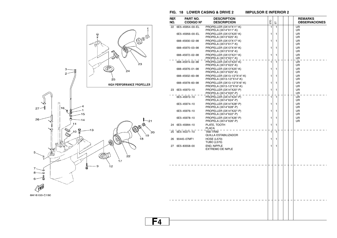**FIG. 18 LOWER CASING & DRIVE 2** 

**F4**



| REF.<br>NO. | PART NO.<br><b>CODIGO Nº</b> | <b>DESCRIPTION</b><br><b>DESCRIPCION</b>                 | EЮ | こ            |  | <b>REMARKS</b><br><b>OBSERVACIONES</b> |
|-------------|------------------------------|----------------------------------------------------------|----|--------------|--|----------------------------------------|
| 22          | 6E5-45954-00-EL              | PROPELLER (3X14"X11"-K)<br>PROPELA (3X14"X11"-K)         | 1  | 1            |  | UR<br>UR                               |
|             | 6E5-45956-00-EL              | PROPELLER (3X13"X25"-K)<br>PROPELA (3X13"X25"-K)         | 1  | 1            |  | UR<br>UR                               |
|             | 688-45930-02-98              | PROPELLER (3X13"X17"-K)<br>PROPELA (3X13"X17"-K)         | 1  | 1            |  | UR<br>UR                               |
|             | 688-45970-03-98              | PROPELLER (3X13"X19"-K)<br>PROPELA (3X13"X19"-K)         | 1  | 1            |  | UR<br>UR                               |
|             | 688-45972-02-98              | PROPELLER (3X13"X21"-K)<br>PROPELA (3X13"X21"-K)         | 1  | 1            |  | UR<br>UR                               |
|             | 688-45974-02-98              | PROPELLER (3X13"X23"-K)<br>PROPELA (3X13"X23"-K)         | 1  | $\mathbf{1}$ |  | UR<br>UR                               |
|             | 688-45976-01-98              | PROPELLER (3X13"X25"-K)<br>PROPELA (3X13"X25"-K)         | 1  | 1            |  | UR<br>UR                               |
|             | 688-45932-60-98              | PROPELLER (3X13-1/2"X14"-K)<br>PROPELA (3X13-1/2"X14"-K) | 1  | 1            |  | UR<br>UR                               |
|             | 688-45978-60-98              | PROPELLER (3X13-1/2"X16"-K)<br>PROPELA (3X13-1/2"X16"-K) | 1  | 1            |  | UR<br>UR                               |
|             | 23 6E5-45970-10              | PROPELLER (3X14"X20"-P)<br>PROPELA (3X14"X20"-P)         | 1  | 1            |  | UR<br>UR                               |
|             | 6E5-45972-10                 | PROPELLER (3X14"X24"-P)<br>PROPELA (3X14"X24"-P)         | 1  | 1            |  | UR<br>UR                               |
|             | 6E5-45974-10                 | PROPELLER (3X14"X28"-P)<br>PROPELA (3X14"X28"-P)         | 1  | 1            |  | UR<br>UR                               |
|             | 6E5-45976-10                 | PROPELLER (3X14"X22"-P)<br>PROPELA (3X14"X22"-P)         | 1  | 1            |  | UR<br>UR                               |
|             | 6E5-45978-10                 | PROPELLER (3X14"X26"-P)<br>PROPELA (3X14"X26"-P)         | 1  | 1            |  | UR<br>UR                               |
|             | 24 6E5-45994-10              | PLATE, TOOTH<br>PLACA                                    | 1  | 1            |  |                                        |
|             | 25 6E5-45371-10              | <b>TAB-TRIM</b><br>QUILLA ESTABILIZADOR                  | 1  | $\mathbf{1}$ |  |                                        |
|             | 26 90445-07MF1               | <b>HOSE (L570)</b><br><b>TUBO (L570)</b>                 | 1  | 1            |  |                                        |
|             | 27 6E5-83558-00              | END, NIPPLE<br><b>EXTREMO DE NIPLE</b>                   | 1  | 1            |  |                                        |
|             |                              |                                                          |    |              |  |                                        |
|             |                              |                                                          |    |              |  |                                        |
|             |                              |                                                          |    |              |  |                                        |
|             |                              |                                                          |    |              |  |                                        |
|             |                              |                                                          |    |              |  |                                        |
|             |                              |                                                          |    |              |  |                                        |
|             |                              |                                                          |    |              |  |                                        |
|             |                              |                                                          |    |              |  |                                        |
|             |                              |                                                          |    |              |  |                                        |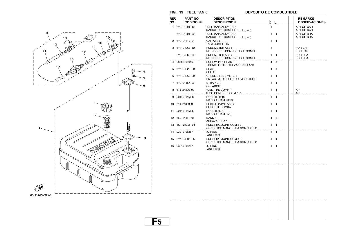

**F5**

**FIG. 19 FUEL TANK DEPOSITO DE COMBUSTIBLE**



| REF. | PART NO.         | <b>DESCRIPTION</b>                                      |     |              |  | <b>REMARKS</b>            |
|------|------------------|---------------------------------------------------------|-----|--------------|--|---------------------------|
| NO.  | <b>CODIGO Nº</b> | <b>DESCRIPCION</b>                                      | ETO | 눕            |  | <b>OBSERVACIONES</b>      |
| 1.   | 6YJ-24201-10     | FUEL TANK ASSY (24L)<br>TANQUE DEL COMBUSTIBLE (24L)    | 1   |              |  | AP FOR CAR<br>AP FOR CAR  |
|      | 6YJ-24201-00     | FUEL TANK ASSY (24L)<br>TANQUE DEL COMBUSTIBLE (24L)    | 1   | 1            |  | AP FOR BRA<br>AP FOR BRA  |
|      | 2 6YJ-24610-01   | .CAP ASSY<br>TAPA COMPLETA                              | 1   | 1            |  |                           |
| 3    | 6Y1-24260-12     | <b>FUEL METER ASSY</b><br>MEDIDOR DE COMBUSTIBLE COMPL. | 1   |              |  | <b>FOR CAR</b><br>FOR CAR |
|      | 6YJ-24260-00     | <b>FUEL METER ASSY</b><br>MEDIDOR DE COMBUSTIBLE COMPL. | 1   | 1            |  | <b>FOR BRA</b><br>FOR BRA |
|      | 98586-05016      | .SCREW, PAN HEAD<br>TORNILLO DE CABEZA CON PLANA        | 4   | 4            |  |                           |
| 5    | 6Y1-24329-00     | .SEAL<br>.SELLO                                         | 4   | 4            |  |                           |
| 6    | 6Y1-24268-00     | .GASKET, FUEL METER<br>EMPAQ MEDIDOR DE COMBUSTIBLE     | 1   | 1            |  |                           |
| 7    | 6YJ-24167-00     | .STRAINER<br>.COLADOR                                   | 1   | 1            |  |                           |
|      | 8 61J-24306-03   | FUEL PIPE COMP. 1<br>TUBO COMBUST. COMPL 1              | 1   | 1            |  | AP<br>AP                  |
| 9    | 90445-11M06      | .HOSE (L2050)<br>.MANGUERA (L2050)                      | 1   | $\mathbf{1}$ |  |                           |
|      | 10 61J-24360-00  | PRIMER PUMP ASSY<br>SOPORTE BOMBA                       | 1   | 1            |  |                           |
| 11   | 90445-11M05      | .HOSE (L850)<br>.MANGUERA (L850)                        | 1   | 1            |  |                           |
|      | 12 650-24351-01  | .BAND 1<br>.ABRAZADERA 1                                | 4   | 4            |  |                           |
| 13   | 6G1-24305-04     | FUEL PIPE JOINT COMP. 2<br>CONECTOR MANGUERA COMBUST. 2 | 1   | $\mathbf{1}$ |  |                           |
|      | 14 93210-08287   | O-RING<br>ANILLO O                                      | 1   | $\mathbf{1}$ |  |                           |
| 15   | 6Y1-24305-05     | FUEL PIPE JOINT COMP. 2<br>CONECTOR MANGUERA COMBUST. 2 | 1   | 1            |  |                           |
|      | 16 93210-08287   | O-RING<br>ANILLO O                                      | 1   | 1            |  |                           |
|      |                  |                                                         |     |              |  |                           |
|      |                  |                                                         |     |              |  |                           |
|      |                  |                                                         |     |              |  |                           |
|      |                  |                                                         |     |              |  |                           |
|      |                  |                                                         |     |              |  |                           |
|      |                  |                                                         |     |              |  |                           |
|      |                  |                                                         |     |              |  |                           |
|      |                  |                                                         |     |              |  |                           |
|      |                  |                                                         |     |              |  |                           |
|      |                  |                                                         |     |              |  |                           |
|      |                  |                                                         |     |              |  |                           |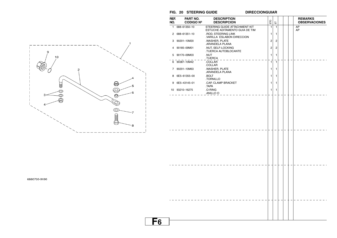

**F6**



| REF.<br>NO. | PART NO.<br><b>CODIGO Nº</b> | <b>DESCRIPTION</b><br><b>DESCRIPCION</b>                        | ETO | $\overleftarrow{\text{m}}$ |  | <b>REMARKS</b><br><b>OBSERVACIONES</b> |
|-------------|------------------------------|-----------------------------------------------------------------|-----|----------------------------|--|----------------------------------------|
| 1           | 688-61350-10                 | STEERING GUIDE ATTACHMENT KIT<br>ESTUCHE ADITAMENTO GUIA DE TIM | 1   | $\mathbf{1}$               |  | AP<br>AP                               |
|             | 2 688-61351-10               | .ROD. STEERING LINK<br>.VARILLA ESLABON DIRECCION               | 1   | 1                          |  |                                        |
|             | 3 90201-10M20                | .WASHER, PLATE<br>.ARANDELA PLANA                               | 2   | 2                          |  |                                        |
|             | 4 90185-09M01                | .NUT, SELF-LOCKING<br>TUERCA AUTOBLOCANTE                       | 2   | 2                          |  |                                        |
|             | 5 90170-09M03                | .NUT<br>.TUERCA                                                 | 1   | 1                          |  |                                        |
|             | $\overline{6}$ 90387-10M42   | .COLLAR<br>.COLLAR                                              | 1   | 1                          |  |                                        |
|             | 7 90201-10M63                | .WASHER, PLATE<br>.ARANDELA PLANA                               | 1   | 1                          |  |                                        |
| 8           | 6E5-61355-00                 | .BOLT<br>.TORNILLO                                              | 1   | 1                          |  |                                        |
| 9           | 6E5-43145-01                 | .CAP, CLAMP BRACKET                                             | 1   | 1                          |  |                                        |
|             | 10 93210-16275               | .TAPA<br>.O-RING<br>.ANILLO $Q_{-}$ $=$ $ =$ $ =$ $-$           | 1   | $\mathbf{1}$               |  |                                        |
|             |                              |                                                                 |     |                            |  |                                        |
|             |                              |                                                                 |     |                            |  |                                        |
|             |                              |                                                                 |     |                            |  |                                        |
|             |                              |                                                                 |     |                            |  |                                        |

6880700-9190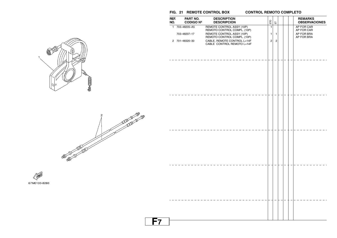#### **FIG. 21 REMOTE CONTROL BOX CONTROL REMOTO COMPLETO**

#### **CONTROL REMOTO COMPLETO**

| REF.<br>NO. | PART NO.<br><b>CODIGO Nº</b>                     | <b>DESCRIPTION</b><br><b>DESCRIPCION</b>                                                                                                            | ETO                                              | $\overleftarrow{\text{m}}$     |  | <b>REMARKS</b><br><b>OBSERVACIONES</b>               |
|-------------|--------------------------------------------------|-----------------------------------------------------------------------------------------------------------------------------------------------------|--------------------------------------------------|--------------------------------|--|------------------------------------------------------|
|             | 1 703-48205-A5<br>703-48207-17<br>2 701-48320-30 | REMOTE CONTROL ASSY (10P)<br>REMOTO CONTROL COMPL. (10P)<br>REMOTE CONTROL ASSY (10P)<br>REMOTO CONTROL COMPL. (10P)<br>CABLE, REMOTE CONTROL L=14F | $\overline{1}$<br>$\mathbf{1}$<br>$\overline{2}$ | $\mathbf{1}$<br>$\overline{c}$ |  | AP FOR CAR<br>AP FOR CAR<br>AP FOR BRA<br>AP FOR BRA |
|             |                                                  | CABLE CONTROL REMOTO L=14F                                                                                                                          |                                                  |                                |  |                                                      |
|             |                                                  |                                                                                                                                                     |                                                  |                                |  |                                                      |
|             |                                                  |                                                                                                                                                     |                                                  |                                |  |                                                      |
|             |                                                  |                                                                                                                                                     |                                                  |                                |  |                                                      |
|             |                                                  |                                                                                                                                                     |                                                  |                                |  |                                                      |
|             |                                                  |                                                                                                                                                     |                                                  |                                |  |                                                      |
|             |                                                  |                                                                                                                                                     |                                                  |                                |  |                                                      |
|             |                                                  |                                                                                                                                                     |                                                  |                                |  |                                                      |
|             |                                                  |                                                                                                                                                     |                                                  |                                |  |                                                      |
|             |                                                  |                                                                                                                                                     |                                                  |                                |  |                                                      |
|             |                                                  |                                                                                                                                                     |                                                  |                                |  |                                                      |
|             |                                                  |                                                                                                                                                     |                                                  |                                |  |                                                      |
|             |                                                  |                                                                                                                                                     |                                                  |                                |  |                                                      |





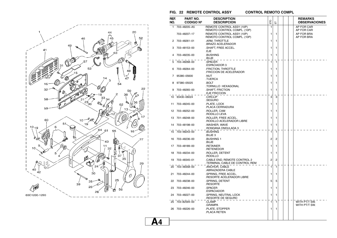

#### **FIG. 22 REMOTE CONTROL ASSY CONTROL REMOTO COMPL**

**CONTROL REMOTO COMPL** 

| REF.<br>NO. | <b>PART NO.</b><br><b>CODIGO Nº</b> | <b>DESCRIPTION</b><br><b>DESCRIPCION</b>                     | ETO            | こ            |  | <b>REMARKS</b><br><b>OBSERVACIONES</b> |
|-------------|-------------------------------------|--------------------------------------------------------------|----------------|--------------|--|----------------------------------------|
| 1           | 703-48205-A5                        | REMOTE CONTROL ASSY (10P)<br>REMOTO CONTROL COMPL. (10P)     | 1              |              |  | AP FOR CAR<br>AP FOR CAR               |
|             | 703-48207-17                        | REMOTE CONTROL ASSY (10P)<br>REMOTO CONTROL COMPL. (10P)     | 1              | 1            |  | AP FOR BRA<br>AP FOR BRA               |
| 2           | 703-48261-01                        | .ARM, THROTTLE<br><b>.BRAZO ACELERADOR</b>                   | 1              | 1            |  |                                        |
| 3           | 703-48153-00                        | SHAFT, FREE ACCEL.<br>.EJE                                   | 1              | 1            |  |                                        |
|             | 703-48235-00                        | <b>BUSHING</b><br>.BUJE                                      | 1              | 1            |  |                                        |
| 5           | 703-48268-00                        | .SPACER<br>ESPACIADOR 3.                                     | $\mathbf{1}$   | 1            |  |                                        |
|             | 703-48264-00                        | .FRICTION, THROTTLE<br>.FRICCION DE ACELERADOR               | 1              | 1            |  |                                        |
| 7           | 95380-05600                         | .NUT<br>.TUERCA                                              | 1              | 1            |  |                                        |
| 8           | 97380-05025                         | <b>BOLT</b><br>TORNILLO HEXAGONAL                            | 1              | 1            |  |                                        |
|             | 703-48265-00                        | SHAFT, FRICTION<br>EJE FRICCION.                             | 1              | 1            |  |                                        |
| 10          | 93430-06024                         | .CIRCLIP<br>.SEGURO                                          | 3              | 3            |  |                                        |
| 11          | 703-48245-00                        | .PLATE, LOCK<br>PLACA CERRADURA.                             | 1              | 1            |  |                                        |
| 12          | 703-48252-00                        | .ROLLER, CAM<br><b>RODILLO LEVA</b>                          | 1              | 1            |  |                                        |
| 13          | 701-48248-00                        | .ROLLER. FREE ACCEL.<br>RODILLO ACELERADOR LIBRE             | 1              | 1            |  |                                        |
| 14          | 703-48198-00                        | .WASHER, WAVE<br>RONDANA ONDULADA 3                          | 1              | 1            |  |                                        |
| 15          | 703-48243-00                        | <b>BUSHING</b><br>BUJE <sub>3</sub>                          | $\mathbf{1}$   | $\mathbf{1}$ |  |                                        |
| 16          | 703-48236-00                        | <b>BUSHING 1</b><br>.BUJE                                    | 2              | 2            |  |                                        |
| 17          | 703-48189-00                        | .RETAINER<br>.RETENEDOR                                      | 1              | 1            |  |                                        |
| 18          | 703-48234-00                        | .ROLLER, DETENT<br>.RODILLO                                  | 1              | 1            |  |                                        |
| 19          | 703-48345-01                        | CABLE END, REMOTE CONTROL 2<br>TERMINAL CABLE DE CONTROL REM | $\overline{2}$ | 2            |  |                                        |
| 20          | 703-48358-00                        | <b>ANCHOR, CABLE</b><br>ABRAZADERA CABLE.                    | 1              | 1            |  |                                        |
| 21          | 703-48244-00                        | .SPRING, FREE ACCEL.<br>RESORTE ACELERADOR LIBRE             | 1              | 1            |  |                                        |
| 22          | 703–48238–00                        | .SPRING, DETENT<br>.RESORTE                                  | 5              | 5            |  |                                        |
| 23          | 703-48246-00                        | .SPACER<br>.ESPACIADOR                                       | 1              | 1            |  |                                        |
| 24          | 703-48227-00                        | .SPRING, NEUTRAL LOCK<br>RESORTE DE SEGURO                   | 1              | 1            |  |                                        |
| 25          | 703-82594-00                        | .CLAMP<br>.GRAMPA                                            | 1              | 1            |  | WITH PT/T SW.<br>WITH PT/T SW.         |
| 26          | 703-48226-00                        | .PLATE, STOPPER<br>.PLACA RETEN                              | 1              | 1            |  |                                        |

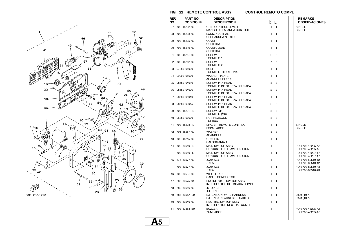

#### **FIG. 22 REMOTE CONTROL ASSY CONTROL REMOTO COMPL**

**CONTROL REMOTO COMPL** 

| REF.<br>NO. | PART NO.<br><b>CODIGO Nº</b> | <b>DESCRIPTION</b><br><b>DESCRIPCION</b>                            | ETO            | こ              |  | <b>REMARKS</b><br><b>OBSERVACIONES</b> |
|-------------|------------------------------|---------------------------------------------------------------------|----------------|----------------|--|----------------------------------------|
| 27          | 703-48222-00                 | <b>GRIP, CONTROL LEVER</b><br>MANGO DE PALANCA CONTROL              | 1              | $\mathbf{1}$   |  | <b>SINGLE</b><br><b>SINGLE</b>         |
| 28          | 703-48223-00                 | .LOCK. NEUTRAL<br>CERRADURA NEUTRO.                                 | 1              | 1              |  |                                        |
| 29          | 703-48225-00                 | .COVER<br>.CUBIERTA                                                 | 1              | 1              |  |                                        |
| 30          | 703-48219-00                 | .COVER, LEAD<br>.CUBIERTA                                           | 1              | 1              |  |                                        |
| 31          | 703-48281-00                 | .SCREW<br>Tornillo 1.                                               | $\overline{2}$ | $\overline{2}$ |  |                                        |
| 32          | 703-48282-00                 | .SCREW<br>.TORNILLO <sub>2</sub>                                    | $\overline{7}$ | 7              |  |                                        |
|             | 33 97380-08030               | <b>BOLT</b><br>TORNILLO HEXAGONAL                                   | 1              | 1              |  |                                        |
| 34          | 92990-08600                  | .WASHER, PLATE<br>ARANDELA PLANA                                    | 1              | 1              |  |                                        |
| 35          | 98580-04010                  | SCREW, PAN HEAD<br>TORNILLO DE CABEZA CRUZADA                       | 3              | 3              |  |                                        |
| 36          | 98580-04006                  | .SCREW, PAN HEAD<br>TORNILLO DE CABEZA CRUZADA                      | $\overline{2}$ | $\overline{2}$ |  |                                        |
| 37          | 98580-05010                  | .SCREW, PAN HEAD<br>TORNILLO DE CABEZA CRUZADA.                     | 1              | 1              |  |                                        |
| 38          | 98580-03015                  | <b>SCREW, PAN HEAD</b><br>TORNILLO DE CABEZA CRUZADA                | 2              | 2              |  |                                        |
| 39          | 703-48291-10                 | .SCREW (M6)<br>.TORNILLO (M6)                                       | 3              | 3              |  |                                        |
| 40          | 95380-06600                  | .NUT, HEXAGON<br>.TUERCA                                            | 3              | 3              |  |                                        |
| 41          | 703-48293-10                 | .SPACER, REMOTE CONTROL<br>.ESPACIADOR                              | 1              | 1              |  | <b>SINGLE</b><br><b>SINGLE</b>         |
| 42          | 701-48287-00                 | .WASHER<br>.ARANDELA                                                | 3              | 3              |  |                                        |
| 43          | 703-48215-00                 | .GRAPHIC<br>CALCOMANIA 1.                                           | 1              | 1              |  |                                        |
| 44          | 703-82510-12                 | <b>MAIN SWITCH ASSY</b><br>CONJUNTO DE LLAVE IGNICION               | 1              |                |  | FOR 703-48205-A5<br>FOR 703-48205-A5   |
|             | 703-82510-43                 | <b>MAIN SWITCH ASSY</b><br>.CONJUNTO DE LLAVE IGNICION              | 1              | 1              |  | FOR 703-48207-17<br>FOR 703-48207-17   |
|             | 45 676-82577-00              | CAP, KEY<br>TAPA                                                    | 1              |                |  | FOR 703-82510-12<br>FOR 703-82510-12   |
|             | 703-82577-00                 | CAP, KEY<br>$.$ TAPA                                                | 1              | $\mathbf{1}$   |  | FOR 703-82510-43<br>FOR 703-82510-43   |
| 46          | 703-82531-00                 | .WIRE, LEAD<br>CABLE CONDUCTOR                                      | 1              | 1              |  |                                        |
| 47          | 688-82575-01                 | <b>ENGINE STOP SWITCH ASSY</b><br>INTERRUPTOR DE PARADA COMPL       | 1              | 1              |  |                                        |
| 48          | 682-82556-00                 | STOPPER<br>RETENER                                                  | 1              | 1              |  |                                        |
| 49          | 688-8258A-20                 | <b>EXTENSION, WIRE HARNESS</b><br><b>EXTENSION, ARNES DE CABLES</b> | 1              | 1              |  | L:5M(10P)<br>L:5M(10P)                 |
| 50          | 703-82540-00                 | .NEUTRAL SWITCH ASSY<br>INTERRUPTOR NEUTRAL COMPL                   | 1              | $\mathbf{1}$   |  |                                        |
| 51          | 703–83383–B0                 | .BUZZER<br>.ZUMBADOR                                                | 1              |                |  | FOR 703-48205-A5<br>FOR 703-48205-A5   |
|             |                              |                                                                     |                |                |  |                                        |

**A5**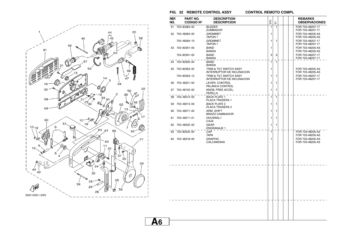

#### **FIG. 22 REMOTE CONTROL ASSY CONTROL REMOTO COMPL**

**CONTROL REMOTO COMPL** 

|                          | REF.<br>NO. | PART NO.<br><b>CODIGO Nº</b> | <b>DESCRIPTION</b><br><b>DESCRIPCION</b>                     | ETO          | 툽            |  | <b>REMARKS</b><br><b>OBSERVACIONES</b> |
|--------------------------|-------------|------------------------------|--------------------------------------------------------------|--------------|--------------|--|----------------------------------------|
|                          | 51          | 703-83383-02                 | .BUZZER<br>.ZUMBADOR                                         | $\mathbf{1}$ | $\mathbf{1}$ |  | FOR 703-48207-17<br>FOR 703-48207-17   |
|                          |             | 52 703-48284-00              | .GROMMET<br>TAPON 1                                          | 1            |              |  | FOR 703-48205-A5<br>FOR 703-48205-A5   |
|                          |             | 703-48284-10                 | .GROMMET<br>TAPON 1                                          | 1            | 1            |  | FOR 703-48207-17<br>FOR 703-48207-17   |
|                          |             | 53 703-82591-00              | .BAND<br>.BANDA                                              | 1            |              |  | FOR 703-48205-A5<br>FOR 703-48205-A5   |
|                          |             | 703-82591-00                 | .BAND<br>.BANDA                                              | 3            | 3            |  | FOR 703-48207-17<br>FOR 703-48207-17   |
|                          |             | 54 703-82592-00              | .BAND<br>.BANDA                                              | $\mathbf{1}$ | $\mathbf{1}$ |  |                                        |
|                          |             | 55 703-82563-02              | TRIM & TILT SWITCH ASSY<br><b>INTERRUPTOR DE INCLINACION</b> | 1            |              |  | FOR 703-48205-A5<br>FOR 703-48205-A5   |
|                          |             | 703-82563-12                 | TRIM & TILT SWITCH ASSY<br>INTERRUPTOR DE INCLINACION        | 1            | 1            |  | FOR 703-48207-17<br>FOR 703-48207-17   |
|                          | 56          | 703-48221-00                 | .LEVER, CONTROL<br>.PALANCA CONTROL                          | 1            | 1            |  |                                        |
|                          |             | 57 703-48152-00              | .KNOB, FREE ACCEL.<br>.PERILLA                               | 1            | 1            |  |                                        |
|                          |             | 58 703-48212-00              | <b>BACK PLATE 1</b><br>PLACA TRASERA 1.                      | $\mathbf{1}$ | $\mathbf{1}$ |  |                                        |
|                          | 59          | 703-48213-00                 | <b>BACK PLATE 2</b><br>PLACA TRASERA 2.                      | 1            | 1            |  |                                        |
|                          | 60          | 703-48271-00                 | .ARM, SHIFT<br><b>.BRAZO CAMBIADOR</b>                       | 1            | 1            |  |                                        |
|                          | 61          | 703-48211-01                 | .HOUSING.1<br>.CAJA                                          | 1            | 1            |  |                                        |
|                          | 62          | 703-48232-00                 | .GEAR<br>ENGRANAJE 1.                                        | 1            | 1            |  |                                        |
|                          | 63          | 703–82542–00                 | .CAP<br>.TAPA                                                | $\mathbf{1}$ |              |  | FOR 703-48205-A5<br>FOR 703-48205-A5   |
|                          |             | 64 703-48218-00              | .GRAPHIC<br>.CALCAMONIA                                      | 1            |              |  | FOR 703-48205-A5<br>FOR 703-48205-A5   |
|                          |             |                              |                                                              |              |              |  |                                        |
|                          |             |                              |                                                              |              |              |  |                                        |
|                          |             |                              |                                                              |              |              |  |                                        |
|                          |             |                              |                                                              |              |              |  |                                        |
|                          |             |                              |                                                              |              |              |  |                                        |
|                          |             |                              |                                                              |              |              |  |                                        |
|                          |             |                              |                                                              |              |              |  |                                        |
| $\overline{\phantom{a}}$ |             |                              |                                                              |              |              |  |                                        |
|                          |             |                              |                                                              |              |              |  |                                        |
|                          |             |                              |                                                              |              |              |  |                                        |
|                          |             |                              |                                                              |              |              |  |                                        |
| <u>A6</u>                |             |                              |                                                              |              |              |  |                                        |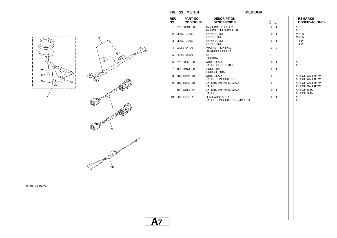**FIG. 23 METER MEDIDOR**

**MEDIDOR** 

|           | REF.<br>NO. | PART NO.<br><b>CODIGO Nº</b> | <b>DESCRIPTION</b><br><b>DESCRIPCION</b>            | ΕŊ                      | 品                       |  | <b>REMARKS</b><br><b>OBSERVACIONES</b> |
|-----------|-------------|------------------------------|-----------------------------------------------------|-------------------------|-------------------------|--|----------------------------------------|
|           |             | 1 6Y5-8350T-03               | <b>TACHOMETER ASSY</b><br><b>TACOMETRO COMPLETO</b> | $\mathbf{1}$            | $\mathbf{1}$            |  | AP<br>AP                               |
|           |             | 2 9E450-04433                | .CONNECTOR<br>.CONECTOR                             | 1                       | $\mathbf{1}$            |  | $M-4-W$<br>$M-4-W$                     |
|           |             | 3 9E450-04533                | .CONNECTOR<br>.CONECTOR                             | $\mathbf{1}$            | 1                       |  | $F-4-W$<br>$F-4-W$                     |
| z         | 4           | 92990-04100                  | .WASHER, SPRING<br>.ARANDELA PLANA                  | $\overline{\mathbf{c}}$ | $\overline{\mathbf{c}}$ |  |                                        |
|           |             | 5 95380-04600                | .NUT<br>.TUERCA                                     | $\overline{\mathbf{c}}$ | $\overline{\mathbf{c}}$ |  |                                        |
|           |             | 6 6Y5-83553-00               | WIRE, LEAD<br>CABLE CONDUCTOR                       | $\mathbf{1}$            | $\overline{1}$          |  | AP<br>AP                               |
|           |             | 7 1E6-82151-00               | .FUSE (10A)<br>.FUSIBLE (10A)                       | 1                       | 1                       |  |                                        |
|           |             | 8 6R3-82521-70               | WIRE, LEAD<br>CABLE CONDUCTOR                       | 1                       |                         |  | AP FOR CAR 4P,7M<br>AP FOR CAR 4P,7M   |
|           |             | 9 6R3-82553-70               | EXTENSION, WIRE LEAD<br>CABLE                       | $\mathbf{1}$            |                         |  | AP FOR CAR 4P,7M<br>AP FOR CAR 4P,7M   |
|           |             | 68F-82553-70                 | EXTENSION, WIRE LEAD<br>CABLE                       | $\mathbf{1}$            | $\mathbf{1}$            |  | AP FOR BRA<br>AP FOR BRA               |
|           |             | 10 6H4-81315-11              | <b>LEAD WIRE ASSY</b><br>CABLE CONDUCTOR COMPLETO   | $\mathbf{1}$            | $\overline{1}$          |  | AP<br>AP                               |
|           |             |                              |                                                     |                         |                         |  |                                        |
|           |             |                              |                                                     |                         |                         |  |                                        |
|           |             |                              |                                                     |                         |                         |  |                                        |
|           |             |                              |                                                     |                         |                         |  |                                        |
|           |             |                              |                                                     |                         |                         |  |                                        |
|           |             |                              |                                                     |                         |                         |  |                                        |
|           |             |                              |                                                     |                         |                         |  |                                        |
|           |             |                              |                                                     |                         |                         |  |                                        |
|           |             |                              |                                                     |                         |                         |  |                                        |
|           |             |                              |                                                     |                         |                         |  |                                        |
|           |             |                              |                                                     |                         |                         |  |                                        |
|           |             |                              |                                                     |                         |                         |  |                                        |
|           |             |                              |                                                     |                         |                         |  |                                        |
|           |             |                              |                                                     |                         |                         |  |                                        |
|           |             |                              |                                                     |                         |                         |  |                                        |
|           |             |                              |                                                     |                         |                         |  |                                        |
|           |             |                              |                                                     |                         |                         |  |                                        |
| <u>A7</u> |             |                              |                                                     |                         |                         |  |                                        |



6H30100-0270

- 1

- 1  $\overline{\phantom{a}}$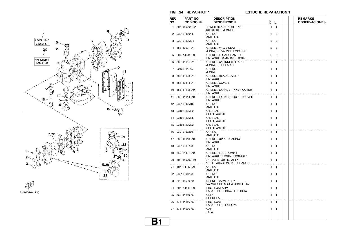



**PART NO.**

**CODIGO Nº**

1 6H1-W0001-02

2 93210–46044

3 93210–39ME4

4 688–13621–A1

5 6H4–14984–00

6 688–11181–A1

**DESCRIPTIONDESCRIPCION**

**POWER HEAD GASKET KIT** JUEGO DE EMPAQUE

 .GASKET, VALVE SEAT .JUNTA, DE VALV.DE EMPAQUE

 .GASKET, FLOAT CHAMBER .EMPAQUE CAMARA DE BOIA

.GASKET, CYLINDER HEAD 1

 .O-RING.ANILLO O

 .O-RING.ANILLO O

**REF.NO.**

**FIG. 24 REPAIR KIT 1 ESTUCHE REPARATION 1**

ETO  $\overline{a}$ 

 $\overline{1}$ 

3 3

3 3

 $2 \overline{2}$ 

3 3

1 1

**REMARKSOBSERVACIONES**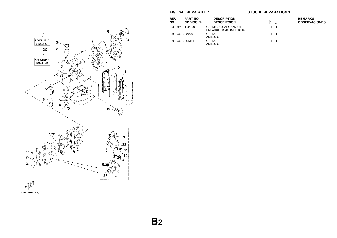

6H10010-4230

**FIG. 24 REPAIR KIT 1 ESTUCHE REPARATION 1**

| REF.<br>NO. | PART NO.<br><b>CODIGO Nº</b> | <b>DESCRIPTION</b><br><b>DESCRIPCION</b>          | ETO<br>$\overleftarrow{\text{m}}$ |  | <b>REMARKS</b><br><b>OBSERVACIONES</b> |
|-------------|------------------------------|---------------------------------------------------|-----------------------------------|--|----------------------------------------|
|             | 28 6H4-14984-00              | .GASKET, FLOAT CHAMBER<br>.EMPAQUE CAMARA DE BOIA | $\mathbf{1}$<br>$\mathbf{1}$      |  |                                        |
|             | 29 93210-04230               | .O-RING                                           | $\mathbf{1}$<br>$\mathbf{1}$      |  |                                        |
|             |                              | .ANILLO O                                         |                                   |  |                                        |
|             | 30 93210-39ME4               | .O-RING<br>.ANILLO O                              | $\mathbf{1}$<br>$\mathbf{1}$      |  |                                        |
|             |                              |                                                   |                                   |  |                                        |
|             |                              |                                                   |                                   |  |                                        |
|             |                              |                                                   |                                   |  |                                        |
|             |                              |                                                   |                                   |  |                                        |
|             |                              |                                                   |                                   |  |                                        |
|             |                              |                                                   |                                   |  |                                        |
|             |                              |                                                   |                                   |  |                                        |
|             |                              |                                                   |                                   |  |                                        |
|             |                              |                                                   |                                   |  |                                        |
|             |                              |                                                   |                                   |  |                                        |
|             |                              |                                                   |                                   |  |                                        |
|             |                              |                                                   |                                   |  |                                        |
|             |                              |                                                   |                                   |  |                                        |
|             |                              |                                                   |                                   |  |                                        |
|             |                              |                                                   |                                   |  |                                        |
|             |                              |                                                   |                                   |  |                                        |
|             |                              |                                                   |                                   |  |                                        |
|             |                              |                                                   |                                   |  |                                        |
|             |                              |                                                   |                                   |  |                                        |
|             |                              |                                                   |                                   |  |                                        |
|             |                              |                                                   |                                   |  |                                        |
|             |                              |                                                   |                                   |  |                                        |
|             |                              |                                                   |                                   |  |                                        |
|             |                              |                                                   |                                   |  |                                        |
|             |                              |                                                   |                                   |  |                                        |
|             |                              |                                                   |                                   |  |                                        |
|             |                              |                                                   |                                   |  |                                        |
|             |                              |                                                   |                                   |  |                                        |
|             |                              |                                                   |                                   |  |                                        |
|             |                              |                                                   |                                   |  |                                        |
|             |                              |                                                   |                                   |  |                                        |
|             |                              |                                                   |                                   |  |                                        |
|             |                              |                                                   |                                   |  |                                        |
|             |                              |                                                   |                                   |  |                                        |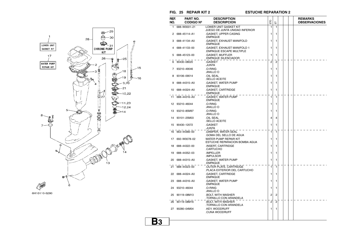**B3**

**FIG. 25 REPAIR KIT 2 ESTUCHE REPARATION 2**



| REF. | PART NO.         | <b>DESCRIPTION</b>                                             |                |                |  | <b>REMARKS</b>       |
|------|------------------|----------------------------------------------------------------|----------------|----------------|--|----------------------|
| NO.  | <b>CODIGO Nº</b> | <b>DESCRIPCION</b>                                             | ETO            | 풉              |  | <b>OBSERVACIONES</b> |
| 1    | 688-W0001-21     | <b>LOWER UNIT GASKET KIT</b><br>JUEGO DE JUNTA UNIDAD INFERIOR | 1              | 1              |  |                      |
| 2    | 688-45114-A1     | .GASKET, UPPER CASING<br>.EMPAQUE                              | 1              | 1              |  |                      |
| 3    | 688-41134-A0     | .GASKET, EXHAUST MANIFOLD<br>.EMPAQUE                          | 1              | 1              |  |                      |
| 4    | 688-41133-00     | .GASKET, EXHAUST MANIFOLD 1<br>EMPAQUE ESCAPE MULTIPLE         | 1              | 1              |  |                      |
| 5    | 688-45123-00     | .GASKET, MUFFLER<br>EMPAQUE SILENCIADOR                        | 1              | 1              |  |                      |
| 6    | 90430-08020      | <b>GASKET</b><br><b>JUNTA</b>                                  | $\overline{2}$ | $\overline{2}$ |  |                      |
| 7    | 93210-49046      | .O-RING<br>.ANILLO O                                           | 1              | 1              |  |                      |
| 8    | 93106-09014      | <b>.OIL SEAL</b><br>SELLO ACEITE                               | 1              | 1              |  |                      |
| 9    | 688-44315-A0     | <b>GASKET, WATER PUMP</b><br>.EMPAQUE                          | 1              | 1              |  |                      |
| 10   | 688-44324-A0     | .GASKET, CARTRIDGE<br>EMPAQUE.                                 | 1              | 1              |  |                      |
| 11   | 688-44316-A0     | <b>GASKET, WATER PUMP</b><br>.EMPAQUE                          | 1              | 1              |  |                      |
|      | 12 93210-46044   | .O-RING<br>.ANILLO O                                           | 1              | 1              |  |                      |
| 13   | 93210-85M97      | .O-RING<br>.ANILLO O                                           | 1              | 1              |  |                      |
| 14   | 93101-25M03      | OIL SEAL<br>.SELLO ACEITE                                      | 4              | 4              |  |                      |
| 15   | 90430-12072      | .GASKET<br>JUNTA.                                              | 1              | 1              |  |                      |
| 16   | 663-44366-00     | DAMPER, WATER SEAL<br>GOMA DEL SELLO DE AGUA                   | 1              | 1              |  |                      |
| 17   | 692-W0078-02     | WATER PUMP REPAIR KIT<br>ESTUCHE REPARACION BOMBA AGUA         | 1              | 1              |  |                      |
| 18.  | 688-44322-00     | INSERT, CARTRIDGE<br>.CARTUCHO                                 | 1              | 1              |  |                      |
| 19   | 688-44352-03     | .IMPELLER<br>.IMPULSOR                                         | 1              | 1              |  |                      |
| 20   | 688-44315-A0     | GASKET, WATER PUMP.<br>.EMPAQUE                                | 1              | 1              |  |                      |
| 21   | 688-44323-00     | OUTER PLATE, CARTRIDGE<br>PLACA EXTERIOR DEL CARTUCHO          | 1              | 1              |  |                      |
| 22   | 688-44324-A0     | .GASKET, CARTRIDGE<br>.EMPAQUE                                 | 1              | 1              |  |                      |
| 23   | 688-44316-A0     | <b>GASKET, WATER PUMP</b><br>.EMPAQUE                          | 1              | 1              |  |                      |
| 24   | 93210-46044      | .O-RING<br>ANILLO O.                                           | 1              | 1              |  |                      |
| 25   | 90119-08M13      | BOLT, WITH WASHER<br>TORNILLO CON ARANDELA                     | 2              | 2              |  |                      |
| 26   | 90119-08M16      | BOLT, WITH WASHER<br>TORNILLO CON ARANDELA.                    | 2              | $\overline{2}$ |  |                      |
| 27   | 90280-04M04      | .KEY. WOODRUFF<br>CUNA WOODRUFF.                               | 1              | 1              |  |                      |
|      |                  |                                                                |                |                |  |                      |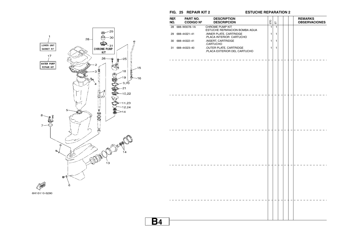**B4**

**FIG. 25 REPAIR KIT 2 ESTUCHE REPARATION 2**



| REF.<br>NO. | PART NO.<br><b>CODIGO Nº</b> | <b>DESCRIPTION</b><br><b>DESCRIPCION</b>                    | ETO          | $\overleftarrow{\text{m}}$ |  | <b>REMARKS</b><br><b>OBSERVACIONES</b> |
|-------------|------------------------------|-------------------------------------------------------------|--------------|----------------------------|--|----------------------------------------|
|             | 28 688-W0078-1A              | <b>CHROME PUMP KIT</b><br>ESTUCHE REPARACION BOMBA AGUA     | $\mathbf{1}$ | $\mathbf{1}$               |  |                                        |
|             | 29 688-44321-41              | .INNER PLATE, CARTRIDGE                                     | $\mathbf{1}$ | 1                          |  |                                        |
|             | 30 688-44322-41              | .PLACA INTERIOR CARTUCHO<br>.INSERT, CARTRIDGE<br>.CARTUCHO | 1            | 1                          |  |                                        |
|             | 31 688-44323-40              | OUTER PLATE, CARTRIDGE<br>.PLACA EXTERIOR DEL CARTUCHO      | 1            | 1                          |  |                                        |
|             |                              |                                                             |              |                            |  |                                        |
|             |                              |                                                             |              |                            |  |                                        |
|             |                              |                                                             |              |                            |  |                                        |
|             |                              |                                                             |              |                            |  |                                        |
|             |                              |                                                             |              |                            |  |                                        |
|             |                              |                                                             |              |                            |  |                                        |
|             |                              |                                                             |              |                            |  |                                        |
|             |                              |                                                             |              |                            |  |                                        |
|             |                              |                                                             |              |                            |  |                                        |
|             |                              |                                                             |              |                            |  |                                        |
|             |                              |                                                             |              |                            |  |                                        |
|             |                              |                                                             |              |                            |  |                                        |
|             |                              |                                                             |              |                            |  |                                        |
|             |                              |                                                             |              |                            |  |                                        |
|             |                              |                                                             |              |                            |  |                                        |
|             |                              |                                                             |              |                            |  |                                        |
|             |                              |                                                             |              |                            |  |                                        |
|             |                              |                                                             |              |                            |  |                                        |
|             |                              |                                                             |              |                            |  |                                        |
|             |                              |                                                             |              |                            |  |                                        |
|             |                              |                                                             |              |                            |  |                                        |
|             |                              |                                                             |              |                            |  |                                        |
|             |                              |                                                             |              |                            |  |                                        |
|             |                              |                                                             |              |                            |  |                                        |
|             |                              |                                                             |              |                            |  |                                        |
|             |                              |                                                             |              |                            |  |                                        |
|             |                              |                                                             |              |                            |  |                                        |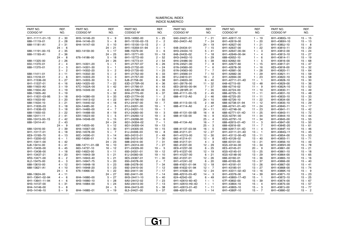| PART NO.<br>CODIGO Nº | REF.<br>NO. | PART NO.<br>CODIGO Nº | REF.<br>NO.             | PART NO.<br>CODIGO Nº | REF.<br>NO.             | PART NO.<br>CODIGO Nº | REF.<br>NO.  | PART NO.<br>CODIGO Nº | REF.<br>NO. | PART NO.<br>CODIGO Nº | REF.<br>NO. |
|-----------------------|-------------|-----------------------|-------------------------|-----------------------|-------------------------|-----------------------|--------------|-----------------------|-------------|-----------------------|-------------|
| 6H1-11111-01-1S       | $2 - 30$    | 6H3-14146-20          | $5 - 9$                 | 6H3-14992-00          | $5 - 25$                | 6A0-24421-01          | $7 - 21$     | 6H1-42617-10          | $1 - 19$    | 6H1-4380G-10          | $15 - 15$   |
| 688-11119-01          | $2 - 28$    | 6H4-14146-20          | $5 - 8$                 | 6H1-15100-02-1S       | $\overline{2}$<br>$2 -$ | 650-24431-A0          | $7 - 24$     | 6H1-42619-00          | $1 - 20$    | 6H1-4380H-10          | $15 - 13$   |
| 688-11181-A1          | $2 - 31$    | 6H4-14147-00          | $5 - 10$                | 6H1-15100-13-1S       | $2 - 2$                 |                       | $24 - 19$    | 6H1-42627-00          | $1 - 21$    | 6H1-4380J-10          | $15 - 8$    |
|                       | $24 - 6$    |                       | $24 - 21$               | 6H1-15359-01-94       | $3 - 1$                 | 648-24434-01          | $7 - 15$     | 6H1-42637-00          | $1 - 22$    | 6H1-43810-11          | $15 - 20$   |
| 688-11191-00-1S       | $2 - 35$    | 663-14159-00          | $5 - 17$                | 688-15379-00          | $3 - 6$                 | 6H3-24434-10          | $5 - 41$     | 6H1-42647-00-94       | $1 - 3$     | 6H1-43812-00          | $15 - 24$   |
| 688-11193-A1          | $2 - 36$    |                       | $24 - 25$               | 6H1-15771-00          | $10 - 19$               | 648-24435-02          | $7 - 18$     | 6H1-42649-00-94       | $1 - 4$     | 6H1-43813-10          | $15 - 27$   |
|                       | $24 - 8$    | 676-14186-00          | $5 - 18$                | 6H1-15772-00          | $2 - 52$                | 6H3-24452-10          | $5 - 29$     | 688-42652-10          | $1 - 6$     | 6H1-43814-11          | $15 - 19$   |
| 688-11325-00          | $2 - 26$    |                       | $24 - 26$               | 6H1-15773-01          | $2 - 54$                | 6H4-24486-00          | $5 - 39$     | 663-42662-00          | $1 - 5$     | 6H1-43816-00          | $15 - 68$   |
|                       |             |                       |                         |                       |                         |                       |              |                       |             |                       |             |
| 650-11370-01          | $2 - 4$     | 6H1-14301-20          | $5 - 1$                 | 6H1-21707-07          | $6 - 26$                | 61N-24521-00          | $7 - 8$      | 6H1-42677-60          | $1 - 15$    | 6H1-43817-01          | $15 - 47$   |
| 688-11370-01          | $2 - 3$     | 6H1-14301-30          | $5 - 1$                 | 6H3-21732-00          | $1 - 24$                | 61N-24560-00          | $7 - 6$      | 6H1-42678-30          | $1 - 16$    | 6E5-43818-00          | $15 - 32$   |
|                       | $3 - 2$     | 6H1-14302-20          | $\overline{2}$<br>$5 -$ | 6H3-21735-00          | $1 - 25$                | 61N-24563-00          | $7 - 7$      | 6H1-42681-30          | $1 - 28$    | 6H1-43820-11          | $15 - 64$   |
| 688-11411-01          | $3 - 11$    | 6H1-14302-30          | $\overline{2}$<br>$5 -$ | 6H1-21752-00          | $6 - 33$                | 6H1-24566-01          | $7 - 10$     | 6H1-42682-30          | $1 - 29$    | 6H1-43821-11          | $15 - 59$   |
| 663-11518-01          | $2 - 6$     | 6H1-14303-20          | 3<br>$5 -$              | 6H1-21757-00          | $6 - 39$                | 6YJ-24610-01          | $19 - 2$     | 6H1-42694-00          | $1 - 23$    | 6H1-43822-10          | $15 - 58$   |
| 6H1-11536-00          | $3 - 27$    | 6H1-14303-30          | $5 - 3$                 | 6J8-21758-00          | $6 - 38$                | 6H1-24633-00          | $6 - 40$     | 6H1-42711-01-4D       | $11 - 1$    | 6H1-43828-10          | $15 - 30$   |
| 6H1-11537-01          | $6 - 16$    | 6A0-14325-00          | $7 - 22$                | 63D-2175R-00          | $6 - 36$                | 6A1-28176-00          | $11 - 32$    | 648-42715-00          | $12 - 48$   | 6H1-43829-00          | $15 - 36$   |
| 688-11603-A0          | $3 - 19$    | 67C-1432A-00          | $5 - 42$                | 6H1-21766-01          | $6 - 43$                | 6E0-28193-00-94       | $7 - 37$     | 688-42716-02          | $11 - 9$    | 6H1-4382A-10          | $15 - 52$   |
| 688-11604-A0          | $3 - 19$    | 6H3-14349-00          | $4 - 4$                 | 63D-2176M-00          | $6 - 35$                | 61H-2819R-31          | $7 - 35$     | 663-42724-00          | $11 - 10$   | 6H1-43830-11          | $15 - 49$   |
| 688-11605-A0          | $3 - 19$    |                       | $5 - 32$                | 6H4-21770-00          | $6 - 37$                | 688-41111-00-1S       | $2 - 45$     | 688-42725-10          | $11 - 11$   | 6H1-43831-10          | $15 - 48$   |
| 6H1-11631-03-95       | $3 - 18$    | 6H3-14380-00          | $5 - 33$                | 63D-2177H-00          | $1 - 2$                 | 688-41112-A0          | $2 - 46$     | 688-42725-20          | $11 - 11$   | 6H1-43833-10          | $15 - 33$   |
| 663-11633-00          | $3 - 20$    | 6H1-14413-02          | $4 - 22$                | 6H1-21796-00          | $2 - 55$                |                       | $24 - 10$    | 688-42726-10          | $11 - 22$   | 6H1-43834-00          | $15 - 34$   |
| 688-11634-10          | $3 - 21$    | 6H1-14440-02          | $4 - 18$                | 6YJ-24167-00          | $19 - 7$                | 688-41113-00-1S       | $2 - 48$     | 688-42738-01-94       | $11 - 12$   | 6H1-43835-10          | $15 - 29$   |
| 6H1-11635-03          | $3 - 18$    | 624-14485-00          | 5<br>$2 -$              | 6YJ-24201-00          | $19 - 1$                | 688-41114-A0          | $2 - 47$     | 688-42741-01-4D       | $11 - 24$   | 6H1-43840-11          | $15 - 17$   |
| 6H1-11636-03          | $3 - 18$    | 6H1-14485-00          | $4 - 7$                 | 6YJ-24201-10          | $19 - 1$                |                       | $24 - 11$    | 6G1-42748-00          | $11 - 23$   | 6H1-43841-11          | $15 - 42$   |
| 688-11650-03          | $3 - 22$    | 6H1-14488-00          | $8 - 19$                | 6YJ-24260-00          | $19 - 3$                | 688-41131-00-5B       | $16 - 8$     | 688-42771-01-4D       | $11 - 25$   | 6H1-43843-11          | $15 - 72$   |
|                       |             |                       |                         |                       |                         |                       |              |                       |             |                       |             |
| 688-12411-11          | $2 - 41$    | 63V-14523-00          | $5 - 5$                 | 6Y1-24260-12          | $19 -$<br>-3            | 688-41133-00          | $16 -$<br>-9 | 6G5-42791-00          | $11 - 34$   | 6H1-43844-10          | $15 - 44$   |
| 688-12413-00-1S       | $2 - 42$    | 6H4-14548-00          | $5 - 15$                | 6Y1-24268-00          | $19 - 6$                |                       | $25 - 4$     | 6G5-42791-10          | $11 - 34$   | 6H1-43845-00          | $15 - 55$   |
| 688-12414-A1          | $2 - 43$    |                       | $24 - 24$               | 6G1-24304-02          | $7 - 1$                 | 688-41134-A0          | $16 - 7$     | 688-42815-01-4D       | $11 - 3$    | 6H1-43847-00          | $15 - 50$   |
|                       | $24 - 9$    | 697-14555-00          | $5 - 12$                | 6G1-24305-04          | $19 - 13$               |                       | $25 - 3$     | 688-42816-00          | $11 - 7$    | 6H1-4384E-20          | $15 - 61$   |
| 688-12416-00          | $2 - 39$    | 6H4-14567-00          | $5 - 30$                | 6Y1-24305-05          | $19 - 15$               | 688-41137-03-94       | $16 - 5$     | 688-42817-01-4D       | $11 - 4$    | 6H1-4384F-10          | $15 - 46$   |
| 6H1-13117-01          | $6 - 18$    | 6H2-14578-00          | $5 - 7$                 | 61J-24306-03          | $19 - 8$                | 688-41211-01          | $12 - 27$    | 6H1-43111-01-4D       | $13 - 1$    | 6H1-4384G-11          | $15 - 45$   |
| 6E9-13183-70          | $6 - 13$    | 60C-14590-01          | $5 - 14$                | 663-24312-01          | $2 - 49$                | 6H1-41213-00          | $12 - 30$    | 6H1-43112-00-4D       | $13 - 11$   | 6H1-43854-00          | $15 - 53$   |
| 6H1-13200-02          | $6 - 1$     | 692-14590-01          | $5 - 14$                | 688-24313-00          | $7 - 30$                | 662-41214-01          | $12 - 8$     | 6E5-43126-02          | $13 - 40$   | 6H1-43855-11          | $15 - 71$   |
| 6H1-13411-00          | $6 - 42$    |                       | $24 - 23$               | 688-24314-00          | $7 - 31$                | 688-41217-01          | $4 - 3$      | 688-43131-03          | $13 - 21$   | 6H1-43856-10          | $15 - 43$   |
| 6J8-13414-00          | $6 - 41$    | 688-14711-01-5B       | $16 - 10$               | 6H1-24314-00          | $7 - 27$                | 682-41237-00          | $12 - 29$    | 6G5-43144-00          | $13 - 34$   | 6H1-4385H-00          | $15 - 78$   |
| 6H1-13435-00          | $6 - 45$    | 663-14737-10          | $16 - 12$               | 6Y1-24329-00          | $19 - 5$                | 6E9-41237-00          | $6 - 25$     | 6E5-43145-01          | $20 - 9$    | 6H1-43861-00          | $15 - 21$   |
| 6H1-13436-00          | $1 - 18$    | 692-14923-00          | $5 - 11$                | 650-24351-01          | $19 - 12$               | 6F5-41237-00          | $12 - 19$    | 6G5-43145-01          | $13 - 25$   | 6H1-43861-10          | $15 - 18$   |
| 6H1-13437-21          | $8 - 20$    | 6H1-14943-39          | $5 - 21$                | 61J-24360-00          | $19 - 10$               | 6H1-41237-00          | $6 - 21$     | 6G5-43148-00          | $13 - 29$   | 6H1-43864-00          | $15 - 65$   |
| 6R3-13471-00          | $6 - 2$     | 6H1-14943-40          | $5 - 21$                | 6E5-24367-01          | $11 - 30$               | 662-41237-01          | $12 - 26$    | 688-43160-01          | $13 - 36$   | 6H1-43865-10          | $15 - 16$   |
| 6L2-13475-00          | $6 - 3$     | 6H1-14947-75          | $5 - 20$                | 650-24378-00          | $2 - 7$                 | 6H1-41241-02          | $6 - 20$     | 688-43165-00          | $13 - 37$   | 6H1-43866-00          | $15 - 40$   |
| 688-13610-00          | $4 - 12$    | 6H1-14948-18          | $5 - 23$                | 688-24378-00          | $7 - 34$                | 688-41631-01-94       | $12 - 18$    | 6H1-43181-01          | $13 - 26$   | 6H1-43867-00          | $15 - 41$   |
| 688-13621-A1          | $4 - 10$    | 6H1-14948-20          | $5 - 23$                | 692-24410-00          | $7 - 12$                | 688-41632-01-94       | $12 - 7$     | 6H1-43185-01          | $13 - 27$   | 6H1-43868-00          | $15 - 74$   |
|                       | $24 - 4$    | 676-14966-00          | $5 - 22$                | 663-24411-00          | $7 - 17$                | 6H1-41636-00          | $12 - 24$    | 6H1-43311-02-4D       | $13 - 16$   | 6H1-4386K-10          | $15 - 9$    |
| 688-13624-00          | $4 - 11$    |                       | $24 - 27$               |                       | $7 - 14$                | 688-42510-03-4D       | $14 - 3$     | 6H1-43376-00          | $14 - 39$   | 6H1-43871-10          | $15 - 23$   |
|                       |             |                       |                         | 692-24411-00          |                         |                       |              |                       |             |                       |             |
| 6H1-13641-02-94       | $4 - 6$     | 6H4-14980-00          | $5 - 27$                | 6H3-24411-10          | $5 - 40$                | 624-42542-00          | $6 - 49$     | 6H1-43800-17-4D       | $15 - 1$    | 6H1-43872-10          | $15 - 25$   |
| 6H1-13641-11-94       | $4 - 6$     | 6H3-14980-10          | $5 - 28$                | 6A0-24412-02          | $7 - 23$                | 6H1-42610-60-4D       | $1 - 1$      | 67F-43802-00          | $15 - 39$   | 6H1-43874-00          | $15 - 67$   |
| 6H3-14137-00          | $5 - 31$    | 6H4-14984-00          | $5 - 24$                | 6A0-24413-00          | $7 - 13$                | 6H1-42610-H0-4D       | $1 - 1$      | 6H1-43804-10          | $15 - 4$    | 6H1-43875-00          | $15 - 57$   |
| 6H4-14146-00          | $5 - 8$     |                       | $24 - 5$                | 6H4-24413-00          | $5 - 38$                | 6H1-42613-01-4D       | $1 - 11$     | 6H1-43805-10          | $15 - 3$    | 6H1-4387J-00          | $15 - 77$   |
| 6H3-14146-10          | $5 - 9$     | 6H4-14985-01          | $5 - 19$                | 6L5-24421-00          | $5 - 37$                | 688-42615-00          | $1 - 14$     | 6H1-4380F-10          | $15 - 7$    | 6H1-43880-02          | $15 - 2$    |

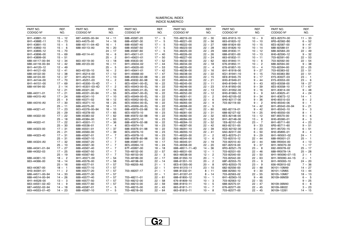| REF.<br>PART NO.<br>REF.<br>PART NO.<br>REF.<br>PART NO.<br>PART NO.<br>PART NO.<br>REF.<br>PART NO.<br>REF.<br>REF.<br>CODIGO Nº<br>CODIGO Nº<br>CODIGO Nº<br>CODIGO Nº<br>CODIGO Nº<br>CODIGO Nº<br>NO.<br>NO.<br>NO.<br>NO.<br>NO.<br>NO.<br>6H1-43881-10<br>$15 - 12$<br>687-44555-00-94<br>$14 - 11$<br>688-45587-20<br>$17 - 5$<br>703-48219-00<br>$22 - 30$<br>663-81813-10<br>$10 - 9$<br>6E3-8257H-00<br>$11 - 33$<br>6H1-4388E-11<br>$15 - 73$<br>688-45587-30<br>5<br>703-48221-00<br>$22 - 56$<br>6R5-82582-B0<br>663-44575-00<br>$14 - 16$<br>$17 -$<br>663-81820-12<br>$10 - 10$<br>$6 - 52$<br>6H1-43891-10<br>688-45587-40<br>$17 - 5$<br>703-48222-00<br>$22 - 27$<br>6E5-82587-00<br>$15 - 5$<br>688-45111-04-4D<br>$16 - 1$<br>688-81824-00<br>$10 - 15$<br>$9 - 47$<br>6H1-43892-10<br>$15 - 6$<br>$16 - 20$<br>688-45587-50<br>$17 -$<br>- 5<br>703-48223-00<br>$22 - 28$<br>663-81826-10<br>$10 - 14$<br>688-82588-01<br>$9 - 31$<br>688-45113-A0<br>688-45587-60<br>688-8258A-20<br>6H1-43895-12<br>$15 - 70$<br>$24 - 17$<br>$17 - 5$<br>703-48225-00<br>$22 - 29$<br>688-81830-11<br>$22 - 49$<br>$10 - 12$<br>6H1-43896-00<br>6H1-45611-01<br>$17 - 40$<br>703-48226-00<br>$22 - 26$<br>688-81831-00<br>$10 - 13$<br>6H0-82590-12<br>$9 - 32$<br>$15 - 69$<br>688-45114-A1<br>$16 - 6$<br>6H1-43899-00<br>$15 - 51$<br>$25 - 2$<br>6H1-45631-01<br>$17 - 50$<br>703-48227-00<br>$22 - 24$<br>663-81832-11<br>$10 - 11$<br>703-82591-00<br>$22 - 53$<br>$17 - 52$<br>688-44117-00-94<br>$12 - 34$<br>663-45119-00<br>$13 - 18$<br>688-45633-00<br>703-48232-00<br>$22 - 62$<br>$10 - 6$<br>703-82592-00<br>$22 - 54$<br>663-81840-11<br>$12 - 42$<br>$16 - 11$<br>6H1-45634-02<br>703-48234-00<br>$22 - 18$<br>$10 - 2$<br>688-82594-00<br>$9 - 38$<br>688-44118-00-94<br>688-45123-00<br>$17 - 44$<br>676-81850-11<br>6H1-44120-12<br>$25 - 5$<br>6H1-45635-00<br>703-48235-00<br>$22 - 4$<br>676-81857-10<br>$10 - 4$<br>703-82594-00<br>$22 - 25$<br>$12 - 49$<br>$17 - 53$<br>6H1-44121-00<br>$16 - 2$<br>703-48236-00<br>$22 - 16$<br>703-83383-02<br>$22 - 51$<br>$12 - 41$<br>663-45155-10<br>6H1-45641-01<br>$17 - 42$<br>6H1-81916-00<br>$9 - 27$<br>688-44122-00<br>$17 - 12$<br>703-48238-00<br>$9 - 15$<br>703-83383-B0<br>$22 - 51$<br>$12 - 38$<br>6H1-45214-00<br>6H1-45668-00<br>$17 - 47$<br>$22 - 22$<br>6G1-81941-10<br>688-44124-00<br>$12 - 37$<br>6H1-45215-00<br>$17 - 13$<br>688-45930-02-98<br>$18 - 22$<br>703-48243-00<br>$22 - 15$<br>6E9-81945-70<br>$9 - 17$<br>6Y5-8350T-03<br>$23 - 1$<br>6H1-44144-00<br>6H1-45251-03<br>$13 - 2$<br>688-45932-60-98<br>$18 - 22$<br>703-48244-00<br>$22 - 21$<br>6H0-81949-01<br>$9 - 44$<br>6Y5-83553-00<br>$23 - 6$<br>$17 - 70$<br>$9 - 43$<br>6E5-83558-00<br>6H1-44151-00<br>$17 - 69$<br>6H1-45300-15-4D<br>$17 - 1$<br>6E5-45941-00-EL<br>$18 - 22$<br>703-48245-00<br>$22 - 11$<br>6H0-81949-10<br>$18 - 27$<br>$17 - 2$<br>$22 - 23$<br>$9 - 39$<br>6E5-83558-10<br>$2 - 14$<br>6H1-45301-03-4D<br>6E5-45943-00-EL<br>$18 - 22$<br>703-48246-00<br>61A-81950-00<br>$17 - 67$<br>688-44194-00<br>$12 - 21$<br>688-45321-00<br>$17 - 16$<br>6E5-45945-01-EL<br>$18 - 22$<br>701-48248-00<br>$22 - 13$<br>6G1-81952-00<br>$9 - 16$<br>6H1-83614-00<br>$9 - 48$<br>$17 - 21$<br>688-45331-00-94<br>6E5-45947-00-EL<br>703-48252-00<br>$9 - 9$<br>6A1-83625-41<br>688-44311-01<br>$17 - 55$<br>$18 - 22$<br>$22 - 12$<br>6H0-81960-10<br>$4 - 24$<br>$17 - 24$<br>703-48261-01<br>$22 - 2$<br>$9 - 34$<br>6H1-83672-12<br>688-44315-A0<br>688-45341-10<br>$17 - 10$<br>6E5-45949-00-EL<br>$18 - 22$<br>6H0-82105-02<br>$14 - 1$<br>$25 - 9$<br>688-45371-02<br>6E5-45952-00-EL<br>$18 - 22$<br>703-48264-00<br>$22 - 6$<br>$9 - 36$<br>6H0-85510-03<br>$8 - 2$<br>$18 - 12$<br>6H0-82117-00<br>$9 - 2$<br>688-44316-A0<br>$17 - 30$<br>6E5-45371-10<br>$18 - 25$<br>6E5-45954-00-EL<br>$18 - 22$<br>703-48265-00<br>$22 - 9$<br>703-82119-00<br>6H0-85540-06<br>$9 - 1$<br>$18 - 11$<br>6E5-45956-00-EL<br>703-48268-00<br>$22 - 5$<br>6H1-85542-00-94<br>$9 - 21$<br>$25 - 11$<br>688-45375-00<br>$18 - 22$<br>$14 - 42$<br>$17 - 23$<br>688-45970-03-98<br>$18 - 22$<br>703-48271-00<br>$22 - 60$<br>$9 - 42$<br>6H1-85542-10<br>$9 - 3$<br>663-45376-00-94<br>$18 - 10$<br>682-82119-01<br>688-44321-41<br>$25 - 29$<br>6E5-45378-00<br>6E5-45970-10<br>$18 - 23$<br>703-48281-00<br>$22 - 31$<br>688-82127-02<br>$14 - 25$<br>6H0-85550-00<br>$17 - 65$<br>$8 - 1$<br>697-85570-00<br>688-44322-00<br>$17 - 22$<br>688-45383-02<br>$17 - 62$<br>688-45972-02-98<br>$18 - 22$<br>703-48282-00<br>$22 - 32$<br>6E5-82148-00<br>$13 - 12$<br>$9 - 6$<br>703-48284-00<br>6H0-85580-01<br>$25 - 18$<br>688-45384-00<br>$17 - 63$<br>6E5-45972-10<br>$18 - 23$<br>$22 - 52$<br>6H1-82148-00<br>$13 - 8$<br>$8 - 3$<br>$17 - 22$<br>6H1-45501-11<br>$17 - 36$<br>688-45974-02-98<br>$18 - 22$<br>703-48284-10<br>$22 - 52$<br>1E6-82151-00<br>$23 - 7$<br>6H1-85711-60<br>$4 - 23$<br>688-44322-41<br>$25 - 30$<br>688-45536-01<br>$17 - 4$<br>6E5-45974-10<br>$18 - 23$<br>701-48287-00<br>$22 - 42$<br>663-82151-00<br>$9 - 33$<br>6R5-85711-60<br>$9 - 51$<br>$17 - 31$<br>$17 - 37$<br>688-44323-00<br>688-45976-01-98<br>$18 - 22$<br>703-48291-10<br>$22 - 39$<br>6G5-82152-00<br>$9 - 20$<br>6H1-85720-15<br>$6 - 51$<br>688-45551-01<br>$25 - 21$<br>$17 - 39$<br>6E5-45976-10<br>$18 - 23$<br>703-48293-10<br>$22 - 41$<br>6A0-82317-00<br>$6 - 50$<br>6H2-85895-01<br>688-45560-00<br>$8 - 4$<br>$17 - 31$<br>688-45567-01<br>$17 - 7$<br>6E5-45978-10<br>$18 - 23$<br>701-48320-30<br>$21 - 2$<br>6E3-82370-21<br>$9 - 29$<br>6H1-W0001-02<br>$24 - 1$<br>688-44323-40<br>688-45978-60-98<br>663-48344-00<br>$25 - 31$<br>688-45567-10<br>$17 - 7$<br>$18 - 22$<br>$12 - 6$<br>703-82510-12<br>$22 - 44$<br>688-W0001-21<br>$25 - 1$<br>688-45987-01<br>703-48345-01<br>703-82510-43<br>688-W0004-00<br>688-44324-A0<br>$17 - 32$<br>688-45567-20<br>$17 - 7$<br>$18 - 17$<br>$22 - 19$<br>$22 - 44$<br>$4 - 13$<br>$25 - 10$<br>688-45567-30<br>$17 - 7$<br>6E5-45994-10<br>$18 - 24$<br>703-48358-00<br>$22 - 20$<br>697-82519-00<br>$9 - 37$<br>6H1-W0070-30<br>$1 - 17$<br>$17 - 27$<br>688-45567-40<br>$17 - 7$<br>67F-45997-00<br>688-48511-11-4D<br>6R3-82521-70<br>$23 - 8$<br>692-W0078-02<br>688-44341-01-94<br>$18 - 18$<br>$14 - 36$<br>$25 - 17$<br>$17 - 25$<br>$17 - 7$<br>688-44352-03<br>688-45567-50<br>703-48152-00<br>$22 - 57$<br>663-48531-00<br>$12 - 1$<br>703-82531-00<br>$22 - 46$<br>688-W0078-1A<br>$25 - 28$<br>$12 - 2$<br>$22 - 50$<br>$25 - 19$<br>688-45567-60<br>$17 - 7$<br>703-48153-00<br>$22 - 3$<br>663-48538-00<br>703-82540-00<br>6H1-W0090-07-1S<br>$2 - 1$<br>$17 - 54$<br>688-44361-10<br>$18 - 2$<br>6H1-45571-00<br>703-48189-00<br>$22 - 17$<br>688-61350-10<br>$20 - 1$<br>703-82542-00<br>$22 - 63$<br>6H1-W0090-44-1S<br>$2 - 1$<br>663-44366-00<br>$18 - 14$<br>$22 - 14$<br>688-61351-10<br>$20 - 2$<br>68F-82553-70<br>$23 - 9$<br>6H1-W0093-10<br>$24 - 20$<br>688-45576-00<br>$17 - 58$<br>703-48198-00<br>$25 - 16$<br>6E5-61355-00<br>$20 - 8$<br>6R3-82553-70<br>$23 - 9$<br>656-W2810-02<br>$7 - 36$<br>688-45577-01<br>$17 - 57$<br>703-48205-A5<br>$21 - 1$<br>6H4-81315-11<br>682-82556-00<br>663-44367-00<br>$18 - 1$<br>688-45577-10<br>$17 - 57$<br>$22 - 1$<br>$23 - 10$<br>$22 - 48$<br>90101-10M49<br>$14 - 27$<br>6H3-44391-01<br>$11 - 2$<br>688-45577-20<br>$17 - 57$<br>703-48207-17<br>$21 - 1$<br>688-81332-01<br>$8 - 11$<br>688-82560-10<br>$9 - 30$<br>90101-12M65<br>$13 - 44$<br>$14 - 33$<br>$17 - 57$<br>$22 - 1$<br>703-82563-02<br>$22 - 55$<br>688-44511-00-94<br>688-45577-30<br>6H1-81337-01<br>$8 - 14$<br>90105-10M67<br>$18 - 13$<br>$14 - 26$<br>$17 - 57$<br>703-48211-01<br>$22 - 61$<br>$10 - 1$<br>6H1-82563-10<br>$9 - 46$<br>90109-06M39<br>688-44514-00-94<br>688-45577-40<br>688-81800-12<br>$6 - 5$<br>6H1-44526-00<br>703-48212-00<br>676-81809-10<br>703-82563-12<br>$13 - 3$<br>688-45577-50<br>$17 - 57$<br>$22 - 58$<br>$10 - 3$<br>$22 - 55$<br>$9 - 25$<br>663-44551-02-4D<br>703-48213-00<br>$22 - 59$<br>688-81810-11<br>688-82575-01<br>$6 - 6$<br>$14 - 9$<br>688-45577-60<br>$17 - 57$<br>$10 - 5$<br>$22 - 47$<br>90109-06M40<br>687-44552-02-94<br>$17 - 5$<br>703-48215-00<br>$\overline{7}$<br>676-82577-00<br>$22 - 45$<br>$3 - 23$<br>$14 - 18$<br>688-45587-01<br>$22 - 43$<br>663-81811-11<br>$10 -$<br>90109-08022<br>663-44553-01-4D<br>$14 - 23$<br>688-45587-10<br>$17 - 5$<br>703-48218-00<br>$22 - 64$<br>663-81812-11<br>$10 - 8$<br>703-82577-00<br>$22 - 45$<br>90109-12261<br>$14 - 15$ |  |  |  |  |  |  |  |  |  |  |  |  |  |
|---------------------------------------------------------------------------------------------------------------------------------------------------------------------------------------------------------------------------------------------------------------------------------------------------------------------------------------------------------------------------------------------------------------------------------------------------------------------------------------------------------------------------------------------------------------------------------------------------------------------------------------------------------------------------------------------------------------------------------------------------------------------------------------------------------------------------------------------------------------------------------------------------------------------------------------------------------------------------------------------------------------------------------------------------------------------------------------------------------------------------------------------------------------------------------------------------------------------------------------------------------------------------------------------------------------------------------------------------------------------------------------------------------------------------------------------------------------------------------------------------------------------------------------------------------------------------------------------------------------------------------------------------------------------------------------------------------------------------------------------------------------------------------------------------------------------------------------------------------------------------------------------------------------------------------------------------------------------------------------------------------------------------------------------------------------------------------------------------------------------------------------------------------------------------------------------------------------------------------------------------------------------------------------------------------------------------------------------------------------------------------------------------------------------------------------------------------------------------------------------------------------------------------------------------------------------------------------------------------------------------------------------------------------------------------------------------------------------------------------------------------------------------------------------------------------------------------------------------------------------------------------------------------------------------------------------------------------------------------------------------------------------------------------------------------------------------------------------------------------------------------------------------------------------------------------------------------------------------------------------------------------------------------------------------------------------------------------------------------------------------------------------------------------------------------------------------------------------------------------------------------------------------------------------------------------------------------------------------------------------------------------------------------------------------------------------------------------------------------------------------------------------------------------------------------------------------------------------------------------------------------------------------------------------------------------------------------------------------------------------------------------------------------------------------------------------------------------------------------------------------------------------------------------------------------------------------------------------------------------------------------------------------------------------------------------------------------------------------------------------------------------------------------------------------------------------------------------------------------------------------------------------------------------------------------------------------------------------------------------------------------------------------------------------------------------------------------------------------------------------------------------------------------------------------------------------------------------------------------------------------------------------------------------------------------------------------------------------------------------------------------------------------------------------------------------------------------------------------------------------------------------------------------------------------------------------------------------------------------------------------------------------------------------------------------------------------------------------------------------------------------------------------------------------------------------------------------------------------------------------------------------------------------------------------------------------------------------------------------------------------------------------------------------------------------------------------------------------------------------------------------------------------------------------------------------------------------------------------------------------------------------------------------------------------------------------------------------------------------------------------------------------------------------------------------------------------------------------------------------------------------------------------------------------------------------------------------------------------------------------------------------------------------------------------------------------------------------------------------------------------------------------------------------------------------------------------------------------------------------------------------------------------------------------------------------------------------------------------------------------------------------------------------------------------------------------------------------------------------------------------------------------------------------------------------------------------------------------------------------------------------------------------------------------------------------------------------------------------------------------------------------------------------------------------------------------------------------------------------------------------------------------------------------------------------------------------------------------------------------------------------------------------------------------------------------------------------------------------------------------------------------------------------------------------------------------------------------------------------------------------------------------------------------------------------------------------------------------------------------------------------------------------------------------------------------------------------------------------------------------------------------------------------------------------------------------------------------------------------------------------------------------------------------------------------------------------------------------------------------------------------------------------------------------------------------------------------------------------------------------------------------------------------------------------------------------------------------------------------------------------------------------------------------------------------------------------------------------------------------------------------------------------------------------------------------------------------------------------------------------------------------------------------------------------------------------------------------------------------------------------------|--|--|--|--|--|--|--|--|--|--|--|--|--|
|                                                                                                                                                                                                                                                                                                                                                                                                                                                                                                                                                                                                                                                                                                                                                                                                                                                                                                                                                                                                                                                                                                                                                                                                                                                                                                                                                                                                                                                                                                                                                                                                                                                                                                                                                                                                                                                                                                                                                                                                                                                                                                                                                                                                                                                                                                                                                                                                                                                                                                                                                                                                                                                                                                                                                                                                                                                                                                                                                                                                                                                                                                                                                                                                                                                                                                                                                                                                                                                                                                                                                                                                                                                                                                                                                                                                                                                                                                                                                                                                                                                                                                                                                                                                                                                                                                                                                                                                                                                                                                                                                                                                                                                                                                                                                                                                                                                                                                                                                                                                                                                                                                                                                                                                                                                                                                                                                                                                                                                                                                                                                                                                                                                                                                                                                                                                                                                                                                                                                                                                                                                                                                                                                                                                                                                                                                                                                                                                                                                                                                                                                                                                                                                                                                                                                                                                                                                                                                                                                                                                                                                                                                                                                                                                                                                                                                                                                                                                                                                                                                                                                                                                                                                                                                                                                                                                                                                                                                                                                                                                                                                                                                                                                                                                                                                                                                                                                                                                                                                                                                                                                                                                                                 |  |  |  |  |  |  |  |  |  |  |  |  |  |
|                                                                                                                                                                                                                                                                                                                                                                                                                                                                                                                                                                                                                                                                                                                                                                                                                                                                                                                                                                                                                                                                                                                                                                                                                                                                                                                                                                                                                                                                                                                                                                                                                                                                                                                                                                                                                                                                                                                                                                                                                                                                                                                                                                                                                                                                                                                                                                                                                                                                                                                                                                                                                                                                                                                                                                                                                                                                                                                                                                                                                                                                                                                                                                                                                                                                                                                                                                                                                                                                                                                                                                                                                                                                                                                                                                                                                                                                                                                                                                                                                                                                                                                                                                                                                                                                                                                                                                                                                                                                                                                                                                                                                                                                                                                                                                                                                                                                                                                                                                                                                                                                                                                                                                                                                                                                                                                                                                                                                                                                                                                                                                                                                                                                                                                                                                                                                                                                                                                                                                                                                                                                                                                                                                                                                                                                                                                                                                                                                                                                                                                                                                                                                                                                                                                                                                                                                                                                                                                                                                                                                                                                                                                                                                                                                                                                                                                                                                                                                                                                                                                                                                                                                                                                                                                                                                                                                                                                                                                                                                                                                                                                                                                                                                                                                                                                                                                                                                                                                                                                                                                                                                                                                                 |  |  |  |  |  |  |  |  |  |  |  |  |  |
|                                                                                                                                                                                                                                                                                                                                                                                                                                                                                                                                                                                                                                                                                                                                                                                                                                                                                                                                                                                                                                                                                                                                                                                                                                                                                                                                                                                                                                                                                                                                                                                                                                                                                                                                                                                                                                                                                                                                                                                                                                                                                                                                                                                                                                                                                                                                                                                                                                                                                                                                                                                                                                                                                                                                                                                                                                                                                                                                                                                                                                                                                                                                                                                                                                                                                                                                                                                                                                                                                                                                                                                                                                                                                                                                                                                                                                                                                                                                                                                                                                                                                                                                                                                                                                                                                                                                                                                                                                                                                                                                                                                                                                                                                                                                                                                                                                                                                                                                                                                                                                                                                                                                                                                                                                                                                                                                                                                                                                                                                                                                                                                                                                                                                                                                                                                                                                                                                                                                                                                                                                                                                                                                                                                                                                                                                                                                                                                                                                                                                                                                                                                                                                                                                                                                                                                                                                                                                                                                                                                                                                                                                                                                                                                                                                                                                                                                                                                                                                                                                                                                                                                                                                                                                                                                                                                                                                                                                                                                                                                                                                                                                                                                                                                                                                                                                                                                                                                                                                                                                                                                                                                                                                 |  |  |  |  |  |  |  |  |  |  |  |  |  |
|                                                                                                                                                                                                                                                                                                                                                                                                                                                                                                                                                                                                                                                                                                                                                                                                                                                                                                                                                                                                                                                                                                                                                                                                                                                                                                                                                                                                                                                                                                                                                                                                                                                                                                                                                                                                                                                                                                                                                                                                                                                                                                                                                                                                                                                                                                                                                                                                                                                                                                                                                                                                                                                                                                                                                                                                                                                                                                                                                                                                                                                                                                                                                                                                                                                                                                                                                                                                                                                                                                                                                                                                                                                                                                                                                                                                                                                                                                                                                                                                                                                                                                                                                                                                                                                                                                                                                                                                                                                                                                                                                                                                                                                                                                                                                                                                                                                                                                                                                                                                                                                                                                                                                                                                                                                                                                                                                                                                                                                                                                                                                                                                                                                                                                                                                                                                                                                                                                                                                                                                                                                                                                                                                                                                                                                                                                                                                                                                                                                                                                                                                                                                                                                                                                                                                                                                                                                                                                                                                                                                                                                                                                                                                                                                                                                                                                                                                                                                                                                                                                                                                                                                                                                                                                                                                                                                                                                                                                                                                                                                                                                                                                                                                                                                                                                                                                                                                                                                                                                                                                                                                                                                                                 |  |  |  |  |  |  |  |  |  |  |  |  |  |
|                                                                                                                                                                                                                                                                                                                                                                                                                                                                                                                                                                                                                                                                                                                                                                                                                                                                                                                                                                                                                                                                                                                                                                                                                                                                                                                                                                                                                                                                                                                                                                                                                                                                                                                                                                                                                                                                                                                                                                                                                                                                                                                                                                                                                                                                                                                                                                                                                                                                                                                                                                                                                                                                                                                                                                                                                                                                                                                                                                                                                                                                                                                                                                                                                                                                                                                                                                                                                                                                                                                                                                                                                                                                                                                                                                                                                                                                                                                                                                                                                                                                                                                                                                                                                                                                                                                                                                                                                                                                                                                                                                                                                                                                                                                                                                                                                                                                                                                                                                                                                                                                                                                                                                                                                                                                                                                                                                                                                                                                                                                                                                                                                                                                                                                                                                                                                                                                                                                                                                                                                                                                                                                                                                                                                                                                                                                                                                                                                                                                                                                                                                                                                                                                                                                                                                                                                                                                                                                                                                                                                                                                                                                                                                                                                                                                                                                                                                                                                                                                                                                                                                                                                                                                                                                                                                                                                                                                                                                                                                                                                                                                                                                                                                                                                                                                                                                                                                                                                                                                                                                                                                                                                                 |  |  |  |  |  |  |  |  |  |  |  |  |  |
|                                                                                                                                                                                                                                                                                                                                                                                                                                                                                                                                                                                                                                                                                                                                                                                                                                                                                                                                                                                                                                                                                                                                                                                                                                                                                                                                                                                                                                                                                                                                                                                                                                                                                                                                                                                                                                                                                                                                                                                                                                                                                                                                                                                                                                                                                                                                                                                                                                                                                                                                                                                                                                                                                                                                                                                                                                                                                                                                                                                                                                                                                                                                                                                                                                                                                                                                                                                                                                                                                                                                                                                                                                                                                                                                                                                                                                                                                                                                                                                                                                                                                                                                                                                                                                                                                                                                                                                                                                                                                                                                                                                                                                                                                                                                                                                                                                                                                                                                                                                                                                                                                                                                                                                                                                                                                                                                                                                                                                                                                                                                                                                                                                                                                                                                                                                                                                                                                                                                                                                                                                                                                                                                                                                                                                                                                                                                                                                                                                                                                                                                                                                                                                                                                                                                                                                                                                                                                                                                                                                                                                                                                                                                                                                                                                                                                                                                                                                                                                                                                                                                                                                                                                                                                                                                                                                                                                                                                                                                                                                                                                                                                                                                                                                                                                                                                                                                                                                                                                                                                                                                                                                                                                 |  |  |  |  |  |  |  |  |  |  |  |  |  |
|                                                                                                                                                                                                                                                                                                                                                                                                                                                                                                                                                                                                                                                                                                                                                                                                                                                                                                                                                                                                                                                                                                                                                                                                                                                                                                                                                                                                                                                                                                                                                                                                                                                                                                                                                                                                                                                                                                                                                                                                                                                                                                                                                                                                                                                                                                                                                                                                                                                                                                                                                                                                                                                                                                                                                                                                                                                                                                                                                                                                                                                                                                                                                                                                                                                                                                                                                                                                                                                                                                                                                                                                                                                                                                                                                                                                                                                                                                                                                                                                                                                                                                                                                                                                                                                                                                                                                                                                                                                                                                                                                                                                                                                                                                                                                                                                                                                                                                                                                                                                                                                                                                                                                                                                                                                                                                                                                                                                                                                                                                                                                                                                                                                                                                                                                                                                                                                                                                                                                                                                                                                                                                                                                                                                                                                                                                                                                                                                                                                                                                                                                                                                                                                                                                                                                                                                                                                                                                                                                                                                                                                                                                                                                                                                                                                                                                                                                                                                                                                                                                                                                                                                                                                                                                                                                                                                                                                                                                                                                                                                                                                                                                                                                                                                                                                                                                                                                                                                                                                                                                                                                                                                                                 |  |  |  |  |  |  |  |  |  |  |  |  |  |
|                                                                                                                                                                                                                                                                                                                                                                                                                                                                                                                                                                                                                                                                                                                                                                                                                                                                                                                                                                                                                                                                                                                                                                                                                                                                                                                                                                                                                                                                                                                                                                                                                                                                                                                                                                                                                                                                                                                                                                                                                                                                                                                                                                                                                                                                                                                                                                                                                                                                                                                                                                                                                                                                                                                                                                                                                                                                                                                                                                                                                                                                                                                                                                                                                                                                                                                                                                                                                                                                                                                                                                                                                                                                                                                                                                                                                                                                                                                                                                                                                                                                                                                                                                                                                                                                                                                                                                                                                                                                                                                                                                                                                                                                                                                                                                                                                                                                                                                                                                                                                                                                                                                                                                                                                                                                                                                                                                                                                                                                                                                                                                                                                                                                                                                                                                                                                                                                                                                                                                                                                                                                                                                                                                                                                                                                                                                                                                                                                                                                                                                                                                                                                                                                                                                                                                                                                                                                                                                                                                                                                                                                                                                                                                                                                                                                                                                                                                                                                                                                                                                                                                                                                                                                                                                                                                                                                                                                                                                                                                                                                                                                                                                                                                                                                                                                                                                                                                                                                                                                                                                                                                                                                                 |  |  |  |  |  |  |  |  |  |  |  |  |  |
|                                                                                                                                                                                                                                                                                                                                                                                                                                                                                                                                                                                                                                                                                                                                                                                                                                                                                                                                                                                                                                                                                                                                                                                                                                                                                                                                                                                                                                                                                                                                                                                                                                                                                                                                                                                                                                                                                                                                                                                                                                                                                                                                                                                                                                                                                                                                                                                                                                                                                                                                                                                                                                                                                                                                                                                                                                                                                                                                                                                                                                                                                                                                                                                                                                                                                                                                                                                                                                                                                                                                                                                                                                                                                                                                                                                                                                                                                                                                                                                                                                                                                                                                                                                                                                                                                                                                                                                                                                                                                                                                                                                                                                                                                                                                                                                                                                                                                                                                                                                                                                                                                                                                                                                                                                                                                                                                                                                                                                                                                                                                                                                                                                                                                                                                                                                                                                                                                                                                                                                                                                                                                                                                                                                                                                                                                                                                                                                                                                                                                                                                                                                                                                                                                                                                                                                                                                                                                                                                                                                                                                                                                                                                                                                                                                                                                                                                                                                                                                                                                                                                                                                                                                                                                                                                                                                                                                                                                                                                                                                                                                                                                                                                                                                                                                                                                                                                                                                                                                                                                                                                                                                                                                 |  |  |  |  |  |  |  |  |  |  |  |  |  |
|                                                                                                                                                                                                                                                                                                                                                                                                                                                                                                                                                                                                                                                                                                                                                                                                                                                                                                                                                                                                                                                                                                                                                                                                                                                                                                                                                                                                                                                                                                                                                                                                                                                                                                                                                                                                                                                                                                                                                                                                                                                                                                                                                                                                                                                                                                                                                                                                                                                                                                                                                                                                                                                                                                                                                                                                                                                                                                                                                                                                                                                                                                                                                                                                                                                                                                                                                                                                                                                                                                                                                                                                                                                                                                                                                                                                                                                                                                                                                                                                                                                                                                                                                                                                                                                                                                                                                                                                                                                                                                                                                                                                                                                                                                                                                                                                                                                                                                                                                                                                                                                                                                                                                                                                                                                                                                                                                                                                                                                                                                                                                                                                                                                                                                                                                                                                                                                                                                                                                                                                                                                                                                                                                                                                                                                                                                                                                                                                                                                                                                                                                                                                                                                                                                                                                                                                                                                                                                                                                                                                                                                                                                                                                                                                                                                                                                                                                                                                                                                                                                                                                                                                                                                                                                                                                                                                                                                                                                                                                                                                                                                                                                                                                                                                                                                                                                                                                                                                                                                                                                                                                                                                                                 |  |  |  |  |  |  |  |  |  |  |  |  |  |
|                                                                                                                                                                                                                                                                                                                                                                                                                                                                                                                                                                                                                                                                                                                                                                                                                                                                                                                                                                                                                                                                                                                                                                                                                                                                                                                                                                                                                                                                                                                                                                                                                                                                                                                                                                                                                                                                                                                                                                                                                                                                                                                                                                                                                                                                                                                                                                                                                                                                                                                                                                                                                                                                                                                                                                                                                                                                                                                                                                                                                                                                                                                                                                                                                                                                                                                                                                                                                                                                                                                                                                                                                                                                                                                                                                                                                                                                                                                                                                                                                                                                                                                                                                                                                                                                                                                                                                                                                                                                                                                                                                                                                                                                                                                                                                                                                                                                                                                                                                                                                                                                                                                                                                                                                                                                                                                                                                                                                                                                                                                                                                                                                                                                                                                                                                                                                                                                                                                                                                                                                                                                                                                                                                                                                                                                                                                                                                                                                                                                                                                                                                                                                                                                                                                                                                                                                                                                                                                                                                                                                                                                                                                                                                                                                                                                                                                                                                                                                                                                                                                                                                                                                                                                                                                                                                                                                                                                                                                                                                                                                                                                                                                                                                                                                                                                                                                                                                                                                                                                                                                                                                                                                                 |  |  |  |  |  |  |  |  |  |  |  |  |  |
|                                                                                                                                                                                                                                                                                                                                                                                                                                                                                                                                                                                                                                                                                                                                                                                                                                                                                                                                                                                                                                                                                                                                                                                                                                                                                                                                                                                                                                                                                                                                                                                                                                                                                                                                                                                                                                                                                                                                                                                                                                                                                                                                                                                                                                                                                                                                                                                                                                                                                                                                                                                                                                                                                                                                                                                                                                                                                                                                                                                                                                                                                                                                                                                                                                                                                                                                                                                                                                                                                                                                                                                                                                                                                                                                                                                                                                                                                                                                                                                                                                                                                                                                                                                                                                                                                                                                                                                                                                                                                                                                                                                                                                                                                                                                                                                                                                                                                                                                                                                                                                                                                                                                                                                                                                                                                                                                                                                                                                                                                                                                                                                                                                                                                                                                                                                                                                                                                                                                                                                                                                                                                                                                                                                                                                                                                                                                                                                                                                                                                                                                                                                                                                                                                                                                                                                                                                                                                                                                                                                                                                                                                                                                                                                                                                                                                                                                                                                                                                                                                                                                                                                                                                                                                                                                                                                                                                                                                                                                                                                                                                                                                                                                                                                                                                                                                                                                                                                                                                                                                                                                                                                                                                 |  |  |  |  |  |  |  |  |  |  |  |  |  |
|                                                                                                                                                                                                                                                                                                                                                                                                                                                                                                                                                                                                                                                                                                                                                                                                                                                                                                                                                                                                                                                                                                                                                                                                                                                                                                                                                                                                                                                                                                                                                                                                                                                                                                                                                                                                                                                                                                                                                                                                                                                                                                                                                                                                                                                                                                                                                                                                                                                                                                                                                                                                                                                                                                                                                                                                                                                                                                                                                                                                                                                                                                                                                                                                                                                                                                                                                                                                                                                                                                                                                                                                                                                                                                                                                                                                                                                                                                                                                                                                                                                                                                                                                                                                                                                                                                                                                                                                                                                                                                                                                                                                                                                                                                                                                                                                                                                                                                                                                                                                                                                                                                                                                                                                                                                                                                                                                                                                                                                                                                                                                                                                                                                                                                                                                                                                                                                                                                                                                                                                                                                                                                                                                                                                                                                                                                                                                                                                                                                                                                                                                                                                                                                                                                                                                                                                                                                                                                                                                                                                                                                                                                                                                                                                                                                                                                                                                                                                                                                                                                                                                                                                                                                                                                                                                                                                                                                                                                                                                                                                                                                                                                                                                                                                                                                                                                                                                                                                                                                                                                                                                                                                                                 |  |  |  |  |  |  |  |  |  |  |  |  |  |
|                                                                                                                                                                                                                                                                                                                                                                                                                                                                                                                                                                                                                                                                                                                                                                                                                                                                                                                                                                                                                                                                                                                                                                                                                                                                                                                                                                                                                                                                                                                                                                                                                                                                                                                                                                                                                                                                                                                                                                                                                                                                                                                                                                                                                                                                                                                                                                                                                                                                                                                                                                                                                                                                                                                                                                                                                                                                                                                                                                                                                                                                                                                                                                                                                                                                                                                                                                                                                                                                                                                                                                                                                                                                                                                                                                                                                                                                                                                                                                                                                                                                                                                                                                                                                                                                                                                                                                                                                                                                                                                                                                                                                                                                                                                                                                                                                                                                                                                                                                                                                                                                                                                                                                                                                                                                                                                                                                                                                                                                                                                                                                                                                                                                                                                                                                                                                                                                                                                                                                                                                                                                                                                                                                                                                                                                                                                                                                                                                                                                                                                                                                                                                                                                                                                                                                                                                                                                                                                                                                                                                                                                                                                                                                                                                                                                                                                                                                                                                                                                                                                                                                                                                                                                                                                                                                                                                                                                                                                                                                                                                                                                                                                                                                                                                                                                                                                                                                                                                                                                                                                                                                                                                                 |  |  |  |  |  |  |  |  |  |  |  |  |  |
|                                                                                                                                                                                                                                                                                                                                                                                                                                                                                                                                                                                                                                                                                                                                                                                                                                                                                                                                                                                                                                                                                                                                                                                                                                                                                                                                                                                                                                                                                                                                                                                                                                                                                                                                                                                                                                                                                                                                                                                                                                                                                                                                                                                                                                                                                                                                                                                                                                                                                                                                                                                                                                                                                                                                                                                                                                                                                                                                                                                                                                                                                                                                                                                                                                                                                                                                                                                                                                                                                                                                                                                                                                                                                                                                                                                                                                                                                                                                                                                                                                                                                                                                                                                                                                                                                                                                                                                                                                                                                                                                                                                                                                                                                                                                                                                                                                                                                                                                                                                                                                                                                                                                                                                                                                                                                                                                                                                                                                                                                                                                                                                                                                                                                                                                                                                                                                                                                                                                                                                                                                                                                                                                                                                                                                                                                                                                                                                                                                                                                                                                                                                                                                                                                                                                                                                                                                                                                                                                                                                                                                                                                                                                                                                                                                                                                                                                                                                                                                                                                                                                                                                                                                                                                                                                                                                                                                                                                                                                                                                                                                                                                                                                                                                                                                                                                                                                                                                                                                                                                                                                                                                                                                 |  |  |  |  |  |  |  |  |  |  |  |  |  |
|                                                                                                                                                                                                                                                                                                                                                                                                                                                                                                                                                                                                                                                                                                                                                                                                                                                                                                                                                                                                                                                                                                                                                                                                                                                                                                                                                                                                                                                                                                                                                                                                                                                                                                                                                                                                                                                                                                                                                                                                                                                                                                                                                                                                                                                                                                                                                                                                                                                                                                                                                                                                                                                                                                                                                                                                                                                                                                                                                                                                                                                                                                                                                                                                                                                                                                                                                                                                                                                                                                                                                                                                                                                                                                                                                                                                                                                                                                                                                                                                                                                                                                                                                                                                                                                                                                                                                                                                                                                                                                                                                                                                                                                                                                                                                                                                                                                                                                                                                                                                                                                                                                                                                                                                                                                                                                                                                                                                                                                                                                                                                                                                                                                                                                                                                                                                                                                                                                                                                                                                                                                                                                                                                                                                                                                                                                                                                                                                                                                                                                                                                                                                                                                                                                                                                                                                                                                                                                                                                                                                                                                                                                                                                                                                                                                                                                                                                                                                                                                                                                                                                                                                                                                                                                                                                                                                                                                                                                                                                                                                                                                                                                                                                                                                                                                                                                                                                                                                                                                                                                                                                                                                                                 |  |  |  |  |  |  |  |  |  |  |  |  |  |
|                                                                                                                                                                                                                                                                                                                                                                                                                                                                                                                                                                                                                                                                                                                                                                                                                                                                                                                                                                                                                                                                                                                                                                                                                                                                                                                                                                                                                                                                                                                                                                                                                                                                                                                                                                                                                                                                                                                                                                                                                                                                                                                                                                                                                                                                                                                                                                                                                                                                                                                                                                                                                                                                                                                                                                                                                                                                                                                                                                                                                                                                                                                                                                                                                                                                                                                                                                                                                                                                                                                                                                                                                                                                                                                                                                                                                                                                                                                                                                                                                                                                                                                                                                                                                                                                                                                                                                                                                                                                                                                                                                                                                                                                                                                                                                                                                                                                                                                                                                                                                                                                                                                                                                                                                                                                                                                                                                                                                                                                                                                                                                                                                                                                                                                                                                                                                                                                                                                                                                                                                                                                                                                                                                                                                                                                                                                                                                                                                                                                                                                                                                                                                                                                                                                                                                                                                                                                                                                                                                                                                                                                                                                                                                                                                                                                                                                                                                                                                                                                                                                                                                                                                                                                                                                                                                                                                                                                                                                                                                                                                                                                                                                                                                                                                                                                                                                                                                                                                                                                                                                                                                                                                                 |  |  |  |  |  |  |  |  |  |  |  |  |  |
|                                                                                                                                                                                                                                                                                                                                                                                                                                                                                                                                                                                                                                                                                                                                                                                                                                                                                                                                                                                                                                                                                                                                                                                                                                                                                                                                                                                                                                                                                                                                                                                                                                                                                                                                                                                                                                                                                                                                                                                                                                                                                                                                                                                                                                                                                                                                                                                                                                                                                                                                                                                                                                                                                                                                                                                                                                                                                                                                                                                                                                                                                                                                                                                                                                                                                                                                                                                                                                                                                                                                                                                                                                                                                                                                                                                                                                                                                                                                                                                                                                                                                                                                                                                                                                                                                                                                                                                                                                                                                                                                                                                                                                                                                                                                                                                                                                                                                                                                                                                                                                                                                                                                                                                                                                                                                                                                                                                                                                                                                                                                                                                                                                                                                                                                                                                                                                                                                                                                                                                                                                                                                                                                                                                                                                                                                                                                                                                                                                                                                                                                                                                                                                                                                                                                                                                                                                                                                                                                                                                                                                                                                                                                                                                                                                                                                                                                                                                                                                                                                                                                                                                                                                                                                                                                                                                                                                                                                                                                                                                                                                                                                                                                                                                                                                                                                                                                                                                                                                                                                                                                                                                                                                 |  |  |  |  |  |  |  |  |  |  |  |  |  |
|                                                                                                                                                                                                                                                                                                                                                                                                                                                                                                                                                                                                                                                                                                                                                                                                                                                                                                                                                                                                                                                                                                                                                                                                                                                                                                                                                                                                                                                                                                                                                                                                                                                                                                                                                                                                                                                                                                                                                                                                                                                                                                                                                                                                                                                                                                                                                                                                                                                                                                                                                                                                                                                                                                                                                                                                                                                                                                                                                                                                                                                                                                                                                                                                                                                                                                                                                                                                                                                                                                                                                                                                                                                                                                                                                                                                                                                                                                                                                                                                                                                                                                                                                                                                                                                                                                                                                                                                                                                                                                                                                                                                                                                                                                                                                                                                                                                                                                                                                                                                                                                                                                                                                                                                                                                                                                                                                                                                                                                                                                                                                                                                                                                                                                                                                                                                                                                                                                                                                                                                                                                                                                                                                                                                                                                                                                                                                                                                                                                                                                                                                                                                                                                                                                                                                                                                                                                                                                                                                                                                                                                                                                                                                                                                                                                                                                                                                                                                                                                                                                                                                                                                                                                                                                                                                                                                                                                                                                                                                                                                                                                                                                                                                                                                                                                                                                                                                                                                                                                                                                                                                                                                                                 |  |  |  |  |  |  |  |  |  |  |  |  |  |
|                                                                                                                                                                                                                                                                                                                                                                                                                                                                                                                                                                                                                                                                                                                                                                                                                                                                                                                                                                                                                                                                                                                                                                                                                                                                                                                                                                                                                                                                                                                                                                                                                                                                                                                                                                                                                                                                                                                                                                                                                                                                                                                                                                                                                                                                                                                                                                                                                                                                                                                                                                                                                                                                                                                                                                                                                                                                                                                                                                                                                                                                                                                                                                                                                                                                                                                                                                                                                                                                                                                                                                                                                                                                                                                                                                                                                                                                                                                                                                                                                                                                                                                                                                                                                                                                                                                                                                                                                                                                                                                                                                                                                                                                                                                                                                                                                                                                                                                                                                                                                                                                                                                                                                                                                                                                                                                                                                                                                                                                                                                                                                                                                                                                                                                                                                                                                                                                                                                                                                                                                                                                                                                                                                                                                                                                                                                                                                                                                                                                                                                                                                                                                                                                                                                                                                                                                                                                                                                                                                                                                                                                                                                                                                                                                                                                                                                                                                                                                                                                                                                                                                                                                                                                                                                                                                                                                                                                                                                                                                                                                                                                                                                                                                                                                                                                                                                                                                                                                                                                                                                                                                                                                                 |  |  |  |  |  |  |  |  |  |  |  |  |  |
|                                                                                                                                                                                                                                                                                                                                                                                                                                                                                                                                                                                                                                                                                                                                                                                                                                                                                                                                                                                                                                                                                                                                                                                                                                                                                                                                                                                                                                                                                                                                                                                                                                                                                                                                                                                                                                                                                                                                                                                                                                                                                                                                                                                                                                                                                                                                                                                                                                                                                                                                                                                                                                                                                                                                                                                                                                                                                                                                                                                                                                                                                                                                                                                                                                                                                                                                                                                                                                                                                                                                                                                                                                                                                                                                                                                                                                                                                                                                                                                                                                                                                                                                                                                                                                                                                                                                                                                                                                                                                                                                                                                                                                                                                                                                                                                                                                                                                                                                                                                                                                                                                                                                                                                                                                                                                                                                                                                                                                                                                                                                                                                                                                                                                                                                                                                                                                                                                                                                                                                                                                                                                                                                                                                                                                                                                                                                                                                                                                                                                                                                                                                                                                                                                                                                                                                                                                                                                                                                                                                                                                                                                                                                                                                                                                                                                                                                                                                                                                                                                                                                                                                                                                                                                                                                                                                                                                                                                                                                                                                                                                                                                                                                                                                                                                                                                                                                                                                                                                                                                                                                                                                                                                 |  |  |  |  |  |  |  |  |  |  |  |  |  |
|                                                                                                                                                                                                                                                                                                                                                                                                                                                                                                                                                                                                                                                                                                                                                                                                                                                                                                                                                                                                                                                                                                                                                                                                                                                                                                                                                                                                                                                                                                                                                                                                                                                                                                                                                                                                                                                                                                                                                                                                                                                                                                                                                                                                                                                                                                                                                                                                                                                                                                                                                                                                                                                                                                                                                                                                                                                                                                                                                                                                                                                                                                                                                                                                                                                                                                                                                                                                                                                                                                                                                                                                                                                                                                                                                                                                                                                                                                                                                                                                                                                                                                                                                                                                                                                                                                                                                                                                                                                                                                                                                                                                                                                                                                                                                                                                                                                                                                                                                                                                                                                                                                                                                                                                                                                                                                                                                                                                                                                                                                                                                                                                                                                                                                                                                                                                                                                                                                                                                                                                                                                                                                                                                                                                                                                                                                                                                                                                                                                                                                                                                                                                                                                                                                                                                                                                                                                                                                                                                                                                                                                                                                                                                                                                                                                                                                                                                                                                                                                                                                                                                                                                                                                                                                                                                                                                                                                                                                                                                                                                                                                                                                                                                                                                                                                                                                                                                                                                                                                                                                                                                                                                                                 |  |  |  |  |  |  |  |  |  |  |  |  |  |
|                                                                                                                                                                                                                                                                                                                                                                                                                                                                                                                                                                                                                                                                                                                                                                                                                                                                                                                                                                                                                                                                                                                                                                                                                                                                                                                                                                                                                                                                                                                                                                                                                                                                                                                                                                                                                                                                                                                                                                                                                                                                                                                                                                                                                                                                                                                                                                                                                                                                                                                                                                                                                                                                                                                                                                                                                                                                                                                                                                                                                                                                                                                                                                                                                                                                                                                                                                                                                                                                                                                                                                                                                                                                                                                                                                                                                                                                                                                                                                                                                                                                                                                                                                                                                                                                                                                                                                                                                                                                                                                                                                                                                                                                                                                                                                                                                                                                                                                                                                                                                                                                                                                                                                                                                                                                                                                                                                                                                                                                                                                                                                                                                                                                                                                                                                                                                                                                                                                                                                                                                                                                                                                                                                                                                                                                                                                                                                                                                                                                                                                                                                                                                                                                                                                                                                                                                                                                                                                                                                                                                                                                                                                                                                                                                                                                                                                                                                                                                                                                                                                                                                                                                                                                                                                                                                                                                                                                                                                                                                                                                                                                                                                                                                                                                                                                                                                                                                                                                                                                                                                                                                                                                                 |  |  |  |  |  |  |  |  |  |  |  |  |  |
|                                                                                                                                                                                                                                                                                                                                                                                                                                                                                                                                                                                                                                                                                                                                                                                                                                                                                                                                                                                                                                                                                                                                                                                                                                                                                                                                                                                                                                                                                                                                                                                                                                                                                                                                                                                                                                                                                                                                                                                                                                                                                                                                                                                                                                                                                                                                                                                                                                                                                                                                                                                                                                                                                                                                                                                                                                                                                                                                                                                                                                                                                                                                                                                                                                                                                                                                                                                                                                                                                                                                                                                                                                                                                                                                                                                                                                                                                                                                                                                                                                                                                                                                                                                                                                                                                                                                                                                                                                                                                                                                                                                                                                                                                                                                                                                                                                                                                                                                                                                                                                                                                                                                                                                                                                                                                                                                                                                                                                                                                                                                                                                                                                                                                                                                                                                                                                                                                                                                                                                                                                                                                                                                                                                                                                                                                                                                                                                                                                                                                                                                                                                                                                                                                                                                                                                                                                                                                                                                                                                                                                                                                                                                                                                                                                                                                                                                                                                                                                                                                                                                                                                                                                                                                                                                                                                                                                                                                                                                                                                                                                                                                                                                                                                                                                                                                                                                                                                                                                                                                                                                                                                                                                 |  |  |  |  |  |  |  |  |  |  |  |  |  |
|                                                                                                                                                                                                                                                                                                                                                                                                                                                                                                                                                                                                                                                                                                                                                                                                                                                                                                                                                                                                                                                                                                                                                                                                                                                                                                                                                                                                                                                                                                                                                                                                                                                                                                                                                                                                                                                                                                                                                                                                                                                                                                                                                                                                                                                                                                                                                                                                                                                                                                                                                                                                                                                                                                                                                                                                                                                                                                                                                                                                                                                                                                                                                                                                                                                                                                                                                                                                                                                                                                                                                                                                                                                                                                                                                                                                                                                                                                                                                                                                                                                                                                                                                                                                                                                                                                                                                                                                                                                                                                                                                                                                                                                                                                                                                                                                                                                                                                                                                                                                                                                                                                                                                                                                                                                                                                                                                                                                                                                                                                                                                                                                                                                                                                                                                                                                                                                                                                                                                                                                                                                                                                                                                                                                                                                                                                                                                                                                                                                                                                                                                                                                                                                                                                                                                                                                                                                                                                                                                                                                                                                                                                                                                                                                                                                                                                                                                                                                                                                                                                                                                                                                                                                                                                                                                                                                                                                                                                                                                                                                                                                                                                                                                                                                                                                                                                                                                                                                                                                                                                                                                                                                                                 |  |  |  |  |  |  |  |  |  |  |  |  |  |
|                                                                                                                                                                                                                                                                                                                                                                                                                                                                                                                                                                                                                                                                                                                                                                                                                                                                                                                                                                                                                                                                                                                                                                                                                                                                                                                                                                                                                                                                                                                                                                                                                                                                                                                                                                                                                                                                                                                                                                                                                                                                                                                                                                                                                                                                                                                                                                                                                                                                                                                                                                                                                                                                                                                                                                                                                                                                                                                                                                                                                                                                                                                                                                                                                                                                                                                                                                                                                                                                                                                                                                                                                                                                                                                                                                                                                                                                                                                                                                                                                                                                                                                                                                                                                                                                                                                                                                                                                                                                                                                                                                                                                                                                                                                                                                                                                                                                                                                                                                                                                                                                                                                                                                                                                                                                                                                                                                                                                                                                                                                                                                                                                                                                                                                                                                                                                                                                                                                                                                                                                                                                                                                                                                                                                                                                                                                                                                                                                                                                                                                                                                                                                                                                                                                                                                                                                                                                                                                                                                                                                                                                                                                                                                                                                                                                                                                                                                                                                                                                                                                                                                                                                                                                                                                                                                                                                                                                                                                                                                                                                                                                                                                                                                                                                                                                                                                                                                                                                                                                                                                                                                                                                                 |  |  |  |  |  |  |  |  |  |  |  |  |  |
|                                                                                                                                                                                                                                                                                                                                                                                                                                                                                                                                                                                                                                                                                                                                                                                                                                                                                                                                                                                                                                                                                                                                                                                                                                                                                                                                                                                                                                                                                                                                                                                                                                                                                                                                                                                                                                                                                                                                                                                                                                                                                                                                                                                                                                                                                                                                                                                                                                                                                                                                                                                                                                                                                                                                                                                                                                                                                                                                                                                                                                                                                                                                                                                                                                                                                                                                                                                                                                                                                                                                                                                                                                                                                                                                                                                                                                                                                                                                                                                                                                                                                                                                                                                                                                                                                                                                                                                                                                                                                                                                                                                                                                                                                                                                                                                                                                                                                                                                                                                                                                                                                                                                                                                                                                                                                                                                                                                                                                                                                                                                                                                                                                                                                                                                                                                                                                                                                                                                                                                                                                                                                                                                                                                                                                                                                                                                                                                                                                                                                                                                                                                                                                                                                                                                                                                                                                                                                                                                                                                                                                                                                                                                                                                                                                                                                                                                                                                                                                                                                                                                                                                                                                                                                                                                                                                                                                                                                                                                                                                                                                                                                                                                                                                                                                                                                                                                                                                                                                                                                                                                                                                                                                 |  |  |  |  |  |  |  |  |  |  |  |  |  |
|                                                                                                                                                                                                                                                                                                                                                                                                                                                                                                                                                                                                                                                                                                                                                                                                                                                                                                                                                                                                                                                                                                                                                                                                                                                                                                                                                                                                                                                                                                                                                                                                                                                                                                                                                                                                                                                                                                                                                                                                                                                                                                                                                                                                                                                                                                                                                                                                                                                                                                                                                                                                                                                                                                                                                                                                                                                                                                                                                                                                                                                                                                                                                                                                                                                                                                                                                                                                                                                                                                                                                                                                                                                                                                                                                                                                                                                                                                                                                                                                                                                                                                                                                                                                                                                                                                                                                                                                                                                                                                                                                                                                                                                                                                                                                                                                                                                                                                                                                                                                                                                                                                                                                                                                                                                                                                                                                                                                                                                                                                                                                                                                                                                                                                                                                                                                                                                                                                                                                                                                                                                                                                                                                                                                                                                                                                                                                                                                                                                                                                                                                                                                                                                                                                                                                                                                                                                                                                                                                                                                                                                                                                                                                                                                                                                                                                                                                                                                                                                                                                                                                                                                                                                                                                                                                                                                                                                                                                                                                                                                                                                                                                                                                                                                                                                                                                                                                                                                                                                                                                                                                                                                                                 |  |  |  |  |  |  |  |  |  |  |  |  |  |
|                                                                                                                                                                                                                                                                                                                                                                                                                                                                                                                                                                                                                                                                                                                                                                                                                                                                                                                                                                                                                                                                                                                                                                                                                                                                                                                                                                                                                                                                                                                                                                                                                                                                                                                                                                                                                                                                                                                                                                                                                                                                                                                                                                                                                                                                                                                                                                                                                                                                                                                                                                                                                                                                                                                                                                                                                                                                                                                                                                                                                                                                                                                                                                                                                                                                                                                                                                                                                                                                                                                                                                                                                                                                                                                                                                                                                                                                                                                                                                                                                                                                                                                                                                                                                                                                                                                                                                                                                                                                                                                                                                                                                                                                                                                                                                                                                                                                                                                                                                                                                                                                                                                                                                                                                                                                                                                                                                                                                                                                                                                                                                                                                                                                                                                                                                                                                                                                                                                                                                                                                                                                                                                                                                                                                                                                                                                                                                                                                                                                                                                                                                                                                                                                                                                                                                                                                                                                                                                                                                                                                                                                                                                                                                                                                                                                                                                                                                                                                                                                                                                                                                                                                                                                                                                                                                                                                                                                                                                                                                                                                                                                                                                                                                                                                                                                                                                                                                                                                                                                                                                                                                                                                                 |  |  |  |  |  |  |  |  |  |  |  |  |  |
|                                                                                                                                                                                                                                                                                                                                                                                                                                                                                                                                                                                                                                                                                                                                                                                                                                                                                                                                                                                                                                                                                                                                                                                                                                                                                                                                                                                                                                                                                                                                                                                                                                                                                                                                                                                                                                                                                                                                                                                                                                                                                                                                                                                                                                                                                                                                                                                                                                                                                                                                                                                                                                                                                                                                                                                                                                                                                                                                                                                                                                                                                                                                                                                                                                                                                                                                                                                                                                                                                                                                                                                                                                                                                                                                                                                                                                                                                                                                                                                                                                                                                                                                                                                                                                                                                                                                                                                                                                                                                                                                                                                                                                                                                                                                                                                                                                                                                                                                                                                                                                                                                                                                                                                                                                                                                                                                                                                                                                                                                                                                                                                                                                                                                                                                                                                                                                                                                                                                                                                                                                                                                                                                                                                                                                                                                                                                                                                                                                                                                                                                                                                                                                                                                                                                                                                                                                                                                                                                                                                                                                                                                                                                                                                                                                                                                                                                                                                                                                                                                                                                                                                                                                                                                                                                                                                                                                                                                                                                                                                                                                                                                                                                                                                                                                                                                                                                                                                                                                                                                                                                                                                                                                 |  |  |  |  |  |  |  |  |  |  |  |  |  |
|                                                                                                                                                                                                                                                                                                                                                                                                                                                                                                                                                                                                                                                                                                                                                                                                                                                                                                                                                                                                                                                                                                                                                                                                                                                                                                                                                                                                                                                                                                                                                                                                                                                                                                                                                                                                                                                                                                                                                                                                                                                                                                                                                                                                                                                                                                                                                                                                                                                                                                                                                                                                                                                                                                                                                                                                                                                                                                                                                                                                                                                                                                                                                                                                                                                                                                                                                                                                                                                                                                                                                                                                                                                                                                                                                                                                                                                                                                                                                                                                                                                                                                                                                                                                                                                                                                                                                                                                                                                                                                                                                                                                                                                                                                                                                                                                                                                                                                                                                                                                                                                                                                                                                                                                                                                                                                                                                                                                                                                                                                                                                                                                                                                                                                                                                                                                                                                                                                                                                                                                                                                                                                                                                                                                                                                                                                                                                                                                                                                                                                                                                                                                                                                                                                                                                                                                                                                                                                                                                                                                                                                                                                                                                                                                                                                                                                                                                                                                                                                                                                                                                                                                                                                                                                                                                                                                                                                                                                                                                                                                                                                                                                                                                                                                                                                                                                                                                                                                                                                                                                                                                                                                                                 |  |  |  |  |  |  |  |  |  |  |  |  |  |
|                                                                                                                                                                                                                                                                                                                                                                                                                                                                                                                                                                                                                                                                                                                                                                                                                                                                                                                                                                                                                                                                                                                                                                                                                                                                                                                                                                                                                                                                                                                                                                                                                                                                                                                                                                                                                                                                                                                                                                                                                                                                                                                                                                                                                                                                                                                                                                                                                                                                                                                                                                                                                                                                                                                                                                                                                                                                                                                                                                                                                                                                                                                                                                                                                                                                                                                                                                                                                                                                                                                                                                                                                                                                                                                                                                                                                                                                                                                                                                                                                                                                                                                                                                                                                                                                                                                                                                                                                                                                                                                                                                                                                                                                                                                                                                                                                                                                                                                                                                                                                                                                                                                                                                                                                                                                                                                                                                                                                                                                                                                                                                                                                                                                                                                                                                                                                                                                                                                                                                                                                                                                                                                                                                                                                                                                                                                                                                                                                                                                                                                                                                                                                                                                                                                                                                                                                                                                                                                                                                                                                                                                                                                                                                                                                                                                                                                                                                                                                                                                                                                                                                                                                                                                                                                                                                                                                                                                                                                                                                                                                                                                                                                                                                                                                                                                                                                                                                                                                                                                                                                                                                                                                                 |  |  |  |  |  |  |  |  |  |  |  |  |  |
|                                                                                                                                                                                                                                                                                                                                                                                                                                                                                                                                                                                                                                                                                                                                                                                                                                                                                                                                                                                                                                                                                                                                                                                                                                                                                                                                                                                                                                                                                                                                                                                                                                                                                                                                                                                                                                                                                                                                                                                                                                                                                                                                                                                                                                                                                                                                                                                                                                                                                                                                                                                                                                                                                                                                                                                                                                                                                                                                                                                                                                                                                                                                                                                                                                                                                                                                                                                                                                                                                                                                                                                                                                                                                                                                                                                                                                                                                                                                                                                                                                                                                                                                                                                                                                                                                                                                                                                                                                                                                                                                                                                                                                                                                                                                                                                                                                                                                                                                                                                                                                                                                                                                                                                                                                                                                                                                                                                                                                                                                                                                                                                                                                                                                                                                                                                                                                                                                                                                                                                                                                                                                                                                                                                                                                                                                                                                                                                                                                                                                                                                                                                                                                                                                                                                                                                                                                                                                                                                                                                                                                                                                                                                                                                                                                                                                                                                                                                                                                                                                                                                                                                                                                                                                                                                                                                                                                                                                                                                                                                                                                                                                                                                                                                                                                                                                                                                                                                                                                                                                                                                                                                                                                 |  |  |  |  |  |  |  |  |  |  |  |  |  |
|                                                                                                                                                                                                                                                                                                                                                                                                                                                                                                                                                                                                                                                                                                                                                                                                                                                                                                                                                                                                                                                                                                                                                                                                                                                                                                                                                                                                                                                                                                                                                                                                                                                                                                                                                                                                                                                                                                                                                                                                                                                                                                                                                                                                                                                                                                                                                                                                                                                                                                                                                                                                                                                                                                                                                                                                                                                                                                                                                                                                                                                                                                                                                                                                                                                                                                                                                                                                                                                                                                                                                                                                                                                                                                                                                                                                                                                                                                                                                                                                                                                                                                                                                                                                                                                                                                                                                                                                                                                                                                                                                                                                                                                                                                                                                                                                                                                                                                                                                                                                                                                                                                                                                                                                                                                                                                                                                                                                                                                                                                                                                                                                                                                                                                                                                                                                                                                                                                                                                                                                                                                                                                                                                                                                                                                                                                                                                                                                                                                                                                                                                                                                                                                                                                                                                                                                                                                                                                                                                                                                                                                                                                                                                                                                                                                                                                                                                                                                                                                                                                                                                                                                                                                                                                                                                                                                                                                                                                                                                                                                                                                                                                                                                                                                                                                                                                                                                                                                                                                                                                                                                                                                                                 |  |  |  |  |  |  |  |  |  |  |  |  |  |
|                                                                                                                                                                                                                                                                                                                                                                                                                                                                                                                                                                                                                                                                                                                                                                                                                                                                                                                                                                                                                                                                                                                                                                                                                                                                                                                                                                                                                                                                                                                                                                                                                                                                                                                                                                                                                                                                                                                                                                                                                                                                                                                                                                                                                                                                                                                                                                                                                                                                                                                                                                                                                                                                                                                                                                                                                                                                                                                                                                                                                                                                                                                                                                                                                                                                                                                                                                                                                                                                                                                                                                                                                                                                                                                                                                                                                                                                                                                                                                                                                                                                                                                                                                                                                                                                                                                                                                                                                                                                                                                                                                                                                                                                                                                                                                                                                                                                                                                                                                                                                                                                                                                                                                                                                                                                                                                                                                                                                                                                                                                                                                                                                                                                                                                                                                                                                                                                                                                                                                                                                                                                                                                                                                                                                                                                                                                                                                                                                                                                                                                                                                                                                                                                                                                                                                                                                                                                                                                                                                                                                                                                                                                                                                                                                                                                                                                                                                                                                                                                                                                                                                                                                                                                                                                                                                                                                                                                                                                                                                                                                                                                                                                                                                                                                                                                                                                                                                                                                                                                                                                                                                                                                                 |  |  |  |  |  |  |  |  |  |  |  |  |  |
|                                                                                                                                                                                                                                                                                                                                                                                                                                                                                                                                                                                                                                                                                                                                                                                                                                                                                                                                                                                                                                                                                                                                                                                                                                                                                                                                                                                                                                                                                                                                                                                                                                                                                                                                                                                                                                                                                                                                                                                                                                                                                                                                                                                                                                                                                                                                                                                                                                                                                                                                                                                                                                                                                                                                                                                                                                                                                                                                                                                                                                                                                                                                                                                                                                                                                                                                                                                                                                                                                                                                                                                                                                                                                                                                                                                                                                                                                                                                                                                                                                                                                                                                                                                                                                                                                                                                                                                                                                                                                                                                                                                                                                                                                                                                                                                                                                                                                                                                                                                                                                                                                                                                                                                                                                                                                                                                                                                                                                                                                                                                                                                                                                                                                                                                                                                                                                                                                                                                                                                                                                                                                                                                                                                                                                                                                                                                                                                                                                                                                                                                                                                                                                                                                                                                                                                                                                                                                                                                                                                                                                                                                                                                                                                                                                                                                                                                                                                                                                                                                                                                                                                                                                                                                                                                                                                                                                                                                                                                                                                                                                                                                                                                                                                                                                                                                                                                                                                                                                                                                                                                                                                                                                 |  |  |  |  |  |  |  |  |  |  |  |  |  |
|                                                                                                                                                                                                                                                                                                                                                                                                                                                                                                                                                                                                                                                                                                                                                                                                                                                                                                                                                                                                                                                                                                                                                                                                                                                                                                                                                                                                                                                                                                                                                                                                                                                                                                                                                                                                                                                                                                                                                                                                                                                                                                                                                                                                                                                                                                                                                                                                                                                                                                                                                                                                                                                                                                                                                                                                                                                                                                                                                                                                                                                                                                                                                                                                                                                                                                                                                                                                                                                                                                                                                                                                                                                                                                                                                                                                                                                                                                                                                                                                                                                                                                                                                                                                                                                                                                                                                                                                                                                                                                                                                                                                                                                                                                                                                                                                                                                                                                                                                                                                                                                                                                                                                                                                                                                                                                                                                                                                                                                                                                                                                                                                                                                                                                                                                                                                                                                                                                                                                                                                                                                                                                                                                                                                                                                                                                                                                                                                                                                                                                                                                                                                                                                                                                                                                                                                                                                                                                                                                                                                                                                                                                                                                                                                                                                                                                                                                                                                                                                                                                                                                                                                                                                                                                                                                                                                                                                                                                                                                                                                                                                                                                                                                                                                                                                                                                                                                                                                                                                                                                                                                                                                                                 |  |  |  |  |  |  |  |  |  |  |  |  |  |
|                                                                                                                                                                                                                                                                                                                                                                                                                                                                                                                                                                                                                                                                                                                                                                                                                                                                                                                                                                                                                                                                                                                                                                                                                                                                                                                                                                                                                                                                                                                                                                                                                                                                                                                                                                                                                                                                                                                                                                                                                                                                                                                                                                                                                                                                                                                                                                                                                                                                                                                                                                                                                                                                                                                                                                                                                                                                                                                                                                                                                                                                                                                                                                                                                                                                                                                                                                                                                                                                                                                                                                                                                                                                                                                                                                                                                                                                                                                                                                                                                                                                                                                                                                                                                                                                                                                                                                                                                                                                                                                                                                                                                                                                                                                                                                                                                                                                                                                                                                                                                                                                                                                                                                                                                                                                                                                                                                                                                                                                                                                                                                                                                                                                                                                                                                                                                                                                                                                                                                                                                                                                                                                                                                                                                                                                                                                                                                                                                                                                                                                                                                                                                                                                                                                                                                                                                                                                                                                                                                                                                                                                                                                                                                                                                                                                                                                                                                                                                                                                                                                                                                                                                                                                                                                                                                                                                                                                                                                                                                                                                                                                                                                                                                                                                                                                                                                                                                                                                                                                                                                                                                                                                                 |  |  |  |  |  |  |  |  |  |  |  |  |  |
|                                                                                                                                                                                                                                                                                                                                                                                                                                                                                                                                                                                                                                                                                                                                                                                                                                                                                                                                                                                                                                                                                                                                                                                                                                                                                                                                                                                                                                                                                                                                                                                                                                                                                                                                                                                                                                                                                                                                                                                                                                                                                                                                                                                                                                                                                                                                                                                                                                                                                                                                                                                                                                                                                                                                                                                                                                                                                                                                                                                                                                                                                                                                                                                                                                                                                                                                                                                                                                                                                                                                                                                                                                                                                                                                                                                                                                                                                                                                                                                                                                                                                                                                                                                                                                                                                                                                                                                                                                                                                                                                                                                                                                                                                                                                                                                                                                                                                                                                                                                                                                                                                                                                                                                                                                                                                                                                                                                                                                                                                                                                                                                                                                                                                                                                                                                                                                                                                                                                                                                                                                                                                                                                                                                                                                                                                                                                                                                                                                                                                                                                                                                                                                                                                                                                                                                                                                                                                                                                                                                                                                                                                                                                                                                                                                                                                                                                                                                                                                                                                                                                                                                                                                                                                                                                                                                                                                                                                                                                                                                                                                                                                                                                                                                                                                                                                                                                                                                                                                                                                                                                                                                                                                 |  |  |  |  |  |  |  |  |  |  |  |  |  |
|                                                                                                                                                                                                                                                                                                                                                                                                                                                                                                                                                                                                                                                                                                                                                                                                                                                                                                                                                                                                                                                                                                                                                                                                                                                                                                                                                                                                                                                                                                                                                                                                                                                                                                                                                                                                                                                                                                                                                                                                                                                                                                                                                                                                                                                                                                                                                                                                                                                                                                                                                                                                                                                                                                                                                                                                                                                                                                                                                                                                                                                                                                                                                                                                                                                                                                                                                                                                                                                                                                                                                                                                                                                                                                                                                                                                                                                                                                                                                                                                                                                                                                                                                                                                                                                                                                                                                                                                                                                                                                                                                                                                                                                                                                                                                                                                                                                                                                                                                                                                                                                                                                                                                                                                                                                                                                                                                                                                                                                                                                                                                                                                                                                                                                                                                                                                                                                                                                                                                                                                                                                                                                                                                                                                                                                                                                                                                                                                                                                                                                                                                                                                                                                                                                                                                                                                                                                                                                                                                                                                                                                                                                                                                                                                                                                                                                                                                                                                                                                                                                                                                                                                                                                                                                                                                                                                                                                                                                                                                                                                                                                                                                                                                                                                                                                                                                                                                                                                                                                                                                                                                                                                                                 |  |  |  |  |  |  |  |  |  |  |  |  |  |
|                                                                                                                                                                                                                                                                                                                                                                                                                                                                                                                                                                                                                                                                                                                                                                                                                                                                                                                                                                                                                                                                                                                                                                                                                                                                                                                                                                                                                                                                                                                                                                                                                                                                                                                                                                                                                                                                                                                                                                                                                                                                                                                                                                                                                                                                                                                                                                                                                                                                                                                                                                                                                                                                                                                                                                                                                                                                                                                                                                                                                                                                                                                                                                                                                                                                                                                                                                                                                                                                                                                                                                                                                                                                                                                                                                                                                                                                                                                                                                                                                                                                                                                                                                                                                                                                                                                                                                                                                                                                                                                                                                                                                                                                                                                                                                                                                                                                                                                                                                                                                                                                                                                                                                                                                                                                                                                                                                                                                                                                                                                                                                                                                                                                                                                                                                                                                                                                                                                                                                                                                                                                                                                                                                                                                                                                                                                                                                                                                                                                                                                                                                                                                                                                                                                                                                                                                                                                                                                                                                                                                                                                                                                                                                                                                                                                                                                                                                                                                                                                                                                                                                                                                                                                                                                                                                                                                                                                                                                                                                                                                                                                                                                                                                                                                                                                                                                                                                                                                                                                                                                                                                                                                                 |  |  |  |  |  |  |  |  |  |  |  |  |  |
|                                                                                                                                                                                                                                                                                                                                                                                                                                                                                                                                                                                                                                                                                                                                                                                                                                                                                                                                                                                                                                                                                                                                                                                                                                                                                                                                                                                                                                                                                                                                                                                                                                                                                                                                                                                                                                                                                                                                                                                                                                                                                                                                                                                                                                                                                                                                                                                                                                                                                                                                                                                                                                                                                                                                                                                                                                                                                                                                                                                                                                                                                                                                                                                                                                                                                                                                                                                                                                                                                                                                                                                                                                                                                                                                                                                                                                                                                                                                                                                                                                                                                                                                                                                                                                                                                                                                                                                                                                                                                                                                                                                                                                                                                                                                                                                                                                                                                                                                                                                                                                                                                                                                                                                                                                                                                                                                                                                                                                                                                                                                                                                                                                                                                                                                                                                                                                                                                                                                                                                                                                                                                                                                                                                                                                                                                                                                                                                                                                                                                                                                                                                                                                                                                                                                                                                                                                                                                                                                                                                                                                                                                                                                                                                                                                                                                                                                                                                                                                                                                                                                                                                                                                                                                                                                                                                                                                                                                                                                                                                                                                                                                                                                                                                                                                                                                                                                                                                                                                                                                                                                                                                                                                 |  |  |  |  |  |  |  |  |  |  |  |  |  |
|                                                                                                                                                                                                                                                                                                                                                                                                                                                                                                                                                                                                                                                                                                                                                                                                                                                                                                                                                                                                                                                                                                                                                                                                                                                                                                                                                                                                                                                                                                                                                                                                                                                                                                                                                                                                                                                                                                                                                                                                                                                                                                                                                                                                                                                                                                                                                                                                                                                                                                                                                                                                                                                                                                                                                                                                                                                                                                                                                                                                                                                                                                                                                                                                                                                                                                                                                                                                                                                                                                                                                                                                                                                                                                                                                                                                                                                                                                                                                                                                                                                                                                                                                                                                                                                                                                                                                                                                                                                                                                                                                                                                                                                                                                                                                                                                                                                                                                                                                                                                                                                                                                                                                                                                                                                                                                                                                                                                                                                                                                                                                                                                                                                                                                                                                                                                                                                                                                                                                                                                                                                                                                                                                                                                                                                                                                                                                                                                                                                                                                                                                                                                                                                                                                                                                                                                                                                                                                                                                                                                                                                                                                                                                                                                                                                                                                                                                                                                                                                                                                                                                                                                                                                                                                                                                                                                                                                                                                                                                                                                                                                                                                                                                                                                                                                                                                                                                                                                                                                                                                                                                                                                                                 |  |  |  |  |  |  |  |  |  |  |  |  |  |
|                                                                                                                                                                                                                                                                                                                                                                                                                                                                                                                                                                                                                                                                                                                                                                                                                                                                                                                                                                                                                                                                                                                                                                                                                                                                                                                                                                                                                                                                                                                                                                                                                                                                                                                                                                                                                                                                                                                                                                                                                                                                                                                                                                                                                                                                                                                                                                                                                                                                                                                                                                                                                                                                                                                                                                                                                                                                                                                                                                                                                                                                                                                                                                                                                                                                                                                                                                                                                                                                                                                                                                                                                                                                                                                                                                                                                                                                                                                                                                                                                                                                                                                                                                                                                                                                                                                                                                                                                                                                                                                                                                                                                                                                                                                                                                                                                                                                                                                                                                                                                                                                                                                                                                                                                                                                                                                                                                                                                                                                                                                                                                                                                                                                                                                                                                                                                                                                                                                                                                                                                                                                                                                                                                                                                                                                                                                                                                                                                                                                                                                                                                                                                                                                                                                                                                                                                                                                                                                                                                                                                                                                                                                                                                                                                                                                                                                                                                                                                                                                                                                                                                                                                                                                                                                                                                                                                                                                                                                                                                                                                                                                                                                                                                                                                                                                                                                                                                                                                                                                                                                                                                                                                                 |  |  |  |  |  |  |  |  |  |  |  |  |  |
|                                                                                                                                                                                                                                                                                                                                                                                                                                                                                                                                                                                                                                                                                                                                                                                                                                                                                                                                                                                                                                                                                                                                                                                                                                                                                                                                                                                                                                                                                                                                                                                                                                                                                                                                                                                                                                                                                                                                                                                                                                                                                                                                                                                                                                                                                                                                                                                                                                                                                                                                                                                                                                                                                                                                                                                                                                                                                                                                                                                                                                                                                                                                                                                                                                                                                                                                                                                                                                                                                                                                                                                                                                                                                                                                                                                                                                                                                                                                                                                                                                                                                                                                                                                                                                                                                                                                                                                                                                                                                                                                                                                                                                                                                                                                                                                                                                                                                                                                                                                                                                                                                                                                                                                                                                                                                                                                                                                                                                                                                                                                                                                                                                                                                                                                                                                                                                                                                                                                                                                                                                                                                                                                                                                                                                                                                                                                                                                                                                                                                                                                                                                                                                                                                                                                                                                                                                                                                                                                                                                                                                                                                                                                                                                                                                                                                                                                                                                                                                                                                                                                                                                                                                                                                                                                                                                                                                                                                                                                                                                                                                                                                                                                                                                                                                                                                                                                                                                                                                                                                                                                                                                                                                 |  |  |  |  |  |  |  |  |  |  |  |  |  |
|                                                                                                                                                                                                                                                                                                                                                                                                                                                                                                                                                                                                                                                                                                                                                                                                                                                                                                                                                                                                                                                                                                                                                                                                                                                                                                                                                                                                                                                                                                                                                                                                                                                                                                                                                                                                                                                                                                                                                                                                                                                                                                                                                                                                                                                                                                                                                                                                                                                                                                                                                                                                                                                                                                                                                                                                                                                                                                                                                                                                                                                                                                                                                                                                                                                                                                                                                                                                                                                                                                                                                                                                                                                                                                                                                                                                                                                                                                                                                                                                                                                                                                                                                                                                                                                                                                                                                                                                                                                                                                                                                                                                                                                                                                                                                                                                                                                                                                                                                                                                                                                                                                                                                                                                                                                                                                                                                                                                                                                                                                                                                                                                                                                                                                                                                                                                                                                                                                                                                                                                                                                                                                                                                                                                                                                                                                                                                                                                                                                                                                                                                                                                                                                                                                                                                                                                                                                                                                                                                                                                                                                                                                                                                                                                                                                                                                                                                                                                                                                                                                                                                                                                                                                                                                                                                                                                                                                                                                                                                                                                                                                                                                                                                                                                                                                                                                                                                                                                                                                                                                                                                                                                                                 |  |  |  |  |  |  |  |  |  |  |  |  |  |
|                                                                                                                                                                                                                                                                                                                                                                                                                                                                                                                                                                                                                                                                                                                                                                                                                                                                                                                                                                                                                                                                                                                                                                                                                                                                                                                                                                                                                                                                                                                                                                                                                                                                                                                                                                                                                                                                                                                                                                                                                                                                                                                                                                                                                                                                                                                                                                                                                                                                                                                                                                                                                                                                                                                                                                                                                                                                                                                                                                                                                                                                                                                                                                                                                                                                                                                                                                                                                                                                                                                                                                                                                                                                                                                                                                                                                                                                                                                                                                                                                                                                                                                                                                                                                                                                                                                                                                                                                                                                                                                                                                                                                                                                                                                                                                                                                                                                                                                                                                                                                                                                                                                                                                                                                                                                                                                                                                                                                                                                                                                                                                                                                                                                                                                                                                                                                                                                                                                                                                                                                                                                                                                                                                                                                                                                                                                                                                                                                                                                                                                                                                                                                                                                                                                                                                                                                                                                                                                                                                                                                                                                                                                                                                                                                                                                                                                                                                                                                                                                                                                                                                                                                                                                                                                                                                                                                                                                                                                                                                                                                                                                                                                                                                                                                                                                                                                                                                                                                                                                                                                                                                                                                                 |  |  |  |  |  |  |  |  |  |  |  |  |  |
|                                                                                                                                                                                                                                                                                                                                                                                                                                                                                                                                                                                                                                                                                                                                                                                                                                                                                                                                                                                                                                                                                                                                                                                                                                                                                                                                                                                                                                                                                                                                                                                                                                                                                                                                                                                                                                                                                                                                                                                                                                                                                                                                                                                                                                                                                                                                                                                                                                                                                                                                                                                                                                                                                                                                                                                                                                                                                                                                                                                                                                                                                                                                                                                                                                                                                                                                                                                                                                                                                                                                                                                                                                                                                                                                                                                                                                                                                                                                                                                                                                                                                                                                                                                                                                                                                                                                                                                                                                                                                                                                                                                                                                                                                                                                                                                                                                                                                                                                                                                                                                                                                                                                                                                                                                                                                                                                                                                                                                                                                                                                                                                                                                                                                                                                                                                                                                                                                                                                                                                                                                                                                                                                                                                                                                                                                                                                                                                                                                                                                                                                                                                                                                                                                                                                                                                                                                                                                                                                                                                                                                                                                                                                                                                                                                                                                                                                                                                                                                                                                                                                                                                                                                                                                                                                                                                                                                                                                                                                                                                                                                                                                                                                                                                                                                                                                                                                                                                                                                                                                                                                                                                                                                 |  |  |  |  |  |  |  |  |  |  |  |  |  |
|                                                                                                                                                                                                                                                                                                                                                                                                                                                                                                                                                                                                                                                                                                                                                                                                                                                                                                                                                                                                                                                                                                                                                                                                                                                                                                                                                                                                                                                                                                                                                                                                                                                                                                                                                                                                                                                                                                                                                                                                                                                                                                                                                                                                                                                                                                                                                                                                                                                                                                                                                                                                                                                                                                                                                                                                                                                                                                                                                                                                                                                                                                                                                                                                                                                                                                                                                                                                                                                                                                                                                                                                                                                                                                                                                                                                                                                                                                                                                                                                                                                                                                                                                                                                                                                                                                                                                                                                                                                                                                                                                                                                                                                                                                                                                                                                                                                                                                                                                                                                                                                                                                                                                                                                                                                                                                                                                                                                                                                                                                                                                                                                                                                                                                                                                                                                                                                                                                                                                                                                                                                                                                                                                                                                                                                                                                                                                                                                                                                                                                                                                                                                                                                                                                                                                                                                                                                                                                                                                                                                                                                                                                                                                                                                                                                                                                                                                                                                                                                                                                                                                                                                                                                                                                                                                                                                                                                                                                                                                                                                                                                                                                                                                                                                                                                                                                                                                                                                                                                                                                                                                                                                                                 |  |  |  |  |  |  |  |  |  |  |  |  |  |
|                                                                                                                                                                                                                                                                                                                                                                                                                                                                                                                                                                                                                                                                                                                                                                                                                                                                                                                                                                                                                                                                                                                                                                                                                                                                                                                                                                                                                                                                                                                                                                                                                                                                                                                                                                                                                                                                                                                                                                                                                                                                                                                                                                                                                                                                                                                                                                                                                                                                                                                                                                                                                                                                                                                                                                                                                                                                                                                                                                                                                                                                                                                                                                                                                                                                                                                                                                                                                                                                                                                                                                                                                                                                                                                                                                                                                                                                                                                                                                                                                                                                                                                                                                                                                                                                                                                                                                                                                                                                                                                                                                                                                                                                                                                                                                                                                                                                                                                                                                                                                                                                                                                                                                                                                                                                                                                                                                                                                                                                                                                                                                                                                                                                                                                                                                                                                                                                                                                                                                                                                                                                                                                                                                                                                                                                                                                                                                                                                                                                                                                                                                                                                                                                                                                                                                                                                                                                                                                                                                                                                                                                                                                                                                                                                                                                                                                                                                                                                                                                                                                                                                                                                                                                                                                                                                                                                                                                                                                                                                                                                                                                                                                                                                                                                                                                                                                                                                                                                                                                                                                                                                                                                                 |  |  |  |  |  |  |  |  |  |  |  |  |  |
|                                                                                                                                                                                                                                                                                                                                                                                                                                                                                                                                                                                                                                                                                                                                                                                                                                                                                                                                                                                                                                                                                                                                                                                                                                                                                                                                                                                                                                                                                                                                                                                                                                                                                                                                                                                                                                                                                                                                                                                                                                                                                                                                                                                                                                                                                                                                                                                                                                                                                                                                                                                                                                                                                                                                                                                                                                                                                                                                                                                                                                                                                                                                                                                                                                                                                                                                                                                                                                                                                                                                                                                                                                                                                                                                                                                                                                                                                                                                                                                                                                                                                                                                                                                                                                                                                                                                                                                                                                                                                                                                                                                                                                                                                                                                                                                                                                                                                                                                                                                                                                                                                                                                                                                                                                                                                                                                                                                                                                                                                                                                                                                                                                                                                                                                                                                                                                                                                                                                                                                                                                                                                                                                                                                                                                                                                                                                                                                                                                                                                                                                                                                                                                                                                                                                                                                                                                                                                                                                                                                                                                                                                                                                                                                                                                                                                                                                                                                                                                                                                                                                                                                                                                                                                                                                                                                                                                                                                                                                                                                                                                                                                                                                                                                                                                                                                                                                                                                                                                                                                                                                                                                                                                 |  |  |  |  |  |  |  |  |  |  |  |  |  |

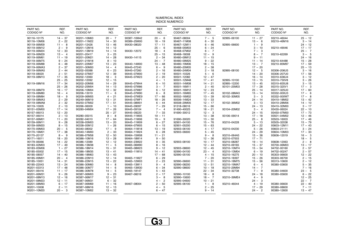| PART NO.<br>CODIGO Nº | REF.<br>NO. | PART NO.<br>CODIGO Nº | REF.<br>NO.   | PART NO.<br>CODIGO Nº | REF.<br>NO. | PART NO.<br>CODIGO Nº | REF.<br>NO. | PART NO.<br>CODIGO Nº | REF.<br>NO.   | PART NO.<br>CODIGO Nº | REF.<br>NO. |
|-----------------------|-------------|-----------------------|---------------|-----------------------|-------------|-----------------------|-------------|-----------------------|---------------|-----------------------|-------------|
| 90116-10175           | $14 - 37$   | 90201-10M63           | $20 - 7$      | 90387-10M42           | $20 - 6$    | 90467-08004           | $7 - 5$     | 92995-06100           | $11 - 27$     | 93210-46044           | $25 - 12$   |
| 90116-10M06           | $2 - 22$    | 90201-11M22           | $14 - 30$     | 90389-25M00           | $18 - 19$   | 90467-11M08           | $6 - 30$    |                       | $13 -$<br>- 6 | 93210-46M16           | $3 - 14$    |
| 90119-06M09           | $11 - 8$    | 90201-12426           | $13 - 46$     | 90430-08020           | $17 - 11$   | 90467-12M11           | $6 - 46$    | 92995-06600           | $1 - 9$       |                       | $24 - 12$   |
| 90119-06M12           | $2 - 9$     | 90201-12M16           | $14 - 12$     |                       | $25 - 6$    | 90468-05M03           | $6 - 24$    |                       | $3 - 10$      | 93210-49046           | $17 - 17$   |
| 90119-06M24           | $12 - 33$   | 90201-13M19           | $14 - 14$     | 90430-12072           | $18 - 4$    | 90468-07M02           | $6 - 7$     |                       | $7 - 3$       |                       | $25 - 7$    |
| 90119-06M29           | $13 - 4$    | 90201-20417           | $3 - 25$      |                       | $25 - 15$   | 90468-18008           | $12 - 9$    |                       | $8 - 7$       | 93210-62269           | $3 - 5$     |
| 90119-06M61           | $11 - 19$   | 90201-20M21           | $14 - 28$     | 90430-14115           | $2 - 34$    | 90480-09M12           | $11 - 15$   |                       | $9 - 11$      |                       | $24 - 16$   |
| 90119-06M75           | $9 - 24$    | 90201-21M18           | $8 - 10$      |                       | $24 - 7$    | 90480-09M25           | $9 - 22$    |                       | $11 - 14$     | 93210-64488           | $15 - 28$   |
| 90119-06M88           | $6 - 48$    | 90201-22M67           | $13 - 23$     | 90440-14M00           | $13 - 48$   | 90480-19M06           | $18 - 15$   |                       | $13 - 7$      | 93210-85M97           | $17 - 59$   |
| 90119-06MA3           | $2 - 37$    | 90201-30M00           | $14 - 4$      | 90445-07240           | $6 - 9$     | 90480-20M05           | $2 - 38$    |                       | $17 - 20$     |                       | $25 - 13$   |
| 90119-06MA5           | $2 - 44$    | 90202-05088           | $6 - 23$      | 90445-07260           | $2 - 16$    | 90480-24M04           | $2 - 18$    | 92995-08100           | $12 - 5$      | 93306-206U5           | $3 - 16$    |
| 90119-08020           | $2 - 51$    | 90202-07M07           | $12 - 39$     | 90445-07M00           | $2 - 19$    | 90501-10326           | $5 - 6$     |                       | $14 - 20$     | 93306-207U0           | $17 - 56$   |
| 90119-08M13           | $17 - 35$   | 90202-12060           | $18 - 3$      | 90445-07M23           | $2 - 20$    | 90501-12082           | $12 - 47$   |                       | $16 - 14$     | 93310-636U4           | $3 - 12$    |
|                       | $25 - 25$   | 90202-12092           | $12 - 15$     |                       | $4 - 1$     | 90501-12M48           | $17 - 41$   | 92995-10100           | $13 - 15$     | 93310-730V8           | $3 - 26$    |
| 90119-08M16           | $17 - 34$   | 90202-20M06           | $14 - 29$     | 90445-07M44           | $6 - 10$    | 90501-14M08           | $14 - 21$   | 92995-12200           | $13 - 45$     | 93310-835U8           | $3 - 15$    |
|                       | $25 - 26$   | 90202-25M04           | $14 - 13$     | 90445-07M86           | $3 - 7$     | 90501-16M11           | $2 - 40$    | 93101-25M03           | $17 - 28$     | 93315-325V1           | $17 - 3$    |
| 90119-08M79           | $16 - 17$   | 90206-10M04           | $12 - 32$     | 90445-07M87           | $6 - 12$    | 90501-16M12           | $12 - 23$   |                       | $25 - 14$     | 93317-325U0           | $17 - 60$   |
| 90119-08M80           | $16 - 4$    | 90206-13019           | $11 -$<br>- 6 | 90445-07M90           | $6 - 8$     | 90501-16M65           | $17 - 45$   | 93102-08M43           | $15 - 14$     | 93332-000U3           | $17 - 6$    |
| 90119-08M84           | $18 - 9$    | 90209-06M05           | $4 - 21$      | 90445-07ME9           | $17 - 66$   | 90502-16M02           | $13 - 39$   | 93102-30M05           | $3 - 3$       | 93332-000W7           | $17 - 8$    |
| 90119-08MA3           | $2 - 29$    | 90249-06M19           | $13 - 31$     | 90445-07MF1           | $18 - 26$   | 90506-14M24           | $13 - 33$   |                       | $24 - 14$     | 93410-18M02           | $13 - 42$   |
| 90119-08MA8           | $2 - 32$    | 90250-07M02           | $17 - 51$     | 90445-08M01           | $6 - 44$    | 90508-29M05           | $12 - 17$   | 93102-36M02           | $3 - 13$      | 93410-28M06           | $14 - 10$   |
| 90119-10005           | $2 - 10$    | 90266-06009           | $1 - 10$      | 90445-09097           | $7 - 29$    | 91318-08016           | $15 - 66$   |                       | $24 - 13$     | 93410-32M00           | $3 - 17$    |
| 90151-05M00           | $17 - 14$   | 90280-04M04           | $17 - 26$     | 90445-09104           | $7 - 4$     | 91490-40025           | $18 - 21$   | 93104-20M02           | $3 - 4$       | 93430-06024           | $22 - 10$   |
| 90157-06013           | $12 - 20$   |                       | $25 - 27$     | 90445-09220           | $7 - 33$    | 91690-30012           | $12 - 3$    |                       | $24 - 15$     | 93450-07M00           | $17 - 73$   |
| 90157-06014           | $2 - 13$    | 90280-05015           | $8 - 8$       | 90445-11M05           | $19 - 11$   |                       | $13 - 38$   | 93106-09014           | $17 - 18$     | 93501-04M02           | $12 - 46$   |
| 90157-06M01           | $11 - 20$   | 90282-04010           | $17 - 64$     | 90445-11M06           | $19 - 9$    | 91690-30020           | $13 - 30$   |                       | $25 - 8$      | 93503-16003           | $17 - 46$   |
| 90159-06M11           | $9 - 28$    | 90338-05M03           | $13 - 20$     | 90445-11M09           | $6 - 27$    | 92901-04100           | $15 - 76$   | 93210-04228           | $5 - 13$      | 93505-32038           | $15 - 79$   |
| 90159-06M20           | $8 - 15$    | 90338-05M12           | $1 - 26$      | 90464-07M05           | $6 - 15$    | 92901-05200           | $15 - 63$   |                       | $24 - 22$     | 93603-12M11           | $17 - 43$   |
| 90170-09M03           | $20 - 5$    | 90340-08002           | $17 - 9$      | 90464-11M18           | $13 - 19$   | 92903-06100           | $4 - 17$    | 93210-04230           | $5 - 26$      | 93603-21111           | $3 - 24$    |
| 90170-16M01           | $17 - 38$   | 90340-14M00           | $2 - 33$      | 90464-11M24           | $6 - 28$    | 92903-06600           | $5 - 45$    |                       | $24 - 29$     | 93604-10M03           | $17 - 33$   |
| 90170-20137           | $8 - 9$     | 90386-07M58           | $12 - 50$     | 90464-15M08           | $11 - 21$   |                       | $9 - 8$     | 93210-064A5           | $15 - 38$     | 93606-12019           | $16 - 3$    |
| 90171-16011           | $18 - 20$   | 90386-10M16           | $13 - 28$     | 90464-18M14           | $9 - 50$    |                       | $12 - 36$   | 93210-07003           | $17 - 71$     |                       | $18 - 5$    |
| 90179-06066           | $14 - 22$   | 90386-12089           | $12 - 12$     | 90464-23M22           | $9 - 35$    | 92903-08100           | $10 - 17$   | 93210-08287           | $19 - 14$     | 93608-12063           | $2 - 8$     |
| 90183-02M03           | $17 - 49$   | 90386-13M38           | $11 - 5$      | 90465-06M90           | $8 - 16$    |                       | $12 - 44$   | 93210-09165           | $15 - 37$     | 93700-06M03           | $13 - 17$   |
| 90183-05M06           | $1 - 27$    | 90386-18M14           | $15 - 31$     | 90465-08M23           | $9 - 12$    | 92903-08600           | $12 - 45$   | 93210-10M74           | $15 - 54$     | 94702-00160           | $2 - 57$    |
| 90185-05002           | $17 - 15$   | 90386-18M35           | $13 - 41$     | 90465-11M10           | $14 - 41$   | 92990-04100           | $23 - 4$    | 93210-13M04           | $6 - 19$      | 94702-00247           | $2 - 57$    |
| 90185-08057           | $14 - 40$   | 90386-18M63           | $13 - 43$     |                       | $17 - 68$   | 92990-05100           | $4 - 15$    | 93210-16275           | $20 - 10$     | 95303-06600           | $12 - 22$   |
| 90185-09M01           | $20 - 4$    | 90386-22M13           | $12 - 14$     | 90465-11M27           | $6 - 29$    |                       | $7 - 20$    | 93210-18397           | $15 - 26$     | 95303-06700           | $2 - 15$    |
| 90185-10051           | $14 - 31$   | 90386-22M15           | $13 -$<br>22  | 90465-12M03           | $2 - 23$    | 92990-06600           | $11 - 31$   | 93210-18M75           | $15 - 56$     | 95313-10600           | $2 - 12$    |
| 90185-22043           | $13 - 24$   | 90386-30M60           | 8<br>$14 -$   | 90465-13M11           | $9 - 4$     | 92990-08200           | $12 - 51$   | 93210-19MA7           | 6<br>$-4$     | 95380-03600           | $5 - 35$    |
| 90201-03313           | $17 - 48$   | 90386-30M77           | $14 -$<br>6   | 90465-13M30           | $6 - 34$    | 92990-08600           | $10 - 18$   | 93210-29M94           | $14 - 7$      |                       | $7 - 16$    |
| 90201-06416           | $11 - 17$   | 90386-30M78           | $14 - 5$      | 90465-18147           | $5 - 43$    |                       | $22 - 34$   | 93210-32738           | $7 - 9$       | 95380-04600           | $23 - 5$    |
| 90201-06M31           | $9 - 26$    | 90387-06M03           | $9 - 23$      | 90467-06016           | $2 - 17$    | 92990-10100           | $18 - 8$    |                       | $24 - 18$     | 95380-05600           | $6 - 22$    |
| 90201-08M13           | $12 - 16$   | 90387-06M17           | $12 - 31$     |                       | $3 - 8$     | 92990-10600           | $18 - 7$    | 93210-39ME4           | $4 - 9$       |                       | $12 - 25$   |
| 90201-08M23           | $12 - 11$   | 90387-06M31           | $6 - 32$      |                       | $4 - 2$     | 92995-04600           | $10 - 21$   |                       | $24 - 3$      |                       | $22 - 7$    |
| 90201-08M93           | $6 - 17$    | 90387-06M69           | $11 - 16$     | 90467-08004           | $2 - 50$    | 92995-06100           | $1 - 8$     | 93210-46044           | $4 - 19$      | 95380-06600           | $22 - 40$   |
| 90201-10008           | $2 - 11$    | 90387-08M16           | $12 - 13$     |                       | $4 - 5$     |                       | $2 - 25$    |                       | $17 - 29$     | 95380-08600           | $7 - 11$    |
| 90201-10M20           | $20 - 3$    | 90387-10M02           | $13 - 32$     |                       | $6 - 47$    |                       | $9 - 14$    |                       | $24 - 2$      | 95380-12600           | $13 - 47$   |
|                       |             |                       |               |                       |             |                       |             |                       |               |                       |             |

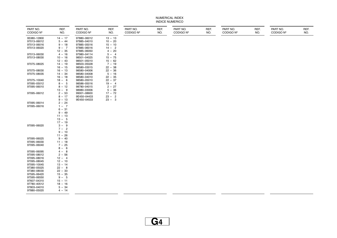| PART NO.<br>CODIGO Nº      | REF.<br>NO.            | PART NO.<br>CODIGO Nº | REF.<br>NO. | PART NO.<br>CODIGO Nº | REF.<br>NO. | PART NO.<br>CODIGO Nº | REF.<br>NO. | PART NO.<br>CODIGO Nº | REF.<br>NO. | PART NO.<br>CODIGO Nº | REF.<br>NO. |
|----------------------------|------------------------|-----------------------|-------------|-----------------------|-------------|-----------------------|-------------|-----------------------|-------------|-----------------------|-------------|
| 95380-12800                | $14 - 17$              | 97880-06012           | $13 - 13$   |                       |             |                       |             |                       |             |                       |             |
| 97013-06012                | $5 - 44$               | 97885-04010           | $10 - 20$   |                       |             |                       |             |                       |             |                       |             |
| 97013-06016                | $9 - 18$               | 97885-05016           | $15 - 10$   |                       |             |                       |             |                       |             |                       |             |
| 97013-06020                | $9 - 7$                | 97885-06016           | $14 - 2$    |                       |             |                       |             |                       |             |                       |             |
|                            | $12 - 35$              | 97885-06050           | $4 - 20$    |                       |             |                       |             |                       |             |                       |             |
| 97013-06030                | $4 - 16$               | 97980-04114           | $5 - 4$     |                       |             |                       |             |                       |             |                       |             |
| 97013-08030                | $10 - 16$              | 98501-04025           | $15 - 75$   |                       |             |                       |             |                       |             |                       |             |
|                            | $12 - 43$              | 98501-05010           | $15 - 62$   |                       |             |                       |             |                       |             |                       |             |
| 97075-08025                | $14 - 19$              | 98503-05028           | $7 - 19$    |                       |             |                       |             |                       |             |                       |             |
|                            | $16 - 15$              | 98580-03015           | $22 - 38$   |                       |             |                       |             |                       |             |                       |             |
| 97075-08030                | $16 - 13$              | 98580-04006           | $22 - 36$   |                       |             |                       |             |                       |             |                       |             |
| 97075-08035                | $14 - 34$              | 98580-04008           | $5 - 16$    |                       |             |                       |             |                       |             |                       |             |
|                            | $16 - 18$              | 98580-04010           | $22 - 35$   |                       |             |                       |             |                       |             |                       |             |
| 97075-10040                | $18 - 6$               | 98580-05010           | $22 - 37$   |                       |             |                       |             |                       |             |                       |             |
| 97095-05012                | $8 - 5$                | 98586-05016           | $19 - 4$    |                       |             |                       |             |                       |             |                       |             |
| 97095-06010                | $8 - 12$               | 98780-04015           | $2 - 27$    |                       |             |                       |             |                       |             |                       |             |
|                            | $13 - 9$               | 98980-03006           | $5 - 36$    |                       |             |                       |             |                       |             |                       |             |
| 97095-06012                | $2 - 53$               | 99001-08600           | $17 - 72$   |                       |             |                       |             |                       |             |                       |             |
|                            | $8 - 17$               | 9E450-04433           | $23 - 2$    |                       |             |                       |             |                       |             |                       |             |
| 97095-06014                | $9 - 13$<br>$2 - 24$   | 9E450-04533           | $23 - 3$    |                       |             |                       |             |                       |             |                       |             |
|                            |                        |                       |             |                       |             |                       |             |                       |             |                       |             |
| 97095-06016                | $1 - 7$<br>$6 - 31$    |                       |             |                       |             |                       |             |                       |             |                       |             |
|                            | $9 - 49$               |                       |             |                       |             |                       |             |                       |             |                       |             |
|                            | $11 - 13$              |                       |             |                       |             |                       |             |                       |             |                       |             |
|                            | $13 - 5$               |                       |             |                       |             |                       |             |                       |             |                       |             |
|                            | $17 - 19$              |                       |             |                       |             |                       |             |                       |             |                       |             |
| 97095-06020                | $3 - 9$                |                       |             |                       |             |                       |             |                       |             |                       |             |
|                            | $7 - 2$                |                       |             |                       |             |                       |             |                       |             |                       |             |
|                            | $9 - 10$               |                       |             |                       |             |                       |             |                       |             |                       |             |
|                            | $11 - 26$              |                       |             |                       |             |                       |             |                       |             |                       |             |
| 97095-06025                | $9 - 40$               |                       |             |                       |             |                       |             |                       |             |                       |             |
| 97095-06030                | $11 - 18$              |                       |             |                       |             |                       |             |                       |             |                       |             |
| 97095-06040                | $7 - 25$               |                       |             |                       |             |                       |             |                       |             |                       |             |
|                            | $8 - 6$                |                       |             |                       |             |                       |             |                       |             |                       |             |
| 97095-06095                | $4 - 8$                |                       |             |                       |             |                       |             |                       |             |                       |             |
| 97095-08012                | $2 - 56$               |                       |             |                       |             |                       |             |                       |             |                       |             |
| 97095-08016                | $12 - 4$               |                       |             |                       |             |                       |             |                       |             |                       |             |
| 97095-08045                | $12 - 10$              |                       |             |                       |             |                       |             |                       |             |                       |             |
| 97095-10045                | $13 - 14$              |                       |             |                       |             |                       |             |                       |             |                       |             |
| 97380-05025                | $22 - 8$               |                       |             |                       |             |                       |             |                       |             |                       |             |
| 97380-08030                | $22 - 33$              |                       |             |                       |             |                       |             |                       |             |                       |             |
| 97595-06420                | $15 - 35$              |                       |             |                       |             |                       |             |                       |             |                       |             |
| 97595-06550<br>97607-04310 | $9 - 5$                |                       |             |                       |             |                       |             |                       |             |                       |             |
| 97780-40512                | $15 - 11$<br>$18 - 16$ |                       |             |                       |             |                       |             |                       |             |                       |             |
| 97803-04010                | $5 - 34$               |                       |             |                       |             |                       |             |                       |             |                       |             |
| 97880-05020                | $4 - 14$               |                       |             |                       |             |                       |             |                       |             |                       |             |
|                            |                        |                       |             |                       |             |                       |             |                       |             |                       |             |